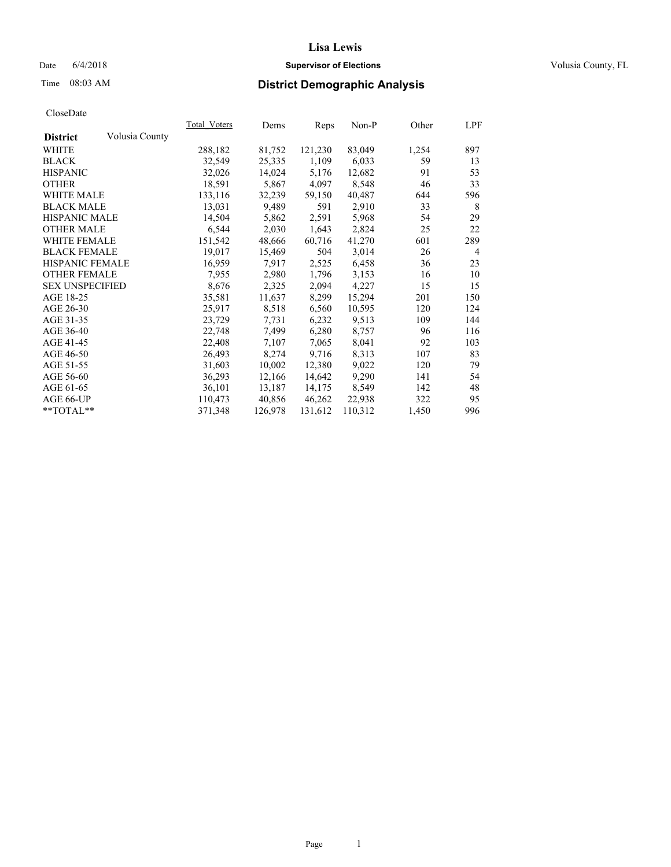### Date 6/4/2018 **Supervisor of Elections Supervisor of Elections** Volusia County, FL

# Time 08:03 AM **District Demographic Analysis**

|                        |                | Total Voters | Dems    | Reps    | Non-P   | Other | LPF            |
|------------------------|----------------|--------------|---------|---------|---------|-------|----------------|
| <b>District</b>        | Volusia County |              |         |         |         |       |                |
| WHITE                  |                | 288,182      | 81,752  | 121,230 | 83,049  | 1,254 | 897            |
| <b>BLACK</b>           |                | 32,549       | 25,335  | 1,109   | 6,033   | 59    | 13             |
| <b>HISPANIC</b>        |                | 32,026       | 14,024  | 5,176   | 12,682  | 91    | 53             |
| <b>OTHER</b>           |                | 18,591       | 5,867   | 4,097   | 8,548   | 46    | 33             |
| <b>WHITE MALE</b>      |                | 133,116      | 32,239  | 59,150  | 40,487  | 644   | 596            |
| <b>BLACK MALE</b>      |                | 13,031       | 9,489   | 591     | 2,910   | 33    | 8              |
| <b>HISPANIC MALE</b>   |                | 14,504       | 5,862   | 2,591   | 5,968   | 54    | 29             |
| <b>OTHER MALE</b>      |                | 6,544        | 2,030   | 1,643   | 2,824   | 25    | 22             |
| WHITE FEMALE           |                | 151,542      | 48,666  | 60,716  | 41,270  | 601   | 289            |
| <b>BLACK FEMALE</b>    |                | 19,017       | 15,469  | 504     | 3,014   | 26    | $\overline{4}$ |
| <b>HISPANIC FEMALE</b> |                | 16,959       | 7,917   | 2,525   | 6,458   | 36    | 23             |
| <b>OTHER FEMALE</b>    |                | 7,955        | 2,980   | 1,796   | 3,153   | 16    | 10             |
| <b>SEX UNSPECIFIED</b> |                | 8,676        | 2,325   | 2,094   | 4,227   | 15    | 15             |
| AGE 18-25              |                | 35,581       | 11,637  | 8,299   | 15,294  | 201   | 150            |
| AGE 26-30              |                | 25,917       | 8,518   | 6,560   | 10,595  | 120   | 124            |
| AGE 31-35              |                | 23,729       | 7,731   | 6,232   | 9,513   | 109   | 144            |
| AGE 36-40              |                | 22,748       | 7,499   | 6,280   | 8,757   | 96    | 116            |
| AGE 41-45              |                | 22,408       | 7,107   | 7,065   | 8,041   | 92    | 103            |
| AGE 46-50              |                | 26,493       | 8,274   | 9,716   | 8,313   | 107   | 83             |
| AGE 51-55              |                | 31,603       | 10,002  | 12,380  | 9,022   | 120   | 79             |
| AGE 56-60              |                | 36,293       | 12,166  | 14,642  | 9,290   | 141   | 54             |
| AGE 61-65              |                | 36,101       | 13,187  | 14,175  | 8,549   | 142   | 48             |
| AGE 66-UP              |                | 110,473      | 40,856  | 46,262  | 22,938  | 322   | 95             |
| **TOTAL**              |                | 371,348      | 126,978 | 131,612 | 110,312 | 1,450 | 996            |
|                        |                |              |         |         |         |       |                |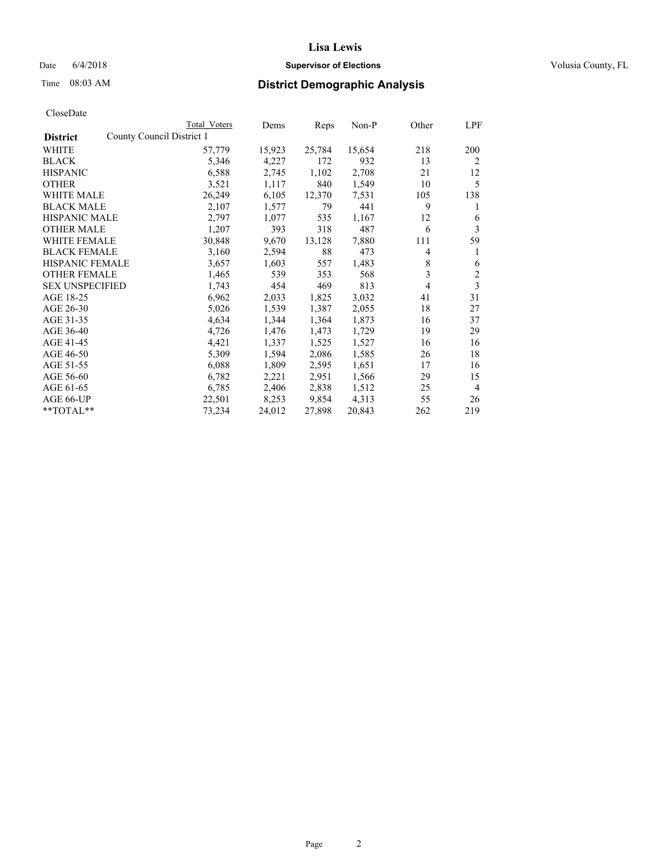### Date  $6/4/2018$  **Supervisor of Elections Supervisor of Elections** Volusia County, FL

|                                              | Total Voters | Dems   | Reps   | Non-P  | Other | LPF |
|----------------------------------------------|--------------|--------|--------|--------|-------|-----|
| County Council District 1<br><b>District</b> |              |        |        |        |       |     |
| WHITE                                        | 57,779       | 15,923 | 25,784 | 15,654 | 218   | 200 |
| <b>BLACK</b>                                 | 5,346        | 4,227  | 172    | 932    | 13    | 2   |
| <b>HISPANIC</b>                              | 6,588        | 2,745  | 1,102  | 2,708  | 21    | 12  |
| <b>OTHER</b>                                 | 3,521        | 1,117  | 840    | 1,549  | 10    | 5   |
| <b>WHITE MALE</b>                            | 26,249       | 6,105  | 12,370 | 7,531  | 105   | 138 |
| <b>BLACK MALE</b>                            | 2,107        | 1,577  | 79     | 441    | 9     | 1   |
| <b>HISPANIC MALE</b>                         | 2,797        | 1,077  | 535    | 1,167  | 12    | 6   |
| <b>OTHER MALE</b>                            | 1,207        | 393    | 318    | 487    | 6     | 3   |
| <b>WHITE FEMALE</b>                          | 30,848       | 9,670  | 13,128 | 7,880  | 111   | 59  |
| <b>BLACK FEMALE</b>                          | 3,160        | 2,594  | 88     | 473    | 4     | 1   |
| <b>HISPANIC FEMALE</b>                       | 3,657        | 1,603  | 557    | 1,483  | 8     | 6   |
| <b>OTHER FEMALE</b>                          | 1,465        | 539    | 353    | 568    | 3     | 2   |
| <b>SEX UNSPECIFIED</b>                       | 1,743        | 454    | 469    | 813    | 4     | 3   |
| AGE 18-25                                    | 6,962        | 2,033  | 1,825  | 3,032  | 41    | 31  |
| AGE 26-30                                    | 5,026        | 1,539  | 1,387  | 2,055  | 18    | 27  |
| AGE 31-35                                    | 4,634        | 1,344  | 1,364  | 1,873  | 16    | 37  |
| AGE 36-40                                    | 4,726        | 1,476  | 1,473  | 1,729  | 19    | 29  |
| AGE 41-45                                    | 4,421        | 1,337  | 1,525  | 1,527  | 16    | 16  |
| AGE 46-50                                    | 5,309        | 1,594  | 2,086  | 1,585  | 26    | 18  |
| AGE 51-55                                    | 6,088        | 1,809  | 2,595  | 1,651  | 17    | 16  |
| AGE 56-60                                    | 6,782        | 2,221  | 2,951  | 1,566  | 29    | 15  |
| AGE 61-65                                    | 6,785        | 2,406  | 2,838  | 1,512  | 25    | 4   |
| AGE 66-UP                                    | 22,501       | 8,253  | 9,854  | 4,313  | 55    | 26  |
| $*$ TOTAL $*$                                | 73,234       | 24,012 | 27,898 | 20,843 | 262   | 219 |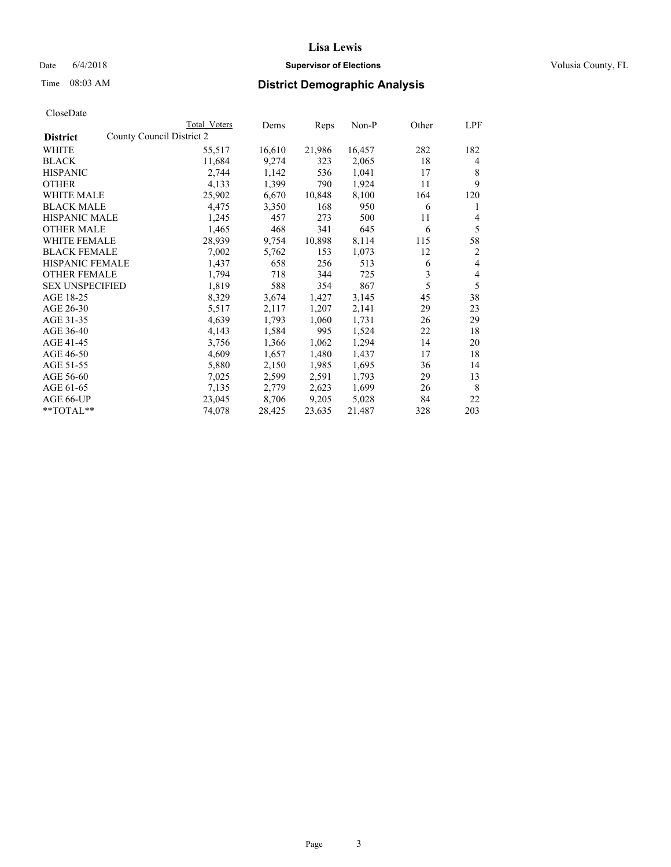### Date 6/4/2018 **Supervisor of Elections Supervisor of Elections** Volusia County, FL

|                        |                           | Total Voters | Dems   | Reps   | $Non-P$ | Other | LPF            |
|------------------------|---------------------------|--------------|--------|--------|---------|-------|----------------|
| <b>District</b>        | County Council District 2 |              |        |        |         |       |                |
| WHITE                  |                           | 55,517       | 16,610 | 21,986 | 16,457  | 282   | 182            |
| <b>BLACK</b>           |                           | 11,684       | 9,274  | 323    | 2,065   | 18    | 4              |
| <b>HISPANIC</b>        |                           | 2,744        | 1,142  | 536    | 1,041   | 17    | 8              |
| <b>OTHER</b>           |                           | 4,133        | 1,399  | 790    | 1,924   | 11    | 9              |
| WHITE MALE             |                           | 25,902       | 6,670  | 10,848 | 8,100   | 164   | 120            |
| <b>BLACK MALE</b>      |                           | 4,475        | 3,350  | 168    | 950     | 6     | 1              |
| <b>HISPANIC MALE</b>   |                           | 1,245        | 457    | 273    | 500     | 11    | 4              |
| <b>OTHER MALE</b>      |                           | 1,465        | 468    | 341    | 645     | 6     | 5              |
| WHITE FEMALE           |                           | 28,939       | 9,754  | 10,898 | 8,114   | 115   | 58             |
| <b>BLACK FEMALE</b>    |                           | 7,002        | 5,762  | 153    | 1,073   | 12    | $\overline{2}$ |
| HISPANIC FEMALE        |                           | 1,437        | 658    | 256    | 513     | 6     | 4              |
| <b>OTHER FEMALE</b>    |                           | 1,794        | 718    | 344    | 725     | 3     | 4              |
| <b>SEX UNSPECIFIED</b> |                           | 1,819        | 588    | 354    | 867     | 5     | 5              |
| AGE 18-25              |                           | 8,329        | 3,674  | 1,427  | 3,145   | 45    | 38             |
| AGE 26-30              |                           | 5,517        | 2,117  | 1,207  | 2,141   | 29    | 23             |
| AGE 31-35              |                           | 4,639        | 1,793  | 1,060  | 1,731   | 26    | 29             |
| AGE 36-40              |                           | 4,143        | 1,584  | 995    | 1,524   | 22    | 18             |
| AGE 41-45              |                           | 3,756        | 1,366  | 1,062  | 1,294   | 14    | 20             |
| AGE 46-50              |                           | 4,609        | 1,657  | 1,480  | 1,437   | 17    | 18             |
| AGE 51-55              |                           | 5,880        | 2,150  | 1,985  | 1,695   | 36    | 14             |
| AGE 56-60              |                           | 7,025        | 2,599  | 2,591  | 1,793   | 29    | 13             |
| AGE 61-65              |                           | 7,135        | 2,779  | 2,623  | 1,699   | 26    | 8              |
| AGE 66-UP              |                           | 23,045       | 8,706  | 9,205  | 5,028   | 84    | 22             |
| **TOTAL**              |                           | 74,078       | 28,425 | 23,635 | 21,487  | 328   | 203            |
|                        |                           |              |        |        |         |       |                |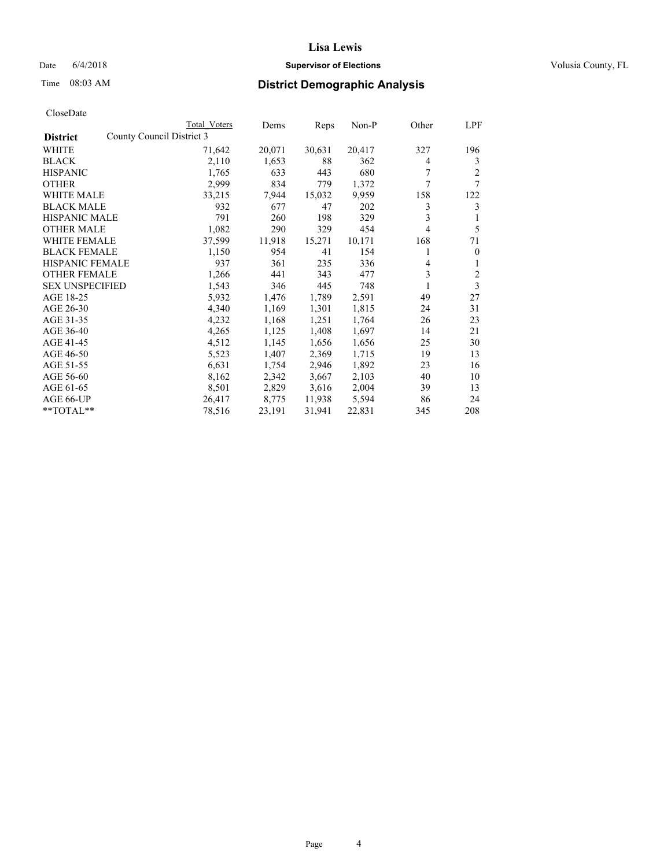### Date  $6/4/2018$  **Supervisor of Elections Supervisor of Elections** Volusia County, FL

# Time 08:03 AM **District Demographic Analysis**

|                                              | Total Voters | Dems   | Reps   | Non-P  | Other | LPF          |
|----------------------------------------------|--------------|--------|--------|--------|-------|--------------|
| County Council District 3<br><b>District</b> |              |        |        |        |       |              |
| WHITE                                        | 71,642       | 20,071 | 30,631 | 20,417 | 327   | 196          |
| <b>BLACK</b>                                 | 2,110        | 1,653  | 88     | 362    | 4     | 3            |
| <b>HISPANIC</b>                              | 1,765        | 633    | 443    | 680    | 7     | 2            |
| <b>OTHER</b>                                 | 2,999        | 834    | 779    | 1,372  | 7     | 7            |
| WHITE MALE                                   | 33,215       | 7,944  | 15,032 | 9,959  | 158   | 122          |
| <b>BLACK MALE</b>                            | 932          | 677    | 47     | 202    | 3     | 3            |
| <b>HISPANIC MALE</b>                         | 791          | 260    | 198    | 329    | 3     | 1            |
| <b>OTHER MALE</b>                            | 1,082        | 290    | 329    | 454    | 4     | 5            |
| <b>WHITE FEMALE</b>                          | 37,599       | 11,918 | 15,271 | 10,171 | 168   | 71           |
| <b>BLACK FEMALE</b>                          | 1,150        | 954    | 41     | 154    |       | $\mathbf{0}$ |
| <b>HISPANIC FEMALE</b>                       | 937          | 361    | 235    | 336    | 4     | 1            |
| <b>OTHER FEMALE</b>                          | 1,266        | 441    | 343    | 477    | 3     | 2            |
| <b>SEX UNSPECIFIED</b>                       | 1,543        | 346    | 445    | 748    | 1     | 3            |
| AGE 18-25                                    | 5,932        | 1,476  | 1,789  | 2,591  | 49    | 27           |
| AGE 26-30                                    | 4,340        | 1,169  | 1,301  | 1,815  | 24    | 31           |
| AGE 31-35                                    | 4,232        | 1,168  | 1,251  | 1,764  | 26    | 23           |
| AGE 36-40                                    | 4,265        | 1,125  | 1,408  | 1,697  | 14    | 21           |
| AGE 41-45                                    | 4,512        | 1,145  | 1,656  | 1,656  | 25    | 30           |
| AGE 46-50                                    | 5,523        | 1,407  | 2,369  | 1,715  | 19    | 13           |
| AGE 51-55                                    | 6,631        | 1,754  | 2,946  | 1,892  | 23    | 16           |
| AGE 56-60                                    | 8,162        | 2,342  | 3,667  | 2,103  | 40    | 10           |
| AGE 61-65                                    | 8,501        | 2,829  | 3,616  | 2,004  | 39    | 13           |
| AGE 66-UP                                    | 26,417       | 8,775  | 11,938 | 5,594  | 86    | 24           |
| $*$ TOTAL $*$                                | 78,516       | 23,191 | 31,941 | 22,831 | 345   | 208          |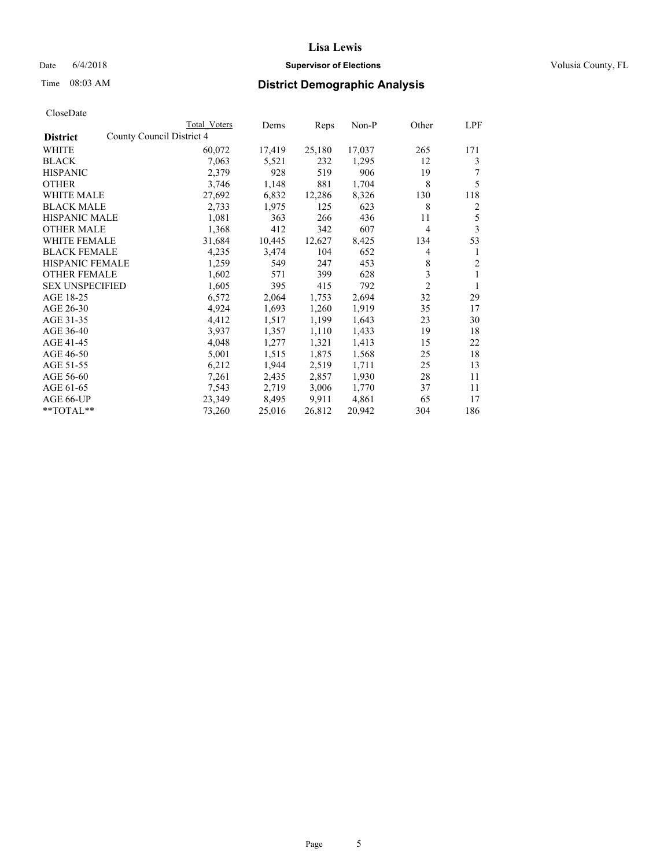### Date  $6/4/2018$  **Supervisor of Elections Supervisor of Elections** Volusia County, FL

|                                              | Total Voters | Dems   | Reps   | Non-P  | Other          | LPF |
|----------------------------------------------|--------------|--------|--------|--------|----------------|-----|
| County Council District 4<br><b>District</b> |              |        |        |        |                |     |
| WHITE                                        | 60,072       | 17,419 | 25,180 | 17,037 | 265            | 171 |
| <b>BLACK</b>                                 | 7,063        | 5,521  | 232    | 1,295  | 12             | 3   |
| <b>HISPANIC</b>                              | 2,379        | 928    | 519    | 906    | 19             |     |
| <b>OTHER</b>                                 | 3,746        | 1,148  | 881    | 1,704  | 8              | 5   |
| <b>WHITE MALE</b>                            | 27,692       | 6,832  | 12,286 | 8,326  | 130            | 118 |
| <b>BLACK MALE</b>                            | 2,733        | 1,975  | 125    | 623    | 8              | 2   |
| <b>HISPANIC MALE</b>                         | 1,081        | 363    | 266    | 436    | 11             | 5   |
| <b>OTHER MALE</b>                            | 1,368        | 412    | 342    | 607    | 4              | 3   |
| <b>WHITE FEMALE</b>                          | 31,684       | 10,445 | 12,627 | 8,425  | 134            | 53  |
| <b>BLACK FEMALE</b>                          | 4,235        | 3,474  | 104    | 652    | 4              | 1   |
| HISPANIC FEMALE                              | 1,259        | 549    | 247    | 453    | 8              | 2   |
| <b>OTHER FEMALE</b>                          | 1,602        | 571    | 399    | 628    | 3              | 1   |
| <b>SEX UNSPECIFIED</b>                       | 1,605        | 395    | 415    | 792    | $\mathfrak{2}$ | 1   |
| AGE 18-25                                    | 6,572        | 2,064  | 1,753  | 2,694  | 32             | 29  |
| AGE 26-30                                    | 4,924        | 1,693  | 1,260  | 1,919  | 35             | 17  |
| AGE 31-35                                    | 4,412        | 1,517  | 1,199  | 1,643  | 23             | 30  |
| AGE 36-40                                    | 3,937        | 1,357  | 1,110  | 1,433  | 19             | 18  |
| AGE 41-45                                    | 4,048        | 1,277  | 1,321  | 1,413  | 15             | 22  |
| AGE 46-50                                    | 5,001        | 1,515  | 1,875  | 1,568  | 25             | 18  |
| AGE 51-55                                    | 6,212        | 1,944  | 2,519  | 1,711  | 25             | 13  |
| AGE 56-60                                    | 7,261        | 2,435  | 2,857  | 1,930  | 28             | 11  |
| AGE 61-65                                    | 7,543        | 2,719  | 3,006  | 1,770  | 37             | 11  |
| AGE 66-UP                                    | 23,349       | 8,495  | 9,911  | 4,861  | 65             | 17  |
| **TOTAL**                                    | 73,260       | 25,016 | 26,812 | 20,942 | 304            | 186 |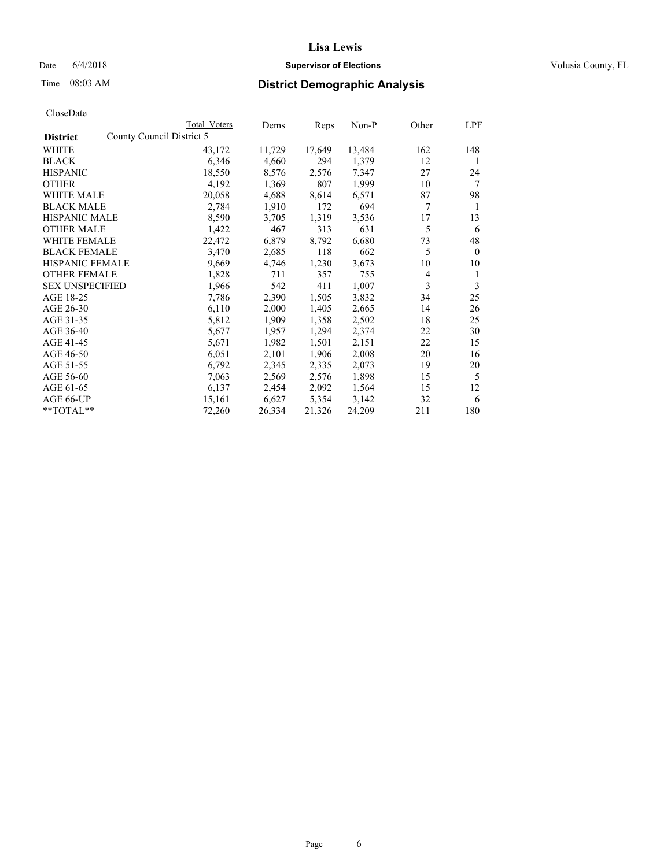### Date 6/4/2018 **Supervisor of Elections Supervisor of Elections** Volusia County, FL

|                                              | Total Voters | Dems   | Reps   | Non-P  | Other          | LPF          |
|----------------------------------------------|--------------|--------|--------|--------|----------------|--------------|
| County Council District 5<br><b>District</b> |              |        |        |        |                |              |
| WHITE                                        | 43,172       | 11,729 | 17,649 | 13,484 | 162            | 148          |
| BLACK                                        | 6,346        | 4,660  | 294    | 1,379  | 12             | 1            |
| <b>HISPANIC</b>                              | 18,550       | 8,576  | 2,576  | 7,347  | 27             | 24           |
| <b>OTHER</b>                                 | 4,192        | 1,369  | 807    | 1,999  | 10             | 7            |
| <b>WHITE MALE</b>                            | 20,058       | 4,688  | 8,614  | 6,571  | 87             | 98           |
| <b>BLACK MALE</b>                            | 2,784        | 1,910  | 172    | 694    | 7              | 1            |
| <b>HISPANIC MALE</b>                         | 8,590        | 3,705  | 1,319  | 3,536  | 17             | 13           |
| <b>OTHER MALE</b>                            | 1,422        | 467    | 313    | 631    | 5              | 6            |
| <b>WHITE FEMALE</b>                          | 22,472       | 6,879  | 8,792  | 6,680  | 73             | 48           |
| <b>BLACK FEMALE</b>                          | 3,470        | 2,685  | 118    | 662    | 5              | $\mathbf{0}$ |
| HISPANIC FEMALE                              | 9,669        | 4,746  | 1,230  | 3,673  | 10             | 10           |
| <b>OTHER FEMALE</b>                          | 1,828        | 711    | 357    | 755    | $\overline{4}$ | 1            |
| <b>SEX UNSPECIFIED</b>                       | 1,966        | 542    | 411    | 1,007  | 3              | 3            |
| AGE 18-25                                    | 7,786        | 2,390  | 1,505  | 3,832  | 34             | 25           |
| AGE 26-30                                    | 6,110        | 2,000  | 1,405  | 2,665  | 14             | 26           |
| AGE 31-35                                    | 5,812        | 1,909  | 1,358  | 2,502  | 18             | 25           |
| AGE 36-40                                    | 5,677        | 1,957  | 1,294  | 2,374  | 22             | 30           |
| AGE 41-45                                    | 5,671        | 1,982  | 1,501  | 2,151  | 22             | 15           |
| AGE 46-50                                    | 6,051        | 2,101  | 1,906  | 2,008  | 20             | 16           |
| AGE 51-55                                    | 6,792        | 2,345  | 2,335  | 2,073  | 19             | 20           |
| AGE 56-60                                    | 7,063        | 2,569  | 2,576  | 1,898  | 15             | 5            |
| AGE 61-65                                    | 6,137        | 2,454  | 2,092  | 1,564  | 15             | 12           |
| AGE 66-UP                                    | 15,161       | 6,627  | 5,354  | 3,142  | 32             | 6            |
| **TOTAL**                                    | 72,260       | 26,334 | 21,326 | 24,209 | 211            | 180          |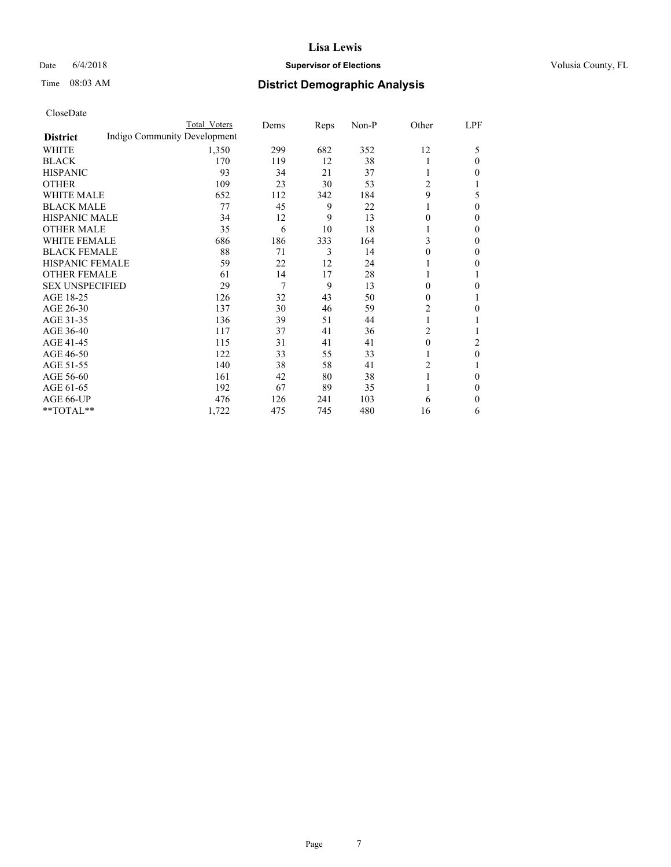### Date  $6/4/2018$  **Supervisor of Elections Supervisor of Elections** Volusia County, FL

# Time 08:03 AM **District Demographic Analysis**

|                        |                              | Total Voters | Dems | Reps | Non-P | Other          | LPF    |
|------------------------|------------------------------|--------------|------|------|-------|----------------|--------|
| <b>District</b>        | Indigo Community Development |              |      |      |       |                |        |
| WHITE                  |                              | 1,350        | 299  | 682  | 352   | 12             | 5      |
| <b>BLACK</b>           |                              | 170          | 119  | 12   | 38    | 1              | 0      |
| <b>HISPANIC</b>        |                              | 93           | 34   | 21   | 37    | 1              | 0      |
| <b>OTHER</b>           |                              | 109          | 23   | 30   | 53    | 2              |        |
| <b>WHITE MALE</b>      |                              | 652          | 112  | 342  | 184   | 9              | 5      |
| <b>BLACK MALE</b>      |                              | 77           | 45   | 9    | 22    |                | 0      |
| <b>HISPANIC MALE</b>   |                              | 34           | 12   | 9    | 13    | 0              | 0      |
| <b>OTHER MALE</b>      |                              | 35           | 6    | 10   | 18    | 1              | 0      |
| <b>WHITE FEMALE</b>    |                              | 686          | 186  | 333  | 164   | 3              | 0      |
| <b>BLACK FEMALE</b>    |                              | 88           | 71   | 3    | 14    | 0              | 0      |
| HISPANIC FEMALE        |                              | 59           | 22   | 12   | 24    |                | 0      |
| <b>OTHER FEMALE</b>    |                              | 61           | 14   | 17   | 28    | 1              |        |
| <b>SEX UNSPECIFIED</b> |                              | 29           | 7    | 9    | 13    | $\theta$       | 0      |
| AGE 18-25              |                              | 126          | 32   | 43   | 50    | $\theta$       |        |
| AGE 26-30              |                              | 137          | 30   | 46   | 59    | 2              | 0      |
| AGE 31-35              |                              | 136          | 39   | 51   | 44    | 1              |        |
| AGE 36-40              |                              | 117          | 37   | 41   | 36    | $\overline{c}$ |        |
| AGE 41-45              |                              | 115          | 31   | 41   | 41    | $\theta$       | 2      |
| AGE 46-50              |                              | 122          | 33   | 55   | 33    | 1              | 0      |
| AGE 51-55              |                              | 140          | 38   | 58   | 41    | 2              |        |
| AGE 56-60              |                              | 161          | 42   | 80   | 38    |                | 0      |
| AGE 61-65              |                              | 192          | 67   | 89   | 35    |                | $_{0}$ |
| AGE 66-UP              |                              | 476          | 126  | 241  | 103   | 6              | 0      |
| **TOTAL**              |                              | 1,722        | 475  | 745  | 480   | 16             | 6      |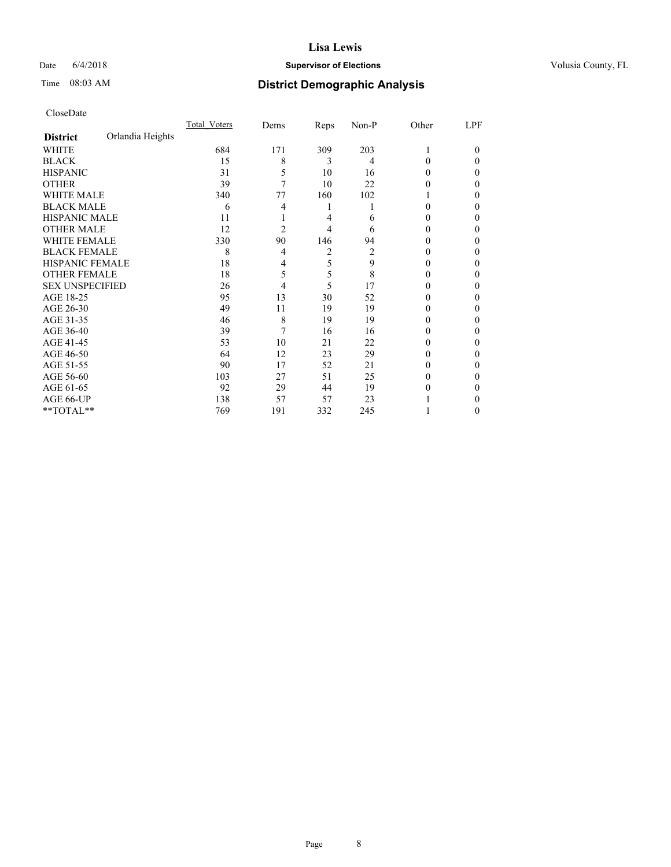### Date  $6/4/2018$  **Supervisor of Elections Supervisor of Elections** Volusia County, FL

# Time 08:03 AM **District Demographic Analysis**

|                        |                  | Total Voters | Dems | Reps | Non-P | Other    | LPF    |
|------------------------|------------------|--------------|------|------|-------|----------|--------|
| <b>District</b>        | Orlandia Heights |              |      |      |       |          |        |
| WHITE                  |                  | 684          | 171  | 309  | 203   | 1        | $_{0}$ |
| <b>BLACK</b>           |                  | 15           | 8    | 3    | 4     | 0        | 0      |
| <b>HISPANIC</b>        |                  | 31           | 5    | 10   | 16    | 0        | 0      |
| <b>OTHER</b>           |                  | 39           | 7    | 10   | 22    | 0        | 0      |
| WHITE MALE             |                  | 340          | 77   | 160  | 102   |          | 0      |
| <b>BLACK MALE</b>      |                  | 6            | 4    | 1    |       | 0        | 0      |
| <b>HISPANIC MALE</b>   |                  | 11           |      | 4    | 6     | $_{0}$   | 0      |
| <b>OTHER MALE</b>      |                  | 12           | 2    | 4    | 6     | 0        | 0      |
| <b>WHITE FEMALE</b>    |                  | 330          | 90   | 146  | 94    | 0        | 0      |
| <b>BLACK FEMALE</b>    |                  | 8            | 4    | 2    | 2     | $_{0}$   | 0      |
| <b>HISPANIC FEMALE</b> |                  | 18           | 4    | 5    | 9     | $_{0}$   | 0      |
| <b>OTHER FEMALE</b>    |                  | 18           | 5    | 5    | 8     | $_{0}$   | 0      |
| <b>SEX UNSPECIFIED</b> |                  | 26           | 4    | 5    | 17    | $\theta$ | 0      |
| AGE 18-25              |                  | 95           | 13   | 30   | 52    | $_{0}$   | 0      |
| AGE 26-30              |                  | 49           | 11   | 19   | 19    | $_{0}$   | 0      |
| AGE 31-35              |                  | 46           | 8    | 19   | 19    | 0        | 0      |
| AGE 36-40              |                  | 39           | 7    | 16   | 16    | 0        | 0      |
| AGE 41-45              |                  | 53           | 10   | 21   | 22    | 0        | 0      |
| AGE 46-50              |                  | 64           | 12   | 23   | 29    | 0        | 0      |
| AGE 51-55              |                  | 90           | 17   | 52   | 21    | 0        | 0      |
| AGE 56-60              |                  | 103          | 27   | 51   | 25    | 0        | 0      |
| AGE 61-65              |                  | 92           | 29   | 44   | 19    | $_{0}$   | 0      |
| AGE 66-UP              |                  | 138          | 57   | 57   | 23    |          | 0      |
| **TOTAL**              |                  | 769          | 191  | 332  | 245   |          | 0      |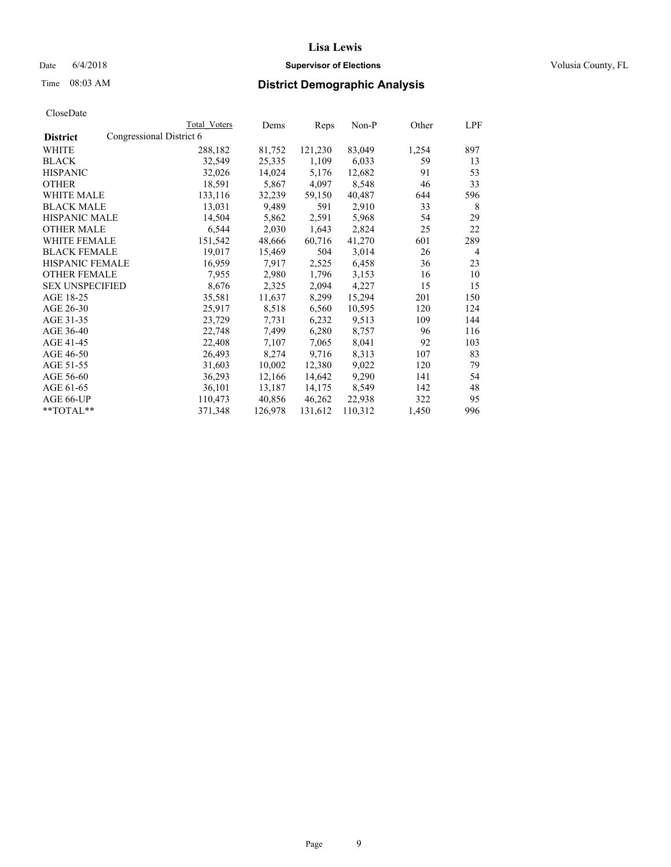### Date  $6/4/2018$  **Supervisor of Elections Supervisor of Elections** Volusia County, FL

|                        | <b>Total Voters</b>      | Dems    | Reps    | Non-P   | Other | LPF            |
|------------------------|--------------------------|---------|---------|---------|-------|----------------|
| <b>District</b>        | Congressional District 6 |         |         |         |       |                |
| WHITE                  | 288,182                  | 81,752  | 121,230 | 83,049  | 1,254 | 897            |
| <b>BLACK</b>           | 32,549                   | 25,335  | 1,109   | 6,033   | 59    | 13             |
| <b>HISPANIC</b>        | 32,026                   | 14,024  | 5,176   | 12,682  | 91    | 53             |
| <b>OTHER</b>           | 18,591                   | 5,867   | 4,097   | 8,548   | 46    | 33             |
| WHITE MALE             | 133,116                  | 32,239  | 59,150  | 40,487  | 644   | 596            |
| <b>BLACK MALE</b>      | 13,031                   | 9,489   | 591     | 2,910   | 33    | 8              |
| <b>HISPANIC MALE</b>   | 14,504                   | 5,862   | 2,591   | 5,968   | 54    | 29             |
| <b>OTHER MALE</b>      | 6,544                    | 2,030   | 1,643   | 2,824   | 25    | 22             |
| <b>WHITE FEMALE</b>    | 151,542                  | 48,666  | 60,716  | 41,270  | 601   | 289            |
| <b>BLACK FEMALE</b>    | 19,017                   | 15,469  | 504     | 3,014   | 26    | $\overline{4}$ |
| HISPANIC FEMALE        | 16,959                   | 7,917   | 2,525   | 6,458   | 36    | 23             |
| <b>OTHER FEMALE</b>    | 7,955                    | 2,980   | 1,796   | 3,153   | 16    | 10             |
| <b>SEX UNSPECIFIED</b> | 8,676                    | 2,325   | 2,094   | 4,227   | 15    | 15             |
| AGE 18-25              | 35,581                   | 11,637  | 8,299   | 15,294  | 201   | 150            |
| AGE 26-30              | 25,917                   | 8,518   | 6,560   | 10,595  | 120   | 124            |
| AGE 31-35              | 23,729                   | 7,731   | 6,232   | 9,513   | 109   | 144            |
| AGE 36-40              | 22,748                   | 7,499   | 6,280   | 8,757   | 96    | 116            |
| AGE 41-45              | 22,408                   | 7,107   | 7,065   | 8,041   | 92    | 103            |
| AGE 46-50              | 26,493                   | 8,274   | 9,716   | 8,313   | 107   | 83             |
| AGE 51-55              | 31,603                   | 10,002  | 12,380  | 9,022   | 120   | 79             |
| AGE 56-60              | 36,293                   | 12,166  | 14,642  | 9,290   | 141   | 54             |
| AGE 61-65              | 36,101                   | 13,187  | 14,175  | 8,549   | 142   | 48             |
| AGE 66-UP              | 110,473                  | 40,856  | 46,262  | 22,938  | 322   | 95             |
| $*$ $TOTAL**$          | 371,348                  | 126,978 | 131,612 | 110,312 | 1,450 | 996            |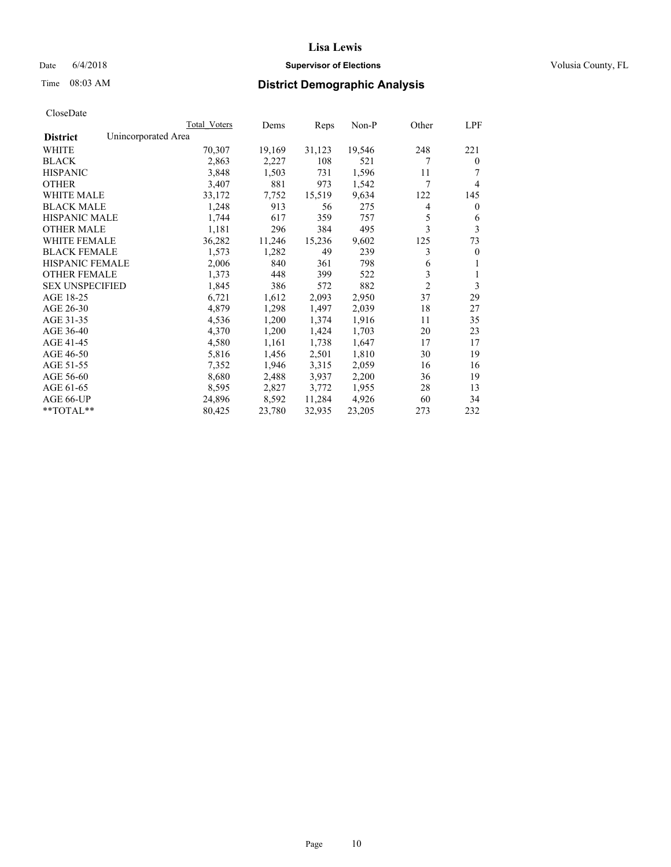### Date  $6/4/2018$  **Supervisor of Elections Supervisor of Elections** Volusia County, FL

# Time 08:03 AM **District Demographic Analysis**

|                        | Total Voters        | Dems   | Reps   | Non-P  | Other          | LPF          |
|------------------------|---------------------|--------|--------|--------|----------------|--------------|
| <b>District</b>        | Unincorporated Area |        |        |        |                |              |
| WHITE                  | 70,307              | 19,169 | 31,123 | 19,546 | 248            | 221          |
| <b>BLACK</b>           | 2,863               | 2,227  | 108    | 521    | 7              | $\mathbf{0}$ |
| <b>HISPANIC</b>        | 3,848               | 1,503  | 731    | 1,596  | 11             |              |
| <b>OTHER</b>           | 3,407               | 881    | 973    | 1,542  | 7              | 4            |
| WHITE MALE             | 33,172              | 7,752  | 15,519 | 9,634  | 122            | 145          |
| <b>BLACK MALE</b>      | 1,248               | 913    | 56     | 275    | 4              | $\theta$     |
| <b>HISPANIC MALE</b>   | 1,744               | 617    | 359    | 757    | 5              | 6            |
| <b>OTHER MALE</b>      | 1,181               | 296    | 384    | 495    | 3              | 3            |
| WHITE FEMALE           | 36,282              | 11,246 | 15,236 | 9,602  | 125            | 73           |
| <b>BLACK FEMALE</b>    | 1,573               | 1,282  | 49     | 239    | 3              | $\mathbf{0}$ |
| <b>HISPANIC FEMALE</b> | 2,006               | 840    | 361    | 798    | 6              | 1            |
| <b>OTHER FEMALE</b>    | 1,373               | 448    | 399    | 522    | 3              | 1            |
| <b>SEX UNSPECIFIED</b> | 1,845               | 386    | 572    | 882    | $\overline{2}$ | 3            |
| AGE 18-25              | 6,721               | 1,612  | 2,093  | 2,950  | 37             | 29           |
| AGE 26-30              | 4,879               | 1,298  | 1,497  | 2,039  | 18             | 27           |
| AGE 31-35              | 4,536               | 1,200  | 1,374  | 1,916  | 11             | 35           |
| AGE 36-40              | 4,370               | 1,200  | 1,424  | 1,703  | 20             | 23           |
| AGE 41-45              | 4,580               | 1,161  | 1,738  | 1,647  | 17             | 17           |
| AGE 46-50              | 5,816               | 1,456  | 2,501  | 1,810  | 30             | 19           |
| AGE 51-55              | 7,352               | 1,946  | 3,315  | 2,059  | 16             | 16           |
| AGE 56-60              | 8,680               | 2,488  | 3,937  | 2,200  | 36             | 19           |
| AGE 61-65              | 8,595               | 2,827  | 3,772  | 1,955  | 28             | 13           |
| AGE 66-UP              | 24,896              | 8,592  | 11,284 | 4,926  | 60             | 34           |
| $*$ $TOTAL**$          | 80,425              | 23,780 | 32,935 | 23,205 | 273            | 232          |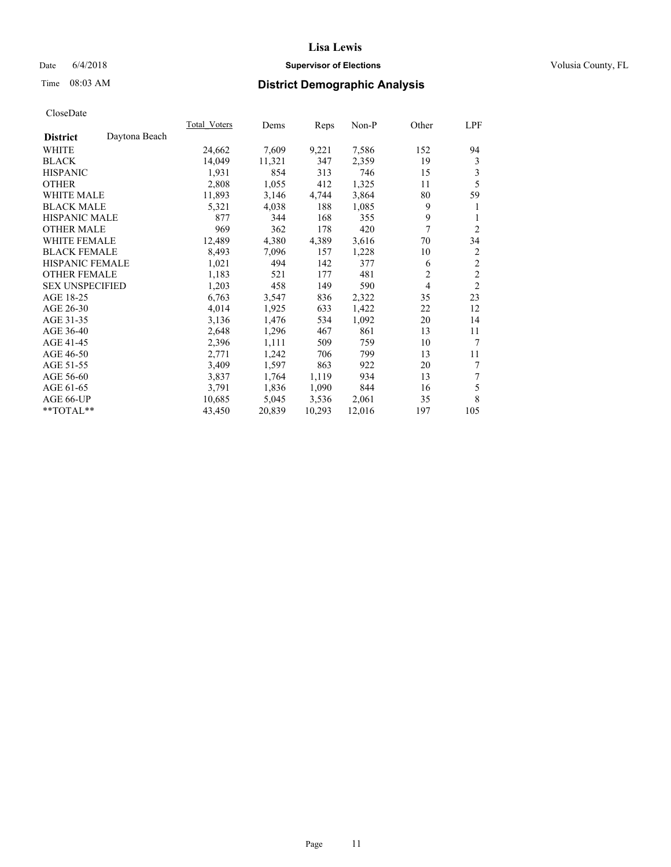### Date 6/4/2018 **Supervisor of Elections Supervisor of Elections** Volusia County, FL

# Time 08:03 AM **District Demographic Analysis**

|                        |               | Total Voters | Dems   | Reps   | Non-P  | Other          | LPF            |
|------------------------|---------------|--------------|--------|--------|--------|----------------|----------------|
| <b>District</b>        | Daytona Beach |              |        |        |        |                |                |
| WHITE                  |               | 24,662       | 7,609  | 9,221  | 7,586  | 152            | 94             |
| <b>BLACK</b>           |               | 14,049       | 11,321 | 347    | 2,359  | 19             | 3              |
| <b>HISPANIC</b>        |               | 1,931        | 854    | 313    | 746    | 15             | 3              |
| <b>OTHER</b>           |               | 2,808        | 1,055  | 412    | 1,325  | 11             | 5              |
| <b>WHITE MALE</b>      |               | 11,893       | 3,146  | 4,744  | 3,864  | 80             | 59             |
| <b>BLACK MALE</b>      |               | 5,321        | 4,038  | 188    | 1,085  | 9              | 1              |
| <b>HISPANIC MALE</b>   |               | 877          | 344    | 168    | 355    | 9              | 1              |
| <b>OTHER MALE</b>      |               | 969          | 362    | 178    | 420    | 7              | $\overline{2}$ |
| WHITE FEMALE           |               | 12,489       | 4,380  | 4,389  | 3,616  | 70             | 34             |
| <b>BLACK FEMALE</b>    |               | 8,493        | 7,096  | 157    | 1,228  | 10             | $\overline{c}$ |
| <b>HISPANIC FEMALE</b> |               | 1,021        | 494    | 142    | 377    | 6              | $\mathfrak{2}$ |
| <b>OTHER FEMALE</b>    |               | 1,183        | 521    | 177    | 481    | $\overline{2}$ | $\sqrt{2}$     |
| <b>SEX UNSPECIFIED</b> |               | 1,203        | 458    | 149    | 590    | $\overline{4}$ | $\mathfrak{2}$ |
| AGE 18-25              |               | 6,763        | 3,547  | 836    | 2,322  | 35             | 23             |
| AGE 26-30              |               | 4,014        | 1,925  | 633    | 1,422  | 22             | 12             |
| AGE 31-35              |               | 3,136        | 1,476  | 534    | 1,092  | 20             | 14             |
| AGE 36-40              |               | 2,648        | 1,296  | 467    | 861    | 13             | 11             |
| AGE 41-45              |               | 2,396        | 1,111  | 509    | 759    | 10             | 7              |
| AGE 46-50              |               | 2,771        | 1,242  | 706    | 799    | 13             | 11             |
| AGE 51-55              |               | 3,409        | 1,597  | 863    | 922    | 20             | 7              |
| AGE 56-60              |               | 3,837        | 1,764  | 1,119  | 934    | 13             | 7              |
| AGE 61-65              |               | 3,791        | 1,836  | 1,090  | 844    | 16             | 5              |
| AGE 66-UP              |               | 10,685       | 5,045  | 3,536  | 2,061  | 35             | 8              |
| $*$ TOTAL $*$          |               | 43,450       | 20,839 | 10,293 | 12,016 | 197            | 105            |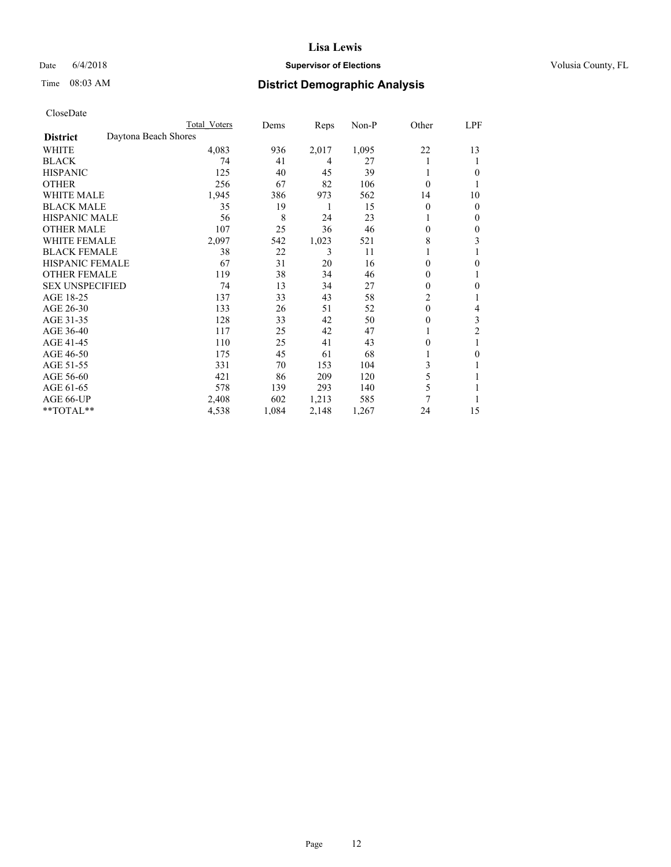### Date 6/4/2018 **Supervisor of Elections Supervisor of Elections** Volusia County, FL

# Time 08:03 AM **District Demographic Analysis**

|                        |                      | Total Voters | Dems  | Reps  | Non-P | Other          | LPF            |
|------------------------|----------------------|--------------|-------|-------|-------|----------------|----------------|
| <b>District</b>        | Daytona Beach Shores |              |       |       |       |                |                |
| WHITE                  |                      | 4,083        | 936   | 2,017 | 1,095 | 22             | 13             |
| <b>BLACK</b>           |                      | 74           | 41    | 4     | 27    |                | 1              |
| <b>HISPANIC</b>        |                      | 125          | 40    | 45    | 39    | 1              | 0              |
| <b>OTHER</b>           |                      | 256          | 67    | 82    | 106   | 0              |                |
| <b>WHITE MALE</b>      |                      | 1,945        | 386   | 973   | 562   | 14             | 10             |
| <b>BLACK MALE</b>      |                      | 35           | 19    | 1     | 15    | 0              | $\mathbf{0}$   |
| <b>HISPANIC MALE</b>   |                      | 56           | 8     | 24    | 23    |                | $\mathbf{0}$   |
| <b>OTHER MALE</b>      |                      | 107          | 25    | 36    | 46    | 0              | 0              |
| WHITE FEMALE           |                      | 2,097        | 542   | 1,023 | 521   | 8              | 3              |
| <b>BLACK FEMALE</b>    |                      | 38           | 22    | 3     | 11    |                |                |
| <b>HISPANIC FEMALE</b> |                      | 67           | 31    | 20    | 16    | 0              | 0              |
| <b>OTHER FEMALE</b>    |                      | 119          | 38    | 34    | 46    | 0              | 1              |
| <b>SEX UNSPECIFIED</b> |                      | 74           | 13    | 34    | 27    | 0              | $\mathbf{0}$   |
| AGE 18-25              |                      | 137          | 33    | 43    | 58    | $\overline{c}$ |                |
| AGE 26-30              |                      | 133          | 26    | 51    | 52    | $\theta$       | 4              |
| AGE 31-35              |                      | 128          | 33    | 42    | 50    | 0              | 3              |
| AGE 36-40              |                      | 117          | 25    | 42    | 47    |                | $\overline{c}$ |
| AGE 41-45              |                      | 110          | 25    | 41    | 43    | 0              |                |
| AGE 46-50              |                      | 175          | 45    | 61    | 68    |                | 0              |
| AGE 51-55              |                      | 331          | 70    | 153   | 104   | 3              | 1              |
| AGE 56-60              |                      | 421          | 86    | 209   | 120   | 5              |                |
| AGE 61-65              |                      | 578          | 139   | 293   | 140   | 5              |                |
| AGE 66-UP              |                      | 2,408        | 602   | 1,213 | 585   | 7              |                |
| **TOTAL**              |                      | 4,538        | 1,084 | 2,148 | 1,267 | 24             | 15             |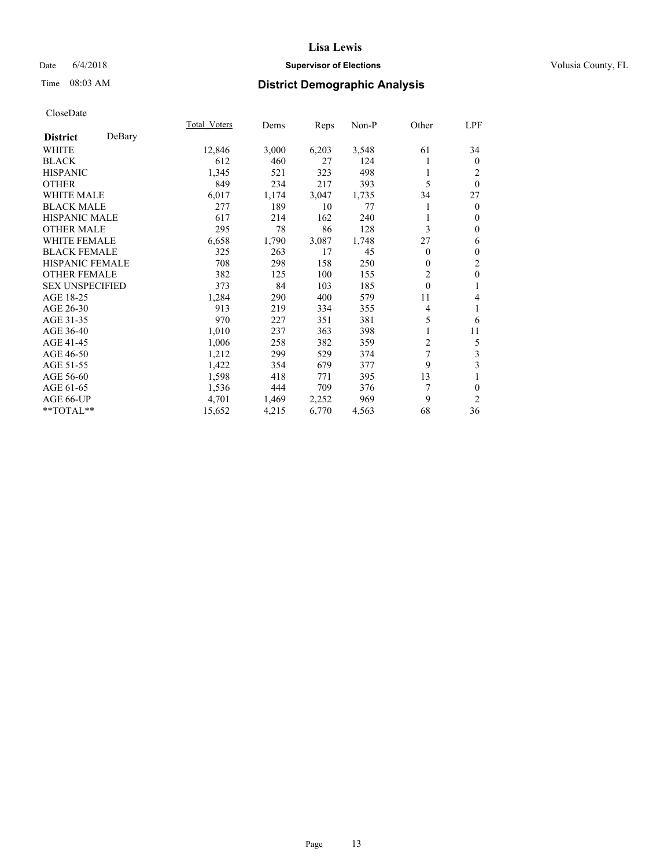### Date 6/4/2018 **Supervisor of Elections Supervisor of Elections** Volusia County, FL

# Time 08:03 AM **District Demographic Analysis**

|                        |        | Total Voters | Dems  | Reps  | Non-P | Other          | LPF            |
|------------------------|--------|--------------|-------|-------|-------|----------------|----------------|
| <b>District</b>        | DeBary |              |       |       |       |                |                |
| WHITE                  |        | 12,846       | 3,000 | 6,203 | 3,548 | 61             | 34             |
| <b>BLACK</b>           |        | 612          | 460   | 27    | 124   |                | $\mathbf{0}$   |
| <b>HISPANIC</b>        |        | 1,345        | 521   | 323   | 498   |                | 2              |
| <b>OTHER</b>           |        | 849          | 234   | 217   | 393   | 5              | $\theta$       |
| WHITE MALE             |        | 6,017        | 1,174 | 3,047 | 1,735 | 34             | 27             |
| <b>BLACK MALE</b>      |        | 277          | 189   | 10    | 77    |                | $\mathbf{0}$   |
| <b>HISPANIC MALE</b>   |        | 617          | 214   | 162   | 240   |                | $\theta$       |
| <b>OTHER MALE</b>      |        | 295          | 78    | 86    | 128   | 3              | $\mathbf{0}$   |
| <b>WHITE FEMALE</b>    |        | 6,658        | 1,790 | 3,087 | 1,748 | 27             | 6              |
| <b>BLACK FEMALE</b>    |        | 325          | 263   | 17    | 45    | $\Omega$       | $\mathbf{0}$   |
| <b>HISPANIC FEMALE</b> |        | 708          | 298   | 158   | 250   | 0              | $\overline{c}$ |
| <b>OTHER FEMALE</b>    |        | 382          | 125   | 100   | 155   | $\overline{2}$ | $\mathbf{0}$   |
| <b>SEX UNSPECIFIED</b> |        | 373          | 84    | 103   | 185   | $\theta$       | 1              |
| AGE 18-25              |        | 1,284        | 290   | 400   | 579   | 11             | 4              |
| AGE 26-30              |        | 913          | 219   | 334   | 355   | 4              | 1              |
| AGE 31-35              |        | 970          | 227   | 351   | 381   | 5              | 6              |
| AGE 36-40              |        | 1,010        | 237   | 363   | 398   |                | 11             |
| AGE 41-45              |        | 1,006        | 258   | 382   | 359   | 2              | 5              |
| AGE 46-50              |        | 1,212        | 299   | 529   | 374   | 7              | 3              |
| AGE 51-55              |        | 1,422        | 354   | 679   | 377   | 9              | 3              |
| AGE 56-60              |        | 1,598        | 418   | 771   | 395   | 13             | 1              |
| AGE 61-65              |        | 1,536        | 444   | 709   | 376   | 7              | $\theta$       |
| AGE 66-UP              |        | 4,701        | 1,469 | 2,252 | 969   | 9              | $\overline{2}$ |
| **TOTAL**              |        | 15,652       | 4,215 | 6,770 | 4,563 | 68             | 36             |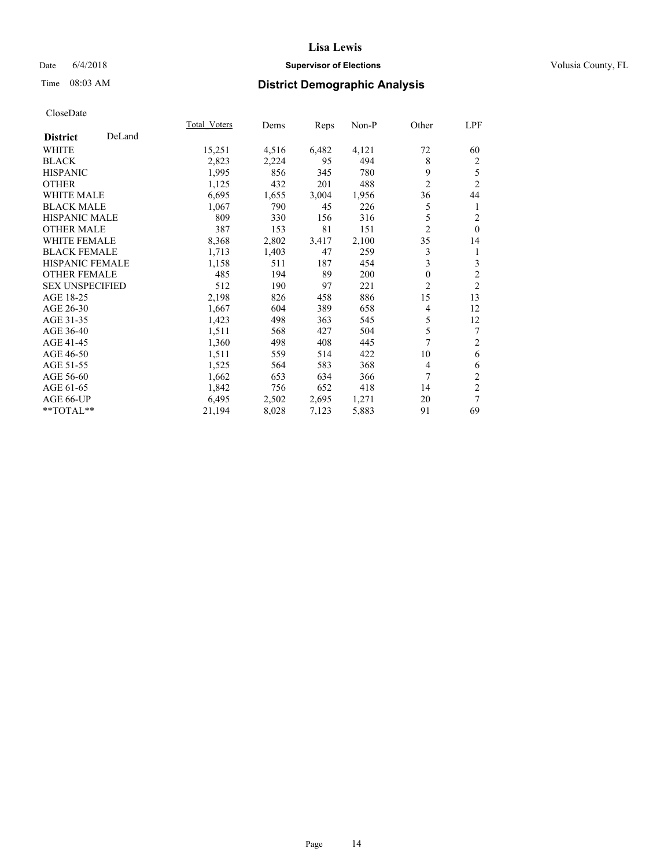### Date 6/4/2018 **Supervisor of Elections Supervisor of Elections** Volusia County, FL

# Time 08:03 AM **District Demographic Analysis**

|                        |        | Total Voters | Dems  | Reps  | Non-P | Other          | LPF            |
|------------------------|--------|--------------|-------|-------|-------|----------------|----------------|
| <b>District</b>        | DeLand |              |       |       |       |                |                |
| <b>WHITE</b>           |        | 15,251       | 4,516 | 6,482 | 4,121 | 72             | 60             |
| <b>BLACK</b>           |        | 2,823        | 2,224 | 95    | 494   | 8              | $\overline{c}$ |
| <b>HISPANIC</b>        |        | 1,995        | 856   | 345   | 780   | 9              | 5              |
| <b>OTHER</b>           |        | 1,125        | 432   | 201   | 488   | $\overline{2}$ | $\overline{2}$ |
| WHITE MALE             |        | 6,695        | 1,655 | 3,004 | 1,956 | 36             | 44             |
| <b>BLACK MALE</b>      |        | 1,067        | 790   | 45    | 226   | 5              | 1              |
| <b>HISPANIC MALE</b>   |        | 809          | 330   | 156   | 316   | 5              | $\overline{c}$ |
| <b>OTHER MALE</b>      |        | 387          | 153   | 81    | 151   | $\overline{2}$ | $\theta$       |
| WHITE FEMALE           |        | 8,368        | 2,802 | 3,417 | 2,100 | 35             | 14             |
| <b>BLACK FEMALE</b>    |        | 1,713        | 1,403 | 47    | 259   | 3              | 1              |
| <b>HISPANIC FEMALE</b> |        | 1,158        | 511   | 187   | 454   | 3              | 3              |
| <b>OTHER FEMALE</b>    |        | 485          | 194   | 89    | 200   | 0              | $\overline{c}$ |
| <b>SEX UNSPECIFIED</b> |        | 512          | 190   | 97    | 221   | $\overline{c}$ | $\overline{2}$ |
| AGE 18-25              |        | 2,198        | 826   | 458   | 886   | 15             | 13             |
| AGE 26-30              |        | 1,667        | 604   | 389   | 658   | 4              | 12             |
| AGE 31-35              |        | 1,423        | 498   | 363   | 545   | 5              | 12             |
| AGE 36-40              |        | 1,511        | 568   | 427   | 504   | 5              | 7              |
| AGE 41-45              |        | 1,360        | 498   | 408   | 445   | 7              | $\overline{2}$ |
| AGE 46-50              |        | 1,511        | 559   | 514   | 422   | 10             | 6              |
| AGE 51-55              |        | 1,525        | 564   | 583   | 368   | 4              | 6              |
| AGE 56-60              |        | 1,662        | 653   | 634   | 366   | 7              | $\overline{2}$ |
| AGE 61-65              |        | 1,842        | 756   | 652   | 418   | 14             | $\overline{2}$ |
| AGE 66-UP              |        | 6,495        | 2,502 | 2,695 | 1,271 | 20             | 7              |
| **TOTAL**              |        | 21,194       | 8,028 | 7,123 | 5,883 | 91             | 69             |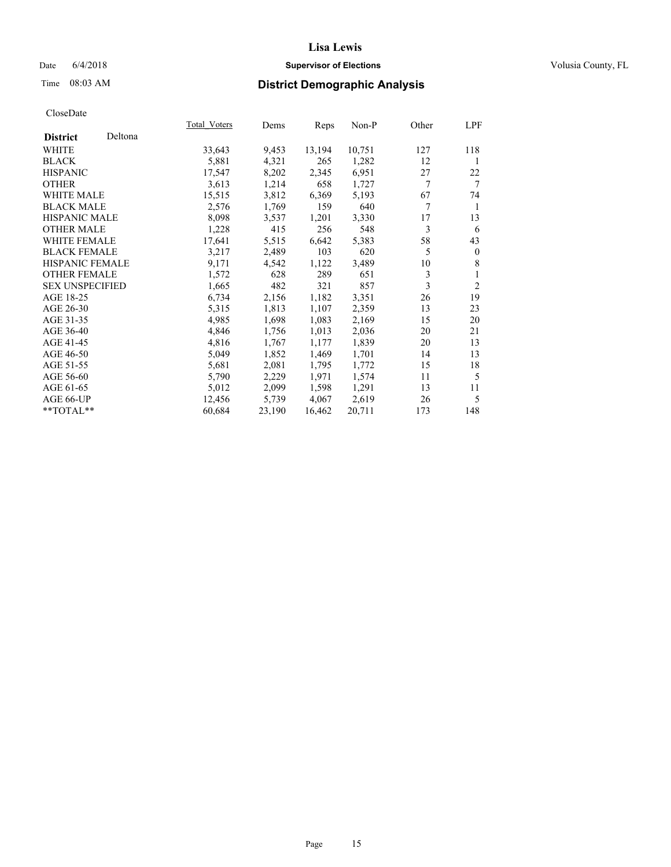### Date 6/4/2018 **Supervisor of Elections Supervisor of Elections** Volusia County, FL

# Time 08:03 AM **District Demographic Analysis**

|                        |         | Total Voters | Dems   | Reps   | Non-P  | Other | LPF            |
|------------------------|---------|--------------|--------|--------|--------|-------|----------------|
| <b>District</b>        | Deltona |              |        |        |        |       |                |
| WHITE                  |         | 33,643       | 9,453  | 13,194 | 10,751 | 127   | 118            |
| <b>BLACK</b>           |         | 5,881        | 4,321  | 265    | 1,282  | 12    | 1              |
| <b>HISPANIC</b>        |         | 17,547       | 8,202  | 2,345  | 6,951  | 27    | 22             |
| <b>OTHER</b>           |         | 3,613        | 1,214  | 658    | 1,727  | 7     | 7              |
| <b>WHITE MALE</b>      |         | 15,515       | 3,812  | 6,369  | 5,193  | 67    | 74             |
| <b>BLACK MALE</b>      |         | 2,576        | 1,769  | 159    | 640    | 7     | 1              |
| <b>HISPANIC MALE</b>   |         | 8,098        | 3,537  | 1,201  | 3,330  | 17    | 13             |
| <b>OTHER MALE</b>      |         | 1,228        | 415    | 256    | 548    | 3     | 6              |
| <b>WHITE FEMALE</b>    |         | 17,641       | 5,515  | 6,642  | 5,383  | 58    | 43             |
| <b>BLACK FEMALE</b>    |         | 3,217        | 2,489  | 103    | 620    | 5     | $\Omega$       |
| HISPANIC FEMALE        |         | 9,171        | 4,542  | 1,122  | 3,489  | 10    | 8              |
| <b>OTHER FEMALE</b>    |         | 1,572        | 628    | 289    | 651    | 3     | 1              |
| <b>SEX UNSPECIFIED</b> |         | 1,665        | 482    | 321    | 857    | 3     | $\overline{2}$ |
| AGE 18-25              |         | 6,734        | 2,156  | 1,182  | 3,351  | 26    | 19             |
| AGE 26-30              |         | 5,315        | 1,813  | 1,107  | 2,359  | 13    | 23             |
| AGE 31-35              |         | 4,985        | 1,698  | 1,083  | 2,169  | 15    | 20             |
| AGE 36-40              |         | 4,846        | 1,756  | 1,013  | 2,036  | 20    | 21             |
| AGE 41-45              |         | 4,816        | 1,767  | 1,177  | 1,839  | 20    | 13             |
| AGE 46-50              |         | 5,049        | 1,852  | 1,469  | 1,701  | 14    | 13             |
| AGE 51-55              |         | 5,681        | 2,081  | 1,795  | 1,772  | 15    | 18             |
| AGE 56-60              |         | 5,790        | 2,229  | 1,971  | 1,574  | 11    | 5              |
| AGE 61-65              |         | 5,012        | 2,099  | 1,598  | 1,291  | 13    | 11             |
| AGE 66-UP              |         | 12,456       | 5,739  | 4,067  | 2,619  | 26    | 5              |
| $*$ TOTAL $*$          |         | 60,684       | 23,190 | 16,462 | 20,711 | 173   | 148            |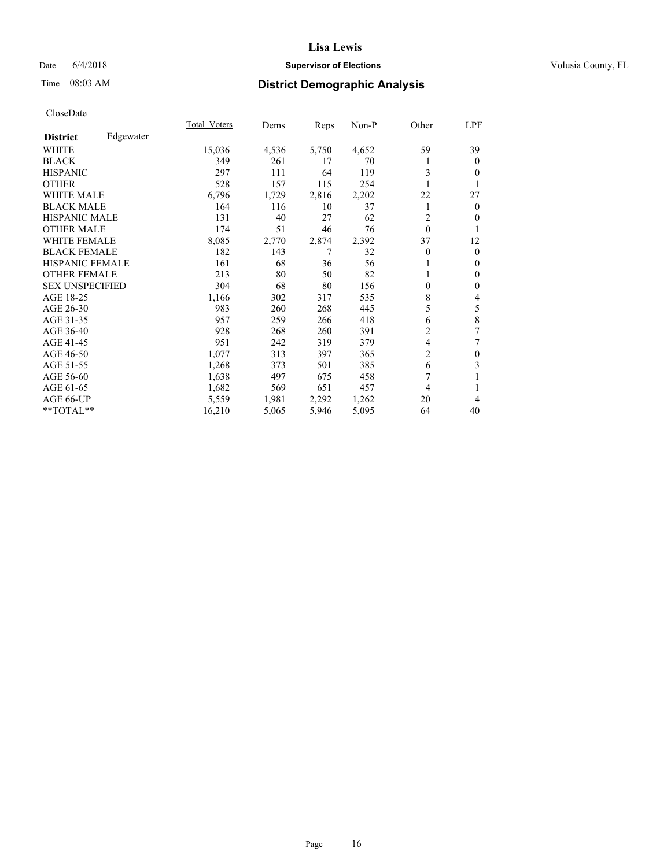### Date 6/4/2018 **Supervisor of Elections Supervisor of Elections** Volusia County, FL

# Time 08:03 AM **District Demographic Analysis**

|                        |           | Total Voters | Dems  | Reps  | Non-P | Other          | LPF            |
|------------------------|-----------|--------------|-------|-------|-------|----------------|----------------|
| <b>District</b>        | Edgewater |              |       |       |       |                |                |
| WHITE                  |           | 15,036       | 4,536 | 5,750 | 4,652 | 59             | 39             |
| <b>BLACK</b>           |           | 349          | 261   | 17    | 70    |                | $\overline{0}$ |
| <b>HISPANIC</b>        |           | 297          | 111   | 64    | 119   | 3              | 0              |
| <b>OTHER</b>           |           | 528          | 157   | 115   | 254   |                |                |
| <b>WHITE MALE</b>      |           | 6,796        | 1,729 | 2,816 | 2,202 | 22             | 27             |
| <b>BLACK MALE</b>      |           | 164          | 116   | 10    | 37    |                | 0              |
| <b>HISPANIC MALE</b>   |           | 131          | 40    | 27    | 62    | 2              | 0              |
| <b>OTHER MALE</b>      |           | 174          | 51    | 46    | 76    | $\mathbf{0}$   | 1              |
| <b>WHITE FEMALE</b>    |           | 8,085        | 2,770 | 2,874 | 2,392 | 37             | 12             |
| <b>BLACK FEMALE</b>    |           | 182          | 143   | 7     | 32    | $\theta$       | $\overline{0}$ |
| <b>HISPANIC FEMALE</b> |           | 161          | 68    | 36    | 56    |                | 0              |
| <b>OTHER FEMALE</b>    |           | 213          | 80    | 50    | 82    |                | $\mathbf{0}$   |
| <b>SEX UNSPECIFIED</b> |           | 304          | 68    | 80    | 156   | 0              | 0              |
| AGE 18-25              |           | 1,166        | 302   | 317   | 535   | 8              | 4              |
| AGE 26-30              |           | 983          | 260   | 268   | 445   | 5              | 5              |
| AGE 31-35              |           | 957          | 259   | 266   | 418   | 6              | 8              |
| AGE 36-40              |           | 928          | 268   | 260   | 391   | 2              | 7              |
| AGE 41-45              |           | 951          | 242   | 319   | 379   | 4              | 7              |
| AGE 46-50              |           | 1,077        | 313   | 397   | 365   | $\overline{c}$ | $\theta$       |
| AGE 51-55              |           | 1,268        | 373   | 501   | 385   | 6              | 3              |
| AGE 56-60              |           | 1,638        | 497   | 675   | 458   | 7              |                |
| AGE 61-65              |           | 1,682        | 569   | 651   | 457   | 4              |                |
| AGE 66-UP              |           | 5,559        | 1,981 | 2,292 | 1,262 | 20             | 4              |
| **TOTAL**              |           | 16,210       | 5,065 | 5,946 | 5,095 | 64             | 40             |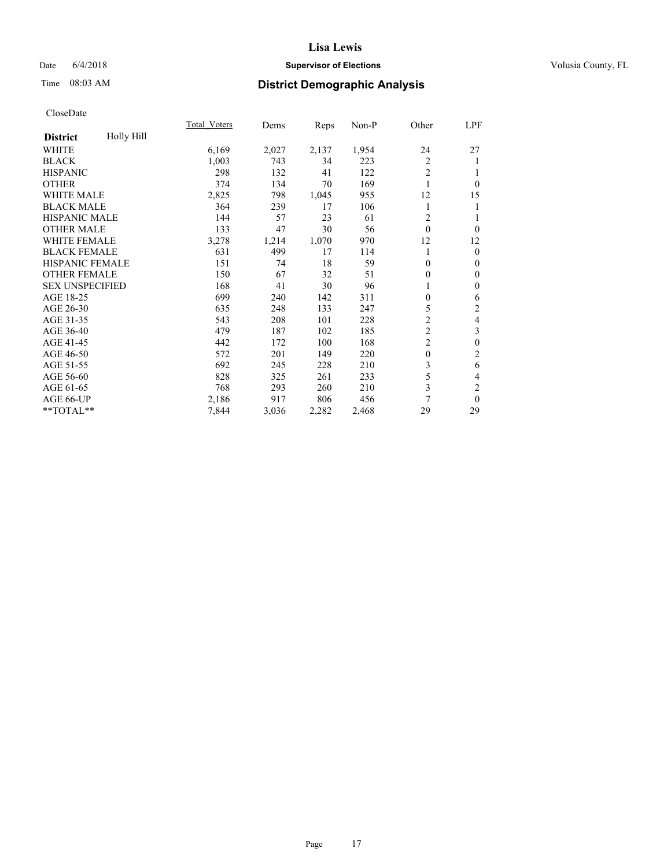### Date 6/4/2018 **Supervisor of Elections Supervisor of Elections** Volusia County, FL

# Time 08:03 AM **District Demographic Analysis**

|                                      | Total Voters | Dems  | Reps  | Non-P | Other          | LPF                     |
|--------------------------------------|--------------|-------|-------|-------|----------------|-------------------------|
| <b>Holly Hill</b><br><b>District</b> |              |       |       |       |                |                         |
| WHITE                                | 6,169        | 2,027 | 2,137 | 1,954 | 24             | 27                      |
| <b>BLACK</b>                         | 1,003        | 743   | 34    | 223   | 2              | 1                       |
| <b>HISPANIC</b>                      | 298          | 132   | 41    | 122   | $\overline{2}$ | 1                       |
| <b>OTHER</b>                         | 374          | 134   | 70    | 169   | 1              | $\theta$                |
| <b>WHITE MALE</b>                    | 2,825        | 798   | 1,045 | 955   | 12             | 15                      |
| <b>BLACK MALE</b>                    | 364          | 239   | 17    | 106   | 1              | 1                       |
| HISPANIC MALE                        | 144          | 57    | 23    | 61    | 2              | 1                       |
| <b>OTHER MALE</b>                    | 133          | 47    | 30    | 56    | $\theta$       | $\theta$                |
| <b>WHITE FEMALE</b>                  | 3,278        | 1,214 | 1,070 | 970   | 12             | 12                      |
| <b>BLACK FEMALE</b>                  | 631          | 499   | 17    | 114   | 1              | $\theta$                |
| <b>HISPANIC FEMALE</b>               | 151          | 74    | 18    | 59    | $\mathbf{0}$   | $\mathbf{0}$            |
| <b>OTHER FEMALE</b>                  | 150          | 67    | 32    | 51    | 0              | $\mathbf{0}$            |
| <b>SEX UNSPECIFIED</b>               | 168          | 41    | 30    | 96    |                | $\boldsymbol{0}$        |
| AGE 18-25                            | 699          | 240   | 142   | 311   | 0              | 6                       |
| AGE 26-30                            | 635          | 248   | 133   | 247   | 5              | 2                       |
| AGE 31-35                            | 543          | 208   | 101   | 228   | $\overline{2}$ | $\overline{\mathbf{4}}$ |
| AGE 36-40                            | 479          | 187   | 102   | 185   | $\overline{c}$ | 3                       |
| AGE 41-45                            | 442          | 172   | 100   | 168   | $\overline{2}$ | $\boldsymbol{0}$        |
| AGE 46-50                            | 572          | 201   | 149   | 220   | $\mathbf{0}$   | $\overline{c}$          |
| AGE 51-55                            | 692          | 245   | 228   | 210   | 3              | 6                       |
| AGE 56-60                            | 828          | 325   | 261   | 233   | 5              | 4                       |
| AGE 61-65                            | 768          | 293   | 260   | 210   | 3              | $\overline{c}$          |
| AGE 66-UP                            | 2,186        | 917   | 806   | 456   | 7              | $\theta$                |
| **TOTAL**                            | 7,844        | 3,036 | 2,282 | 2,468 | 29             | 29                      |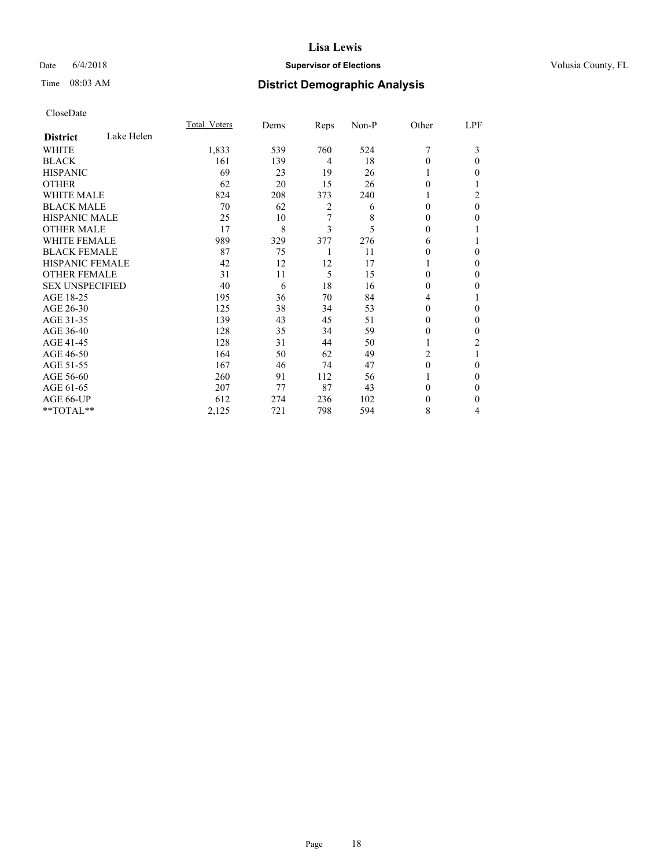### Date 6/4/2018 **Supervisor of Elections Supervisor of Elections** Volusia County, FL

# Time 08:03 AM **District Demographic Analysis**

|                        |            | Total Voters | Dems | Reps           | Non-P | Other    | LPF      |
|------------------------|------------|--------------|------|----------------|-------|----------|----------|
| <b>District</b>        | Lake Helen |              |      |                |       |          |          |
| WHITE                  |            | 1,833        | 539  | 760            | 524   | 7        | 3        |
| <b>BLACK</b>           |            | 161          | 139  | $\overline{4}$ | 18    | 0        | 0        |
| <b>HISPANIC</b>        |            | 69           | 23   | 19             | 26    |          | 0        |
| <b>OTHER</b>           |            | 62           | 20   | 15             | 26    | $\Omega$ |          |
| <b>WHITE MALE</b>      |            | 824          | 208  | 373            | 240   | 1        | 2        |
| <b>BLACK MALE</b>      |            | 70           | 62   | 2              | 6     | $\theta$ | $\theta$ |
| <b>HISPANIC MALE</b>   |            | 25           | 10   | 7              | 8     | 0        | 0        |
| <b>OTHER MALE</b>      |            | 17           | 8    | 3              | 5     | $\theta$ |          |
| <b>WHITE FEMALE</b>    |            | 989          | 329  | 377            | 276   | 6        |          |
| <b>BLACK FEMALE</b>    |            | 87           | 75   | 1              | 11    | 0        | 0        |
| <b>HISPANIC FEMALE</b> |            | 42           | 12   | 12             | 17    |          | 0        |
| <b>OTHER FEMALE</b>    |            | 31           | 11   | 5              | 15    | $\Omega$ | 0        |
| <b>SEX UNSPECIFIED</b> |            | 40           | 6    | 18             | 16    | $\Omega$ | 0        |
| AGE 18-25              |            | 195          | 36   | 70             | 84    | 4        |          |
| AGE 26-30              |            | 125          | 38   | 34             | 53    | $\theta$ | 0        |
| AGE 31-35              |            | 139          | 43   | 45             | 51    | 0        | 0        |
| AGE 36-40              |            | 128          | 35   | 34             | 59    | 0        | 0        |
| AGE 41-45              |            | 128          | 31   | 44             | 50    |          | 2        |
| AGE 46-50              |            | 164          | 50   | 62             | 49    | 2        |          |
| AGE 51-55              |            | 167          | 46   | 74             | 47    | $\Omega$ | 0        |
| AGE 56-60              |            | 260          | 91   | 112            | 56    |          | 0        |
| AGE 61-65              |            | 207          | 77   | 87             | 43    | 0        | 0        |
| AGE 66-UP              |            | 612          | 274  | 236            | 102   | $_{0}$   | $_{0}$   |
| **TOTAL**              |            | 2,125        | 721  | 798            | 594   | 8        | 4        |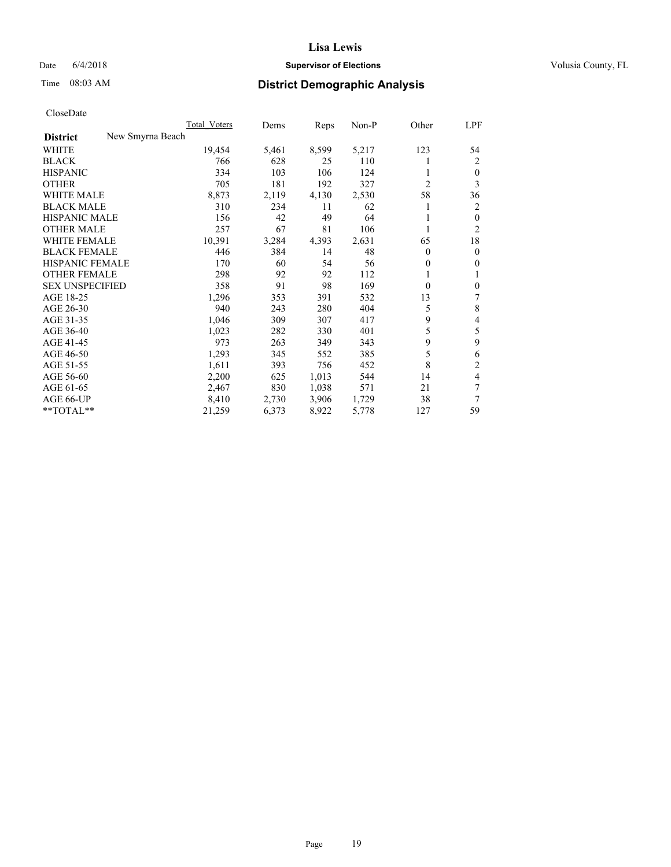### Date 6/4/2018 **Supervisor of Elections Supervisor of Elections** Volusia County, FL

# Time 08:03 AM **District Demographic Analysis**

|                        |                  | Total Voters | Dems  | Reps  | Non-P | Other          | LPF            |
|------------------------|------------------|--------------|-------|-------|-------|----------------|----------------|
| <b>District</b>        | New Smyrna Beach |              |       |       |       |                |                |
| WHITE                  |                  | 19,454       | 5,461 | 8,599 | 5,217 | 123            | 54             |
| <b>BLACK</b>           |                  | 766          | 628   | 25    | 110   |                | 2              |
| <b>HISPANIC</b>        |                  | 334          | 103   | 106   | 124   | 1              | $\theta$       |
| <b>OTHER</b>           |                  | 705          | 181   | 192   | 327   | $\overline{2}$ | 3              |
| <b>WHITE MALE</b>      |                  | 8,873        | 2,119 | 4,130 | 2,530 | 58             | 36             |
| <b>BLACK MALE</b>      |                  | 310          | 234   | 11    | 62    |                | 2              |
| <b>HISPANIC MALE</b>   |                  | 156          | 42    | 49    | 64    | 1              | $\mathbf{0}$   |
| <b>OTHER MALE</b>      |                  | 257          | 67    | 81    | 106   | 1              | $\overline{2}$ |
| WHITE FEMALE           |                  | 10,391       | 3,284 | 4,393 | 2,631 | 65             | 18             |
| <b>BLACK FEMALE</b>    |                  | 446          | 384   | 14    | 48    | 0              | $\mathbf{0}$   |
| <b>HISPANIC FEMALE</b> |                  | 170          | 60    | 54    | 56    | 0              | $\theta$       |
| <b>OTHER FEMALE</b>    |                  | 298          | 92    | 92    | 112   | 1              | 1              |
| <b>SEX UNSPECIFIED</b> |                  | 358          | 91    | 98    | 169   | $\theta$       | $\mathbf{0}$   |
| AGE 18-25              |                  | 1,296        | 353   | 391   | 532   | 13             | 7              |
| AGE 26-30              |                  | 940          | 243   | 280   | 404   | 5              | 8              |
| AGE 31-35              |                  | 1,046        | 309   | 307   | 417   | 9              | 4              |
| AGE 36-40              |                  | 1,023        | 282   | 330   | 401   | 5              | 5              |
| AGE 41-45              |                  | 973          | 263   | 349   | 343   | 9              | 9              |
| AGE 46-50              |                  | 1,293        | 345   | 552   | 385   | 5              | 6              |
| AGE 51-55              |                  | 1,611        | 393   | 756   | 452   | 8              | $\overline{2}$ |
| AGE 56-60              |                  | 2,200        | 625   | 1,013 | 544   | 14             | 4              |
| AGE 61-65              |                  | 2,467        | 830   | 1,038 | 571   | 21             | 7              |
| AGE 66-UP              |                  | 8,410        | 2,730 | 3,906 | 1,729 | 38             | 7              |
| $*$ TOTAL $*$          |                  | 21,259       | 6,373 | 8,922 | 5,778 | 127            | 59             |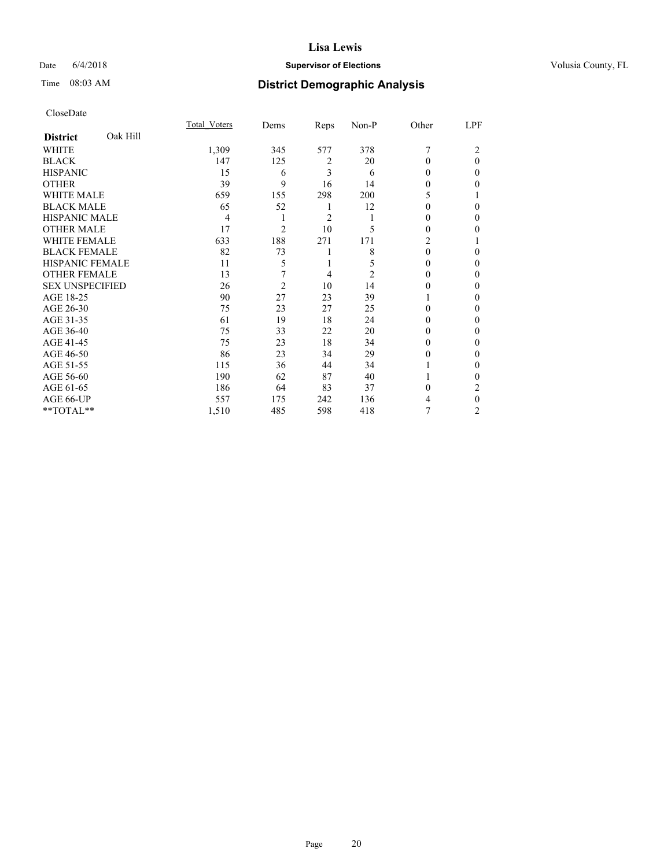### Date 6/4/2018 **Supervisor of Elections Supervisor of Elections** Volusia County, FL

# Time 08:03 AM **District Demographic Analysis**

|                        |          | Total Voters | Dems           | Reps           | Non-P | Other          | LPF      |
|------------------------|----------|--------------|----------------|----------------|-------|----------------|----------|
| <b>District</b>        | Oak Hill |              |                |                |       |                |          |
| WHITE                  |          | 1,309        | 345            | 577            | 378   | 7              | 2        |
| <b>BLACK</b>           |          | 147          | 125            | 2              | 20    | 0              | $\Omega$ |
| <b>HISPANIC</b>        |          | 15           | 6              | 3              | 6     | 0              | 0        |
| <b>OTHER</b>           |          | 39           | 9              | 16             | 14    | 0              | 0        |
| <b>WHITE MALE</b>      |          | 659          | 155            | 298            | 200   | 5              |          |
| <b>BLACK MALE</b>      |          | 65           | 52             | 1              | 12    | 0              | 0        |
| <b>HISPANIC MALE</b>   |          | 4            | 1              | $\overline{2}$ | 1     | 0              | 0        |
| <b>OTHER MALE</b>      |          | 17           | $\overline{c}$ | 10             | 5     | 0              | 0        |
| <b>WHITE FEMALE</b>    |          | 633          | 188            | 271            | 171   | $\overline{c}$ |          |
| <b>BLACK FEMALE</b>    |          | 82           | 73             | 1              | 8     | $\Omega$       | 0        |
| <b>HISPANIC FEMALE</b> |          | 11           | 5              | 1              | 5     | 0              | 0        |
| <b>OTHER FEMALE</b>    |          | 13           | 7              | $\overline{4}$ | 2     | 0              | 0        |
| <b>SEX UNSPECIFIED</b> |          | 26           | $\overline{2}$ | 10             | 14    | 0              | 0        |
| AGE 18-25              |          | 90           | 27             | 23             | 39    |                | 0        |
| AGE 26-30              |          | 75           | 23             | 27             | 25    | 0              | 0        |
| AGE 31-35              |          | 61           | 19             | 18             | 24    | 0              | 0        |
| AGE 36-40              |          | 75           | 33             | 22             | 20    | 0              | 0        |
| AGE 41-45              |          | 75           | 23             | 18             | 34    | 0              | 0        |
| AGE 46-50              |          | 86           | 23             | 34             | 29    | 0              | 0        |
| AGE 51-55              |          | 115          | 36             | 44             | 34    |                | $\Omega$ |
| AGE 56-60              |          | 190          | 62             | 87             | 40    |                | 0        |
| AGE 61-65              |          | 186          | 64             | 83             | 37    | $\Omega$       | 2        |
| AGE 66-UP              |          | 557          | 175            | 242            | 136   | 4              | $\theta$ |
| **TOTAL**              |          | 1,510        | 485            | 598            | 418   |                | 2        |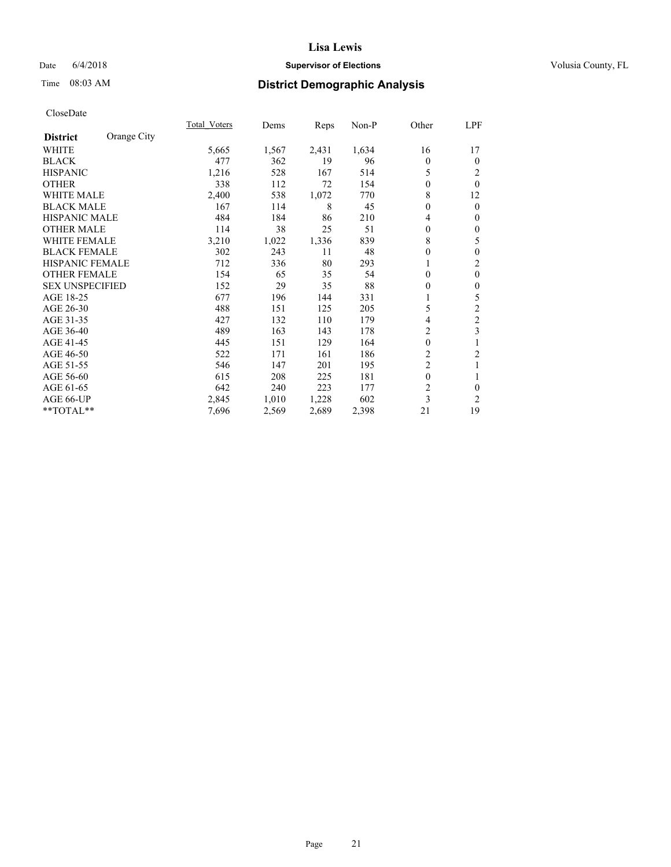### Date 6/4/2018 **Supervisor of Elections Supervisor of Elections** Volusia County, FL

# Time 08:03 AM **District Demographic Analysis**

|                                | Total Voters | Dems  | Reps  | $Non-P$ | Other          | LPF            |
|--------------------------------|--------------|-------|-------|---------|----------------|----------------|
| Orange City<br><b>District</b> |              |       |       |         |                |                |
| WHITE                          | 5,665        | 1,567 | 2,431 | 1,634   | 16             | 17             |
| <b>BLACK</b>                   | 477          | 362   | 19    | 96      | $\Omega$       | $\mathbf{0}$   |
| <b>HISPANIC</b>                | 1,216        | 528   | 167   | 514     | 5              | 2              |
| <b>OTHER</b>                   | 338          | 112   | 72    | 154     | 0              | $\theta$       |
| WHITE MALE                     | 2,400        | 538   | 1,072 | 770     | 8              | 12             |
| <b>BLACK MALE</b>              | 167          | 114   | 8     | 45      | 0              | $\mathbf{0}$   |
| <b>HISPANIC MALE</b>           | 484          | 184   | 86    | 210     | 4              | $\theta$       |
| <b>OTHER MALE</b>              | 114          | 38    | 25    | 51      | $\theta$       | $\mathbf{0}$   |
| <b>WHITE FEMALE</b>            | 3,210        | 1,022 | 1,336 | 839     | 8              | 5              |
| <b>BLACK FEMALE</b>            | 302          | 243   | 11    | 48      | 0              | $\mathbf{0}$   |
| <b>HISPANIC FEMALE</b>         | 712          | 336   | 80    | 293     |                | $\overline{c}$ |
| <b>OTHER FEMALE</b>            | 154          | 65    | 35    | 54      | $\Omega$       | $\mathbf{0}$   |
| <b>SEX UNSPECIFIED</b>         | 152          | 29    | 35    | 88      | 0              | $\mathbf{0}$   |
| AGE 18-25                      | 677          | 196   | 144   | 331     |                | 5              |
| AGE 26-30                      | 488          | 151   | 125   | 205     | 5              | $\overline{c}$ |
| AGE 31-35                      | 427          | 132   | 110   | 179     | 4              | $\overline{c}$ |
| AGE 36-40                      | 489          | 163   | 143   | 178     | 2              | 3              |
| AGE 41-45                      | 445          | 151   | 129   | 164     | $\mathbf{0}$   | 1              |
| AGE 46-50                      | 522          | 171   | 161   | 186     | $\overline{2}$ | 2              |
| AGE 51-55                      | 546          | 147   | 201   | 195     | $\overline{2}$ | 1              |
| AGE 56-60                      | 615          | 208   | 225   | 181     | $\theta$       | 1              |
| AGE 61-65                      | 642          | 240   | 223   | 177     | $\overline{2}$ | $\theta$       |
| AGE 66-UP                      | 2,845        | 1,010 | 1,228 | 602     | 3              | 2              |
| **TOTAL**                      | 7,696        | 2,569 | 2,689 | 2,398   | 21             | 19             |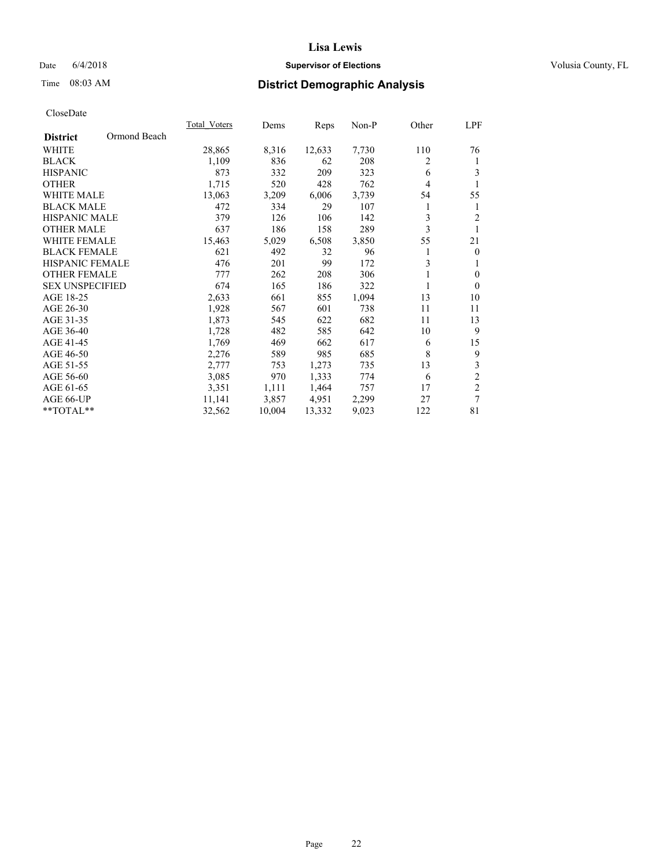### Date 6/4/2018 **Supervisor of Elections Supervisor of Elections** Volusia County, FL

# Time 08:03 AM **District Demographic Analysis**

|                        |              | Total Voters | Dems   | Reps   | Non-P | Other | LPF            |
|------------------------|--------------|--------------|--------|--------|-------|-------|----------------|
| <b>District</b>        | Ormond Beach |              |        |        |       |       |                |
| <b>WHITE</b>           |              | 28,865       | 8,316  | 12,633 | 7,730 | 110   | 76             |
| <b>BLACK</b>           |              | 1,109        | 836    | 62     | 208   | 2     | 1              |
| <b>HISPANIC</b>        |              | 873          | 332    | 209    | 323   | 6     | 3              |
| <b>OTHER</b>           |              | 1,715        | 520    | 428    | 762   | 4     | 1              |
| <b>WHITE MALE</b>      |              | 13,063       | 3,209  | 6,006  | 3,739 | 54    | 55             |
| <b>BLACK MALE</b>      |              | 472          | 334    | 29     | 107   | 1     | 1              |
| <b>HISPANIC MALE</b>   |              | 379          | 126    | 106    | 142   | 3     | $\overline{2}$ |
| <b>OTHER MALE</b>      |              | 637          | 186    | 158    | 289   | 3     | 1              |
| <b>WHITE FEMALE</b>    |              | 15,463       | 5,029  | 6,508  | 3,850 | 55    | 21             |
| <b>BLACK FEMALE</b>    |              | 621          | 492    | 32     | 96    | 1     | $\mathbf{0}$   |
| <b>HISPANIC FEMALE</b> |              | 476          | 201    | 99     | 172   | 3     | 1              |
| <b>OTHER FEMALE</b>    |              | 777          | 262    | 208    | 306   |       | $\mathbf{0}$   |
| <b>SEX UNSPECIFIED</b> |              | 674          | 165    | 186    | 322   | 1     | $\theta$       |
| AGE 18-25              |              | 2,633        | 661    | 855    | 1,094 | 13    | 10             |
| AGE 26-30              |              | 1,928        | 567    | 601    | 738   | 11    | 11             |
| AGE 31-35              |              | 1,873        | 545    | 622    | 682   | 11    | 13             |
| AGE 36-40              |              | 1,728        | 482    | 585    | 642   | 10    | 9              |
| AGE 41-45              |              | 1,769        | 469    | 662    | 617   | 6     | 15             |
| AGE 46-50              |              | 2,276        | 589    | 985    | 685   | 8     | 9              |
| AGE 51-55              |              | 2,777        | 753    | 1,273  | 735   | 13    | 3              |
| AGE 56-60              |              | 3,085        | 970    | 1,333  | 774   | 6     | $\sqrt{2}$     |
| AGE 61-65              |              | 3,351        | 1,111  | 1,464  | 757   | 17    | $\mathfrak{2}$ |
| AGE 66-UP              |              | 11,141       | 3,857  | 4,951  | 2,299 | 27    | $\overline{7}$ |
| **TOTAL**              |              | 32,562       | 10,004 | 13,332 | 9,023 | 122   | 81             |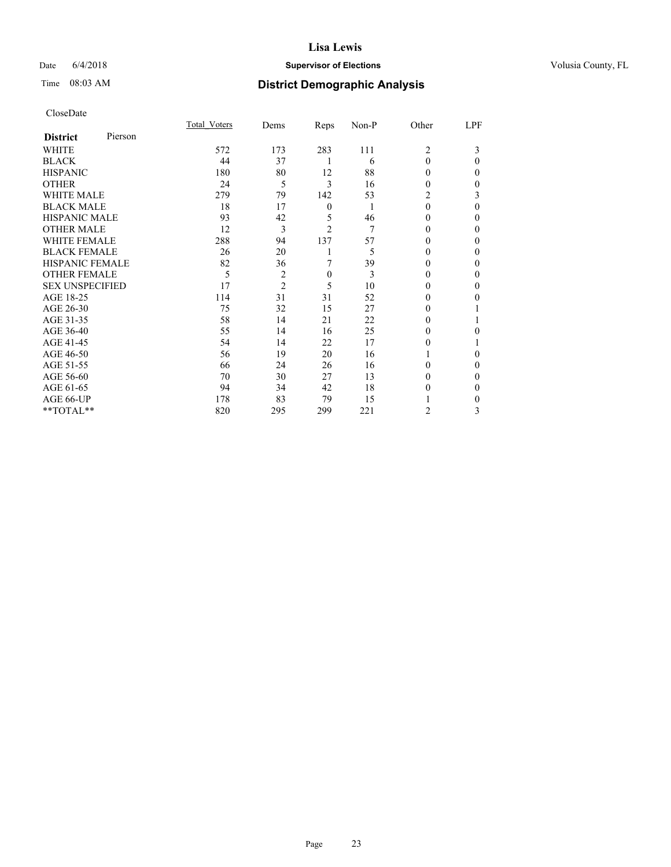### Date 6/4/2018 **Supervisor of Elections Supervisor of Elections** Volusia County, FL

| CloseDate |
|-----------|
|-----------|

|                        |         | Total Voters | Dems           | Reps             | Non-P | Other    | LPF      |
|------------------------|---------|--------------|----------------|------------------|-------|----------|----------|
| <b>District</b>        | Pierson |              |                |                  |       |          |          |
| WHITE                  |         | 572          | 173            | 283              | 111   | 2        | 3        |
| <b>BLACK</b>           |         | 44           | 37             |                  | 6     | $\Omega$ | $\Omega$ |
| <b>HISPANIC</b>        |         | 180          | 80             | 12               | 88    | $\Omega$ | 0        |
| <b>OTHER</b>           |         | 24           | 5              | 3                | 16    | 0        | 0        |
| <b>WHITE MALE</b>      |         | 279          | 79             | 142              | 53    | 2        | 3        |
| <b>BLACK MALE</b>      |         | 18           | 17             | $\boldsymbol{0}$ | 1     | $\theta$ | $\Omega$ |
| <b>HISPANIC MALE</b>   |         | 93           | 42             | 5                | 46    | $_{0}$   | 0        |
| <b>OTHER MALE</b>      |         | 12           | 3              | $\overline{c}$   | 7     | 0        | 0        |
| <b>WHITE FEMALE</b>    |         | 288          | 94             | 137              | 57    |          | 0        |
| <b>BLACK FEMALE</b>    |         | 26           | 20             |                  | 5     | 0        | 0        |
| <b>HISPANIC FEMALE</b> |         | 82           | 36             | 7                | 39    | 0        | 0        |
| <b>OTHER FEMALE</b>    |         | 5            | $\overline{2}$ | $\mathbf{0}$     | 3     | 0        | 0        |
| <b>SEX UNSPECIFIED</b> |         | 17           | $\overline{2}$ | 5                | 10    | 0        | 0        |
| AGE 18-25              |         | 114          | 31             | 31               | 52    | 0        | 0        |
| AGE 26-30              |         | 75           | 32             | 15               | 27    | $_{0}$   |          |
| AGE 31-35              |         | 58           | 14             | 21               | 22    |          |          |
| AGE 36-40              |         | 55           | 14             | 16               | 25    | 0        | 0        |
| AGE 41-45              |         | 54           | 14             | 22               | 17    |          |          |
| AGE 46-50              |         | 56           | 19             | 20               | 16    |          | $\Omega$ |
| AGE 51-55              |         | 66           | 24             | 26               | 16    | 0        | $\Omega$ |
| AGE 56-60              |         | 70           | 30             | 27               | 13    | 0        | 0        |
| AGE 61-65              |         | 94           | 34             | 42               | 18    | 0        | 0        |
| AGE 66-UP              |         | 178          | 83             | 79               | 15    |          | 0        |
| **TOTAL**              |         | 820          | 295            | 299              | 221   | 2        | 3        |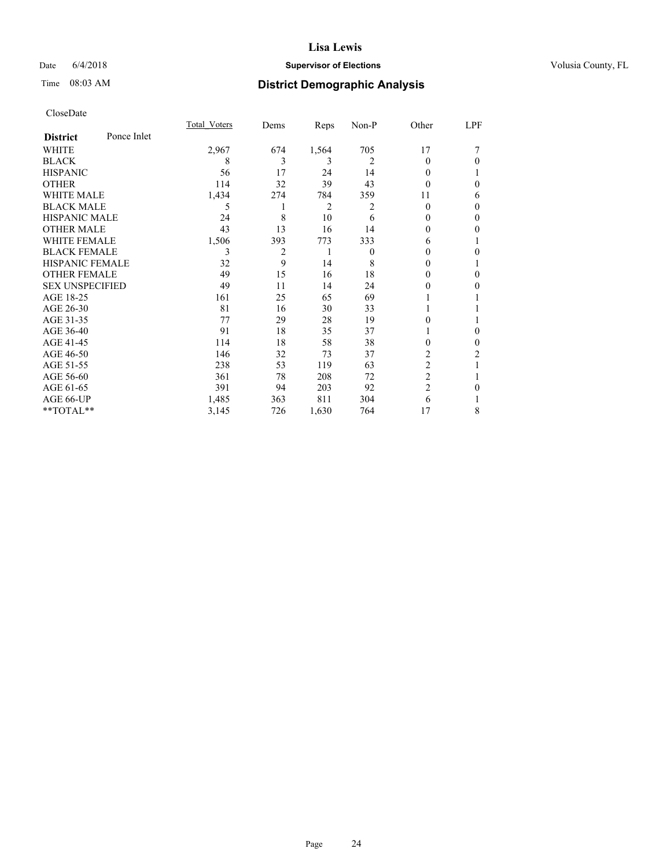### Date 6/4/2018 **Supervisor of Elections Supervisor of Elections** Volusia County, FL

# Time 08:03 AM **District Demographic Analysis**

|                        |             | Total Voters | Dems | Reps  | Non-P    | Other          | LPF          |
|------------------------|-------------|--------------|------|-------|----------|----------------|--------------|
| <b>District</b>        | Ponce Inlet |              |      |       |          |                |              |
| WHITE                  |             | 2,967        | 674  | 1,564 | 705      | 17             |              |
| <b>BLACK</b>           |             | 8            | 3    | 3     | 2        | 0              | $\Omega$     |
| <b>HISPANIC</b>        |             | 56           | 17   | 24    | 14       | 0              |              |
| <b>OTHER</b>           |             | 114          | 32   | 39    | 43       | 0              | $\theta$     |
| <b>WHITE MALE</b>      |             | 1,434        | 274  | 784   | 359      | 11             | 6            |
| <b>BLACK MALE</b>      |             | 5            |      | 2     | 2        | 0              | $\theta$     |
| <b>HISPANIC MALE</b>   |             | 24           | 8    | 10    | 6        | $_{0}$         | $\theta$     |
| <b>OTHER MALE</b>      |             | 43           | 13   | 16    | 14       | 0              | $\mathbf{0}$ |
| <b>WHITE FEMALE</b>    |             | 1,506        | 393  | 773   | 333      | 6              | 1            |
| <b>BLACK FEMALE</b>    |             | 3            | 2    | 1     | $\theta$ | $_{0}$         | $\Omega$     |
| <b>HISPANIC FEMALE</b> |             | 32           | 9    | 14    | 8        | $_{0}$         |              |
| <b>OTHER FEMALE</b>    |             | 49           | 15   | 16    | 18       | 0              | $\theta$     |
| <b>SEX UNSPECIFIED</b> |             | 49           | 11   | 14    | 24       | 0              | $\Omega$     |
| AGE 18-25              |             | 161          | 25   | 65    | 69       |                |              |
| AGE 26-30              |             | 81           | 16   | 30    | 33       |                |              |
| AGE 31-35              |             | 77           | 29   | 28    | 19       | 0              | 1            |
| AGE 36-40              |             | 91           | 18   | 35    | 37       |                | $\theta$     |
| AGE 41-45              |             | 114          | 18   | 58    | 38       | 0              | $\theta$     |
| AGE 46-50              |             | 146          | 32   | 73    | 37       | $\overline{c}$ | 2            |
| AGE 51-55              |             | 238          | 53   | 119   | 63       | $\overline{2}$ | 1            |
| AGE 56-60              |             | 361          | 78   | 208   | 72       | $\overline{c}$ |              |
| AGE 61-65              |             | 391          | 94   | 203   | 92       | $\overline{c}$ | $\theta$     |
| AGE 66-UP              |             | 1,485        | 363  | 811   | 304      | 6              |              |
| **TOTAL**              |             | 3,145        | 726  | 1,630 | 764      | 17             | 8            |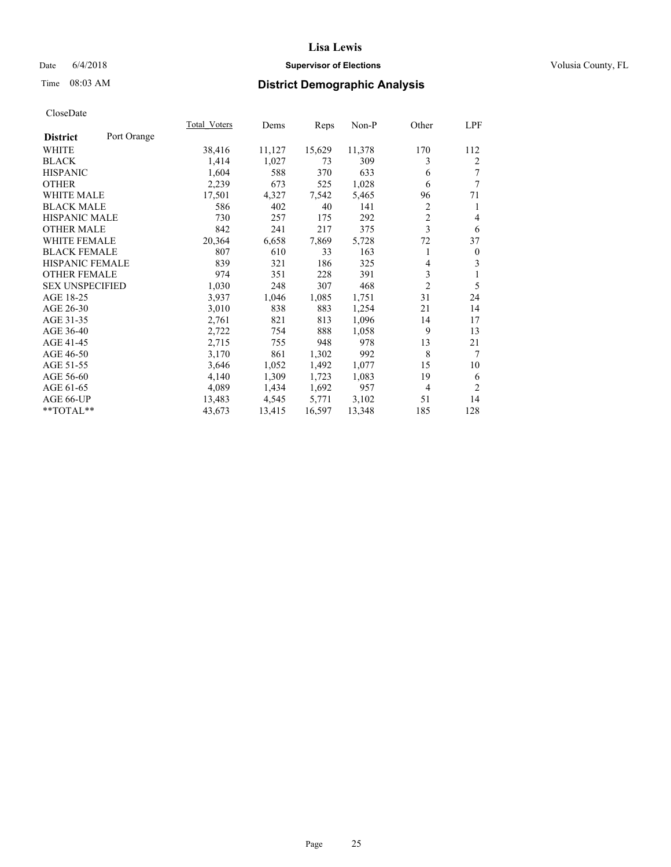### Date 6/4/2018 **Supervisor of Elections Supervisor of Elections** Volusia County, FL

### Time 08:03 AM **District Demographic Analysis**

|                        |             | Total Voters | Dems   | Reps   | Non-P  | Other          | LPF            |
|------------------------|-------------|--------------|--------|--------|--------|----------------|----------------|
| <b>District</b>        | Port Orange |              |        |        |        |                |                |
| WHITE                  |             | 38,416       | 11,127 | 15,629 | 11,378 | 170            | 112            |
| <b>BLACK</b>           |             | 1,414        | 1,027  | 73     | 309    | 3              | $\overline{2}$ |
| <b>HISPANIC</b>        |             | 1,604        | 588    | 370    | 633    | 6              | 7              |
| <b>OTHER</b>           |             | 2,239        | 673    | 525    | 1,028  | 6              | 7              |
| <b>WHITE MALE</b>      |             | 17,501       | 4,327  | 7,542  | 5,465  | 96             | 71             |
| <b>BLACK MALE</b>      |             | 586          | 402    | 40     | 141    | 2              | 1              |
| <b>HISPANIC MALE</b>   |             | 730          | 257    | 175    | 292    | $\overline{c}$ | 4              |
| <b>OTHER MALE</b>      |             | 842          | 241    | 217    | 375    | 3              | 6              |
| <b>WHITE FEMALE</b>    |             | 20,364       | 6,658  | 7,869  | 5,728  | 72             | 37             |
| <b>BLACK FEMALE</b>    |             | 807          | 610    | 33     | 163    | 1              | $\mathbf{0}$   |
| <b>HISPANIC FEMALE</b> |             | 839          | 321    | 186    | 325    | 4              | 3              |
| <b>OTHER FEMALE</b>    |             | 974          | 351    | 228    | 391    | 3              | 1              |
| <b>SEX UNSPECIFIED</b> |             | 1,030        | 248    | 307    | 468    | $\overline{2}$ | 5              |
| AGE 18-25              |             | 3,937        | 1,046  | 1,085  | 1,751  | 31             | 24             |
| AGE 26-30              |             | 3,010        | 838    | 883    | 1,254  | 21             | 14             |
| AGE 31-35              |             | 2,761        | 821    | 813    | 1,096  | 14             | 17             |
| AGE 36-40              |             | 2,722        | 754    | 888    | 1,058  | 9              | 13             |
| AGE 41-45              |             | 2,715        | 755    | 948    | 978    | 13             | 21             |
| AGE 46-50              |             | 3,170        | 861    | 1,302  | 992    | 8              | 7              |
| AGE 51-55              |             | 3,646        | 1,052  | 1,492  | 1,077  | 15             | 10             |
| AGE 56-60              |             | 4,140        | 1,309  | 1,723  | 1,083  | 19             | 6              |
| AGE 61-65              |             | 4,089        | 1,434  | 1,692  | 957    | $\overline{4}$ | $\overline{2}$ |
| AGE 66-UP              |             | 13,483       | 4,545  | 5,771  | 3,102  | 51             | 14             |
| $*$ $TOTAL**$          |             | 43,673       | 13,415 | 16,597 | 13,348 | 185            | 128            |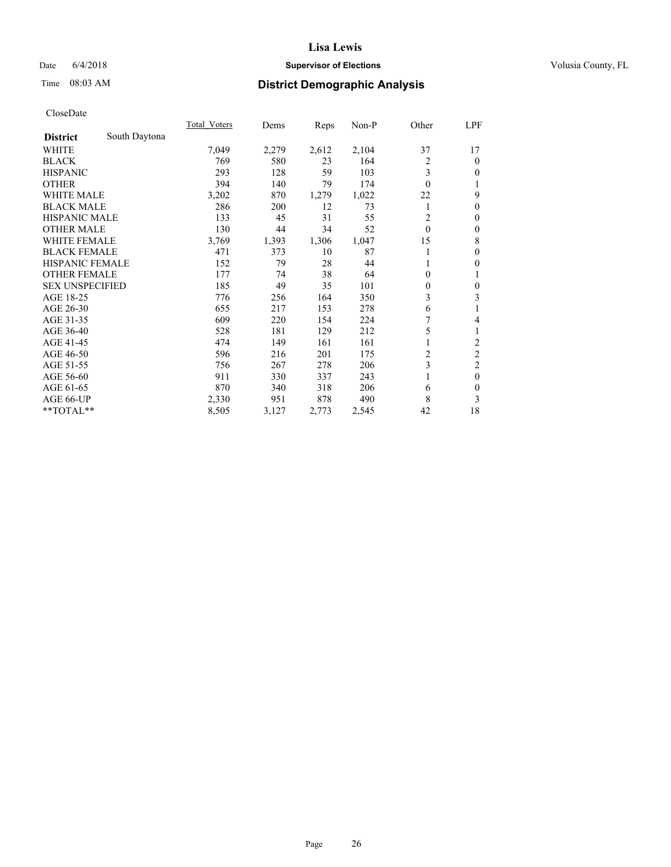### Date 6/4/2018 **Supervisor of Elections Supervisor of Elections** Volusia County, FL

# Time 08:03 AM **District Demographic Analysis**

|                        |               | Total Voters | Dems  | Reps  | Non-P | Other        | LPF                     |
|------------------------|---------------|--------------|-------|-------|-------|--------------|-------------------------|
| <b>District</b>        | South Daytona |              |       |       |       |              |                         |
| WHITE                  |               | 7,049        | 2,279 | 2,612 | 2,104 | 37           | 17                      |
| <b>BLACK</b>           |               | 769          | 580   | 23    | 164   | 2            | $\mathbf{0}$            |
| <b>HISPANIC</b>        |               | 293          | 128   | 59    | 103   | 3            | $\overline{0}$          |
| <b>OTHER</b>           |               | 394          | 140   | 79    | 174   | $\theta$     | 1                       |
| WHITE MALE             |               | 3,202        | 870   | 1,279 | 1,022 | 22           | 9                       |
| <b>BLACK MALE</b>      |               | 286          | 200   | 12    | 73    |              | $\theta$                |
| <b>HISPANIC MALE</b>   |               | 133          | 45    | 31    | 55    | 2            | $\mathbf{0}$            |
| <b>OTHER MALE</b>      |               | 130          | 44    | 34    | 52    | $\mathbf{0}$ | $\boldsymbol{0}$        |
| <b>WHITE FEMALE</b>    |               | 3,769        | 1,393 | 1,306 | 1,047 | 15           | 8                       |
| <b>BLACK FEMALE</b>    |               | 471          | 373   | 10    | 87    |              | $\mathbf{0}$            |
| <b>HISPANIC FEMALE</b> |               | 152          | 79    | 28    | 44    |              | $\theta$                |
| <b>OTHER FEMALE</b>    |               | 177          | 74    | 38    | 64    | $\theta$     | 1                       |
| <b>SEX UNSPECIFIED</b> |               | 185          | 49    | 35    | 101   | $\theta$     | $\mathbf{0}$            |
| AGE 18-25              |               | 776          | 256   | 164   | 350   | 3            | 3                       |
| AGE 26-30              |               | 655          | 217   | 153   | 278   | 6            | 1                       |
| AGE 31-35              |               | 609          | 220   | 154   | 224   | 7            | 4                       |
| AGE 36-40              |               | 528          | 181   | 129   | 212   | 5            | 1                       |
| AGE 41-45              |               | 474          | 149   | 161   | 161   |              | $\overline{\mathbf{c}}$ |
| AGE 46-50              |               | 596          | 216   | 201   | 175   | 2            | $\overline{c}$          |
| AGE 51-55              |               | 756          | 267   | 278   | 206   | 3            | $\overline{c}$          |
| AGE 56-60              |               | 911          | 330   | 337   | 243   |              | $\mathbf{0}$            |
| AGE 61-65              |               | 870          | 340   | 318   | 206   | 6            | $\theta$                |
| AGE 66-UP              |               | 2,330        | 951   | 878   | 490   | 8            | 3                       |
| **TOTAL**              |               | 8,505        | 3,127 | 2,773 | 2,545 | 42           | 18                      |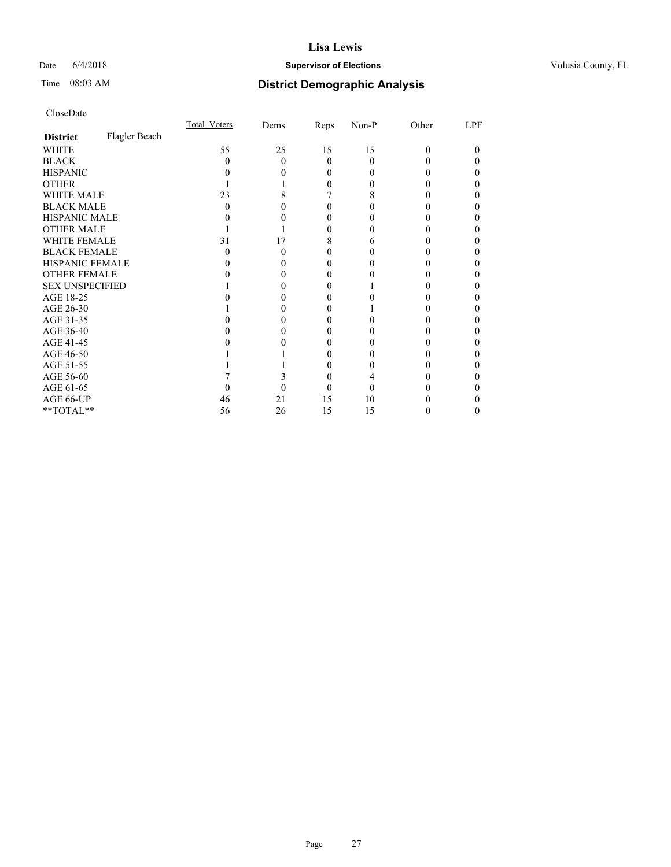### Date 6/4/2018 **Supervisor of Elections Supervisor of Elections** Volusia County, FL

# Time 08:03 AM **District Demographic Analysis**

|                        |               | Total Voters | Dems | Reps     | Non-P | Other    | LPF |
|------------------------|---------------|--------------|------|----------|-------|----------|-----|
| <b>District</b>        | Flagler Beach |              |      |          |       |          |     |
| WHITE                  |               | 55           | 25   | 15       | 15    | $\Omega$ | 0   |
| <b>BLACK</b>           |               | $\theta$     | 0    | $\Omega$ | 0     |          |     |
| <b>HISPANIC</b>        |               |              |      | 0        | 0     |          | 0   |
| <b>OTHER</b>           |               |              |      | 0        |       |          |     |
| WHITE MALE             |               | 23           |      |          | 8     |          | 0   |
| <b>BLACK MALE</b>      |               |              |      |          |       |          |     |
| <b>HISPANIC MALE</b>   |               |              |      |          |       |          |     |
| <b>OTHER MALE</b>      |               |              |      | 0        |       |          | 0   |
| WHITE FEMALE           |               | 31           | 17   | 8        | h     |          |     |
| <b>BLACK FEMALE</b>    |               | 0            | 0    | 0        |       |          | 0   |
| HISPANIC FEMALE        |               |              |      | 0        |       |          |     |
| <b>OTHER FEMALE</b>    |               |              |      | 0        |       |          | 0   |
| <b>SEX UNSPECIFIED</b> |               |              |      |          |       |          |     |
| AGE 18-25              |               |              |      | 0        |       |          |     |
| AGE 26-30              |               |              |      | 0        |       |          | 0   |
| AGE 31-35              |               |              |      |          |       |          |     |
| AGE 36-40              |               |              |      | 0        |       |          | 0   |
| AGE 41-45              |               |              |      | 0        |       |          |     |
| AGE 46-50              |               |              |      | 0        |       |          | 0   |
| AGE 51-55              |               |              |      |          |       |          |     |
| AGE 56-60              |               |              |      | 0        |       |          |     |
| AGE 61-65              |               |              |      |          | 0     |          |     |
| AGE 66-UP              |               | 46           | 21   | 15       | 10    |          |     |
| **TOTAL**              |               | 56           | 26   | 15       | 15    |          | 0   |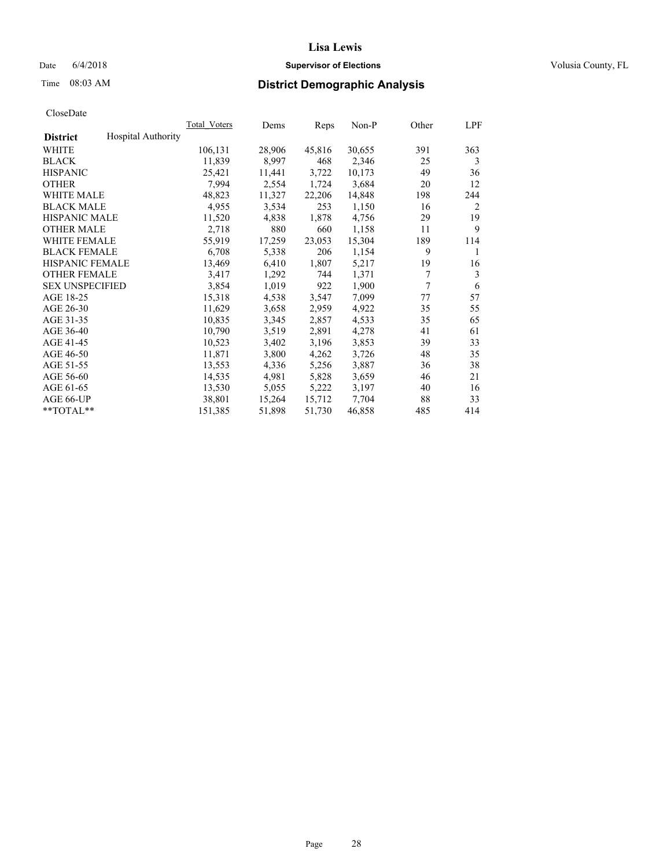### Date  $6/4/2018$  **Supervisor of Elections Supervisor of Elections** Volusia County, FL

# Time 08:03 AM **District Demographic Analysis**

|                        |                           | Total Voters | Dems   | Reps   | Non-P  | Other | LPF |
|------------------------|---------------------------|--------------|--------|--------|--------|-------|-----|
| <b>District</b>        | <b>Hospital Authority</b> |              |        |        |        |       |     |
| WHITE                  |                           | 106,131      | 28,906 | 45,816 | 30,655 | 391   | 363 |
| <b>BLACK</b>           |                           | 11,839       | 8,997  | 468    | 2,346  | 25    | 3   |
| <b>HISPANIC</b>        |                           | 25,421       | 11,441 | 3,722  | 10,173 | 49    | 36  |
| <b>OTHER</b>           |                           | 7.994        | 2,554  | 1,724  | 3,684  | 20    | 12  |
| WHITE MALE             |                           | 48,823       | 11,327 | 22,206 | 14,848 | 198   | 244 |
| <b>BLACK MALE</b>      |                           | 4,955        | 3,534  | 253    | 1,150  | 16    | 2   |
| <b>HISPANIC MALE</b>   |                           | 11,520       | 4,838  | 1,878  | 4,756  | 29    | 19  |
| <b>OTHER MALE</b>      |                           | 2,718        | 880    | 660    | 1,158  | 11    | 9   |
| <b>WHITE FEMALE</b>    |                           | 55,919       | 17,259 | 23,053 | 15,304 | 189   | 114 |
| <b>BLACK FEMALE</b>    |                           | 6,708        | 5,338  | 206    | 1,154  | 9     | 1   |
| <b>HISPANIC FEMALE</b> |                           | 13,469       | 6,410  | 1,807  | 5,217  | 19    | 16  |
| <b>OTHER FEMALE</b>    |                           | 3,417        | 1,292  | 744    | 1,371  | 7     | 3   |
| <b>SEX UNSPECIFIED</b> |                           | 3,854        | 1,019  | 922    | 1,900  | 7     | 6   |
| AGE 18-25              |                           | 15,318       | 4,538  | 3,547  | 7,099  | 77    | 57  |
| AGE 26-30              |                           | 11,629       | 3,658  | 2,959  | 4,922  | 35    | 55  |
| AGE 31-35              |                           | 10,835       | 3,345  | 2,857  | 4,533  | 35    | 65  |
| AGE 36-40              |                           | 10,790       | 3,519  | 2,891  | 4,278  | 41    | 61  |
| AGE 41-45              |                           | 10,523       | 3,402  | 3,196  | 3,853  | 39    | 33  |
| AGE 46-50              |                           | 11,871       | 3,800  | 4,262  | 3,726  | 48    | 35  |
| AGE 51-55              |                           | 13,553       | 4,336  | 5,256  | 3,887  | 36    | 38  |
| AGE 56-60              |                           | 14,535       | 4,981  | 5,828  | 3,659  | 46    | 21  |
| AGE 61-65              |                           | 13,530       | 5,055  | 5,222  | 3,197  | 40    | 16  |
| AGE 66-UP              |                           | 38,801       | 15,264 | 15,712 | 7,704  | 88    | 33  |
| $*$ TOTAL $*$          |                           | 151,385      | 51,898 | 51,730 | 46,858 | 485   | 414 |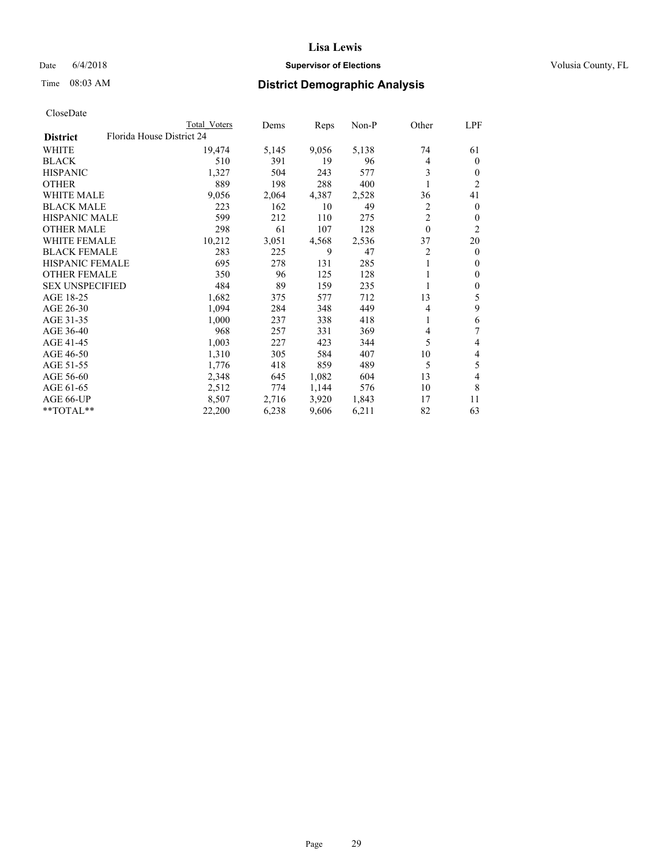### Date 6/4/2018 **Supervisor of Elections Supervisor of Elections** Volusia County, FL

|                        | Total Voters              | Dems  | Reps  | $Non-P$ | Other    | LPF              |
|------------------------|---------------------------|-------|-------|---------|----------|------------------|
| <b>District</b>        | Florida House District 24 |       |       |         |          |                  |
| WHITE                  | 19,474                    | 5,145 | 9,056 | 5,138   | 74       | 61               |
| <b>BLACK</b>           | 510                       | 391   | 19    | 96      | 4        | $\overline{0}$   |
| <b>HISPANIC</b>        | 1,327                     | 504   | 243   | 577     | 3        | $\overline{0}$   |
| <b>OTHER</b>           | 889                       | 198   | 288   | 400     |          | 2                |
| <b>WHITE MALE</b>      | 9,056                     | 2,064 | 4,387 | 2,528   | 36       | 41               |
| <b>BLACK MALE</b>      | 223                       | 162   | 10    | 49      | 2        | $\overline{0}$   |
| <b>HISPANIC MALE</b>   | 599                       | 212   | 110   | 275     | 2        | 0                |
| <b>OTHER MALE</b>      | 298                       | 61    | 107   | 128     | $\theta$ | $\overline{2}$   |
| <b>WHITE FEMALE</b>    | 10,212                    | 3,051 | 4,568 | 2,536   | 37       | 20               |
| <b>BLACK FEMALE</b>    | 283                       | 225   | 9     | 47      | 2        | $\theta$         |
| <b>HISPANIC FEMALE</b> | 695                       | 278   | 131   | 285     |          | 0                |
| <b>OTHER FEMALE</b>    | 350                       | 96    | 125   | 128     |          | $\mathbf{0}$     |
| <b>SEX UNSPECIFIED</b> | 484                       | 89    | 159   | 235     | 1        | $\boldsymbol{0}$ |
| AGE 18-25              | 1,682                     | 375   | 577   | 712     | 13       | 5                |
| AGE 26-30              | 1,094                     | 284   | 348   | 449     | 4        | 9                |
| AGE 31-35              | 1,000                     | 237   | 338   | 418     | 1        | 6                |
| AGE 36-40              | 968                       | 257   | 331   | 369     | 4        | 7                |
| AGE 41-45              | 1,003                     | 227   | 423   | 344     | 5        | 4                |
| AGE 46-50              | 1,310                     | 305   | 584   | 407     | 10       | 4                |
| AGE 51-55              | 1,776                     | 418   | 859   | 489     | 5        | 5                |
| AGE 56-60              | 2,348                     | 645   | 1,082 | 604     | 13       | 4                |
| AGE 61-65              | 2,512                     | 774   | 1,144 | 576     | 10       | 8                |
| AGE 66-UP              | 8,507                     | 2,716 | 3,920 | 1,843   | 17       | 11               |
| **TOTAL**              | 22,200                    | 6,238 | 9,606 | 6,211   | 82       | 63               |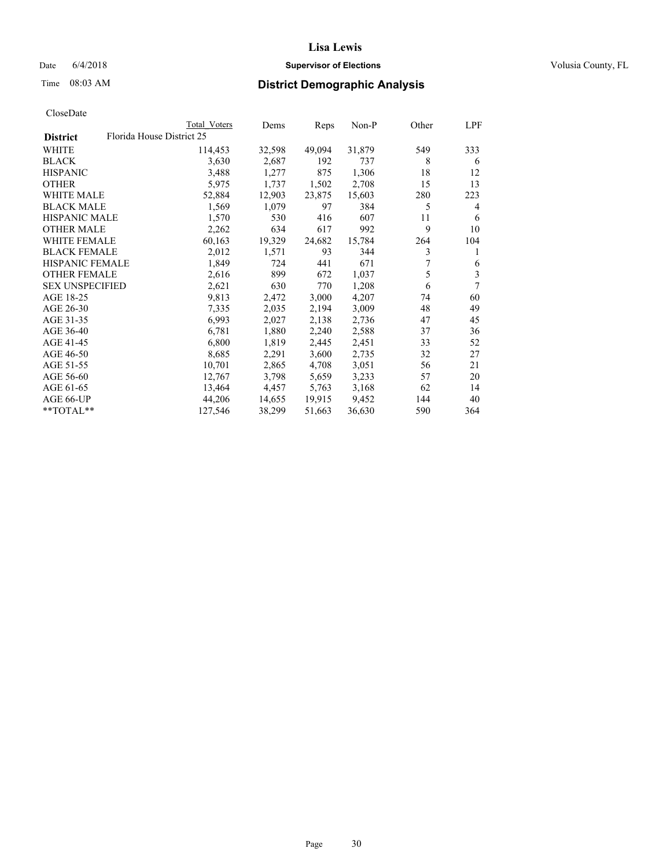### Date 6/4/2018 **Supervisor of Elections Supervisor of Elections** Volusia County, FL

| CloseDate |
|-----------|
|-----------|

|                        | Total Voters              | Dems   | Reps   | Non-P  | Other | LPF |
|------------------------|---------------------------|--------|--------|--------|-------|-----|
| <b>District</b>        | Florida House District 25 |        |        |        |       |     |
| WHITE                  | 114,453                   | 32,598 | 49,094 | 31,879 | 549   | 333 |
| <b>BLACK</b>           | 3,630                     | 2,687  | 192    | 737    | 8     | 6   |
| <b>HISPANIC</b>        | 3,488                     | 1,277  | 875    | 1,306  | 18    | 12  |
| <b>OTHER</b>           | 5,975                     | 1,737  | 1,502  | 2,708  | 15    | 13  |
| <b>WHITE MALE</b>      | 52,884                    | 12,903 | 23,875 | 15,603 | 280   | 223 |
| <b>BLACK MALE</b>      | 1,569                     | 1,079  | 97     | 384    | 5     | 4   |
| <b>HISPANIC MALE</b>   | 1,570                     | 530    | 416    | 607    | 11    | 6   |
| <b>OTHER MALE</b>      | 2,262                     | 634    | 617    | 992    | 9     | 10  |
| <b>WHITE FEMALE</b>    | 60,163                    | 19,329 | 24,682 | 15,784 | 264   | 104 |
| <b>BLACK FEMALE</b>    | 2,012                     | 1,571  | 93     | 344    | 3     | 1   |
| HISPANIC FEMALE        | 1,849                     | 724    | 441    | 671    |       | 6   |
| <b>OTHER FEMALE</b>    | 2,616                     | 899    | 672    | 1,037  | 5     | 3   |
| <b>SEX UNSPECIFIED</b> | 2,621                     | 630    | 770    | 1,208  | 6     | 7   |
| AGE 18-25              | 9,813                     | 2,472  | 3,000  | 4,207  | 74    | 60  |
| AGE 26-30              | 7,335                     | 2,035  | 2,194  | 3,009  | 48    | 49  |
| AGE 31-35              | 6,993                     | 2,027  | 2,138  | 2,736  | 47    | 45  |
| AGE 36-40              | 6,781                     | 1,880  | 2,240  | 2,588  | 37    | 36  |
| AGE 41-45              | 6,800                     | 1,819  | 2,445  | 2,451  | 33    | 52  |
| AGE 46-50              | 8,685                     | 2,291  | 3,600  | 2,735  | 32    | 27  |
| AGE 51-55              | 10,701                    | 2,865  | 4,708  | 3,051  | 56    | 21  |
| AGE 56-60              | 12,767                    | 3,798  | 5,659  | 3,233  | 57    | 20  |
| AGE 61-65              | 13,464                    | 4,457  | 5,763  | 3,168  | 62    | 14  |
| AGE 66-UP              | 44,206                    | 14,655 | 19,915 | 9,452  | 144   | 40  |
| $*$ TOTAL $*$          | 127,546                   | 38,299 | 51,663 | 36,630 | 590   | 364 |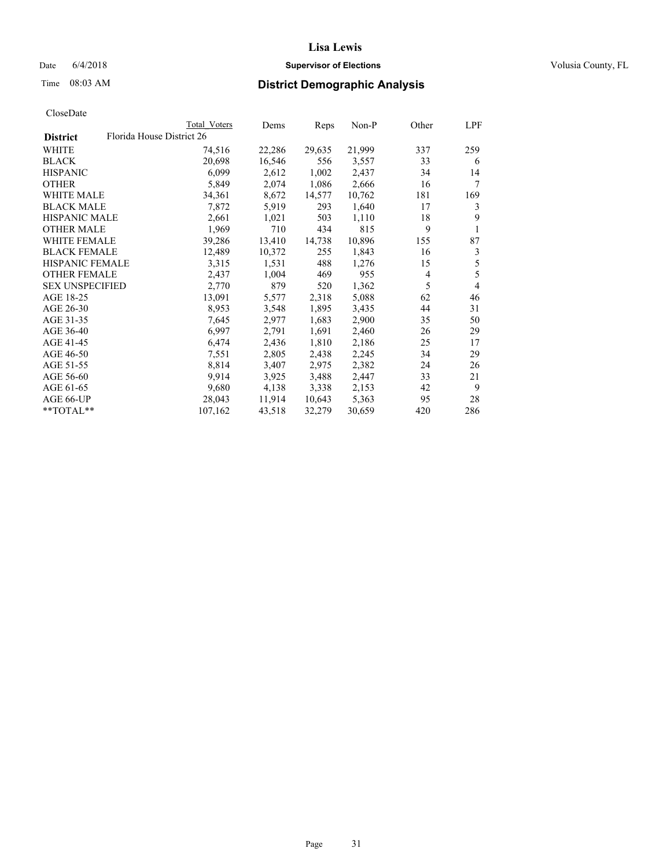### Date 6/4/2018 **Supervisor of Elections Supervisor of Elections** Volusia County, FL

| CloseDate |
|-----------|
|-----------|

|                        |                           | Total Voters | Dems   | Reps   | Non-P  | Other          | LPF |
|------------------------|---------------------------|--------------|--------|--------|--------|----------------|-----|
| <b>District</b>        | Florida House District 26 |              |        |        |        |                |     |
| WHITE                  |                           | 74,516       | 22,286 | 29,635 | 21,999 | 337            | 259 |
| BLACK                  |                           | 20,698       | 16,546 | 556    | 3,557  | 33             | 6   |
| <b>HISPANIC</b>        |                           | 6,099        | 2,612  | 1,002  | 2,437  | 34             | 14  |
| OTHER                  |                           | 5,849        | 2,074  | 1,086  | 2,666  | 16             | 7   |
| <b>WHITE MALE</b>      |                           | 34,361       | 8,672  | 14,577 | 10,762 | 181            | 169 |
| <b>BLACK MALE</b>      |                           | 7,872        | 5,919  | 293    | 1,640  | 17             | 3   |
| <b>HISPANIC MALE</b>   |                           | 2,661        | 1,021  | 503    | 1,110  | 18             | 9   |
| <b>OTHER MALE</b>      |                           | 1,969        | 710    | 434    | 815    | 9              | 1   |
| <b>WHITE FEMALE</b>    |                           | 39,286       | 13,410 | 14,738 | 10,896 | 155            | 87  |
| <b>BLACK FEMALE</b>    |                           | 12,489       | 10,372 | 255    | 1,843  | 16             | 3   |
| <b>HISPANIC FEMALE</b> |                           | 3,315        | 1,531  | 488    | 1,276  | 15             | 5   |
| <b>OTHER FEMALE</b>    |                           | 2,437        | 1,004  | 469    | 955    | $\overline{4}$ | 5   |
| <b>SEX UNSPECIFIED</b> |                           | 2,770        | 879    | 520    | 1,362  | 5              | 4   |
| AGE 18-25              |                           | 13,091       | 5,577  | 2,318  | 5,088  | 62             | 46  |
| AGE 26-30              |                           | 8,953        | 3,548  | 1,895  | 3,435  | 44             | 31  |
| AGE 31-35              |                           | 7,645        | 2,977  | 1,683  | 2,900  | 35             | 50  |
| AGE 36-40              |                           | 6,997        | 2,791  | 1,691  | 2,460  | 26             | 29  |
| AGE 41-45              |                           | 6,474        | 2,436  | 1,810  | 2,186  | 25             | 17  |
| AGE 46-50              |                           | 7,551        | 2,805  | 2,438  | 2,245  | 34             | 29  |
| AGE 51-55              |                           | 8,814        | 3,407  | 2,975  | 2,382  | 24             | 26  |
| AGE 56-60              |                           | 9,914        | 3,925  | 3,488  | 2,447  | 33             | 21  |
| AGE 61-65              |                           | 9,680        | 4,138  | 3,338  | 2,153  | 42             | 9   |
| AGE 66-UP              |                           | 28,043       | 11,914 | 10,643 | 5,363  | 95             | 28  |
| **TOTAL**              |                           | 107,162      | 43,518 | 32,279 | 30,659 | 420            | 286 |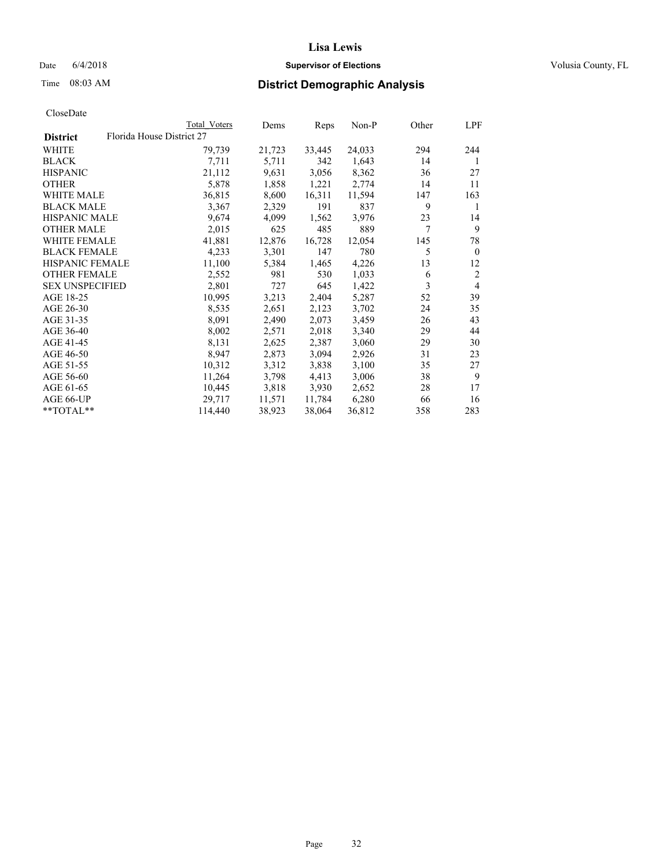### Date 6/4/2018 **Supervisor of Elections Supervisor of Elections** Volusia County, FL

|                        | Total Voters              | Dems   | Reps   | Non-P  | Other | LPF            |
|------------------------|---------------------------|--------|--------|--------|-------|----------------|
| <b>District</b>        | Florida House District 27 |        |        |        |       |                |
| WHITE                  | 79,739                    | 21,723 | 33,445 | 24,033 | 294   | 244            |
| BLACK                  | 7,711                     | 5,711  | 342    | 1,643  | 14    | 1              |
| <b>HISPANIC</b>        | 21,112                    | 9,631  | 3,056  | 8,362  | 36    | 27             |
| OTHER                  | 5,878                     | 1,858  | 1,221  | 2,774  | 14    | 11             |
| <b>WHITE MALE</b>      | 36,815                    | 8,600  | 16,311 | 11,594 | 147   | 163            |
| <b>BLACK MALE</b>      | 3,367                     | 2,329  | 191    | 837    | 9     | 1              |
| <b>HISPANIC MALE</b>   | 9,674                     | 4,099  | 1,562  | 3,976  | 23    | 14             |
| <b>OTHER MALE</b>      | 2,015                     | 625    | 485    | 889    | 7     | 9              |
| <b>WHITE FEMALE</b>    | 41,881                    | 12,876 | 16,728 | 12,054 | 145   | 78             |
| <b>BLACK FEMALE</b>    | 4,233                     | 3,301  | 147    | 780    | 5     | $\theta$       |
| HISPANIC FEMALE        | 11,100                    | 5,384  | 1,465  | 4,226  | 13    | 12             |
| <b>OTHER FEMALE</b>    | 2,552                     | 981    | 530    | 1,033  | 6     | $\overline{2}$ |
| <b>SEX UNSPECIFIED</b> | 2,801                     | 727    | 645    | 1,422  | 3     | $\overline{4}$ |
| AGE 18-25              | 10,995                    | 3,213  | 2,404  | 5,287  | 52    | 39             |
| AGE 26-30              | 8,535                     | 2,651  | 2,123  | 3,702  | 24    | 35             |
| AGE 31-35              | 8,091                     | 2,490  | 2,073  | 3,459  | 26    | 43             |
| AGE 36-40              | 8,002                     | 2,571  | 2,018  | 3,340  | 29    | 44             |
| AGE 41-45              | 8,131                     | 2,625  | 2,387  | 3,060  | 29    | 30             |
| AGE 46-50              | 8,947                     | 2,873  | 3,094  | 2,926  | 31    | 23             |
| AGE 51-55              | 10,312                    | 3,312  | 3,838  | 3,100  | 35    | 27             |
| AGE 56-60              | 11,264                    | 3,798  | 4,413  | 3,006  | 38    | 9              |
| AGE 61-65              | 10,445                    | 3,818  | 3,930  | 2,652  | 28    | 17             |
| AGE 66-UP              | 29,717                    | 11,571 | 11,784 | 6,280  | 66    | 16             |
| **TOTAL**              | 114,440                   | 38,923 | 38,064 | 36,812 | 358   | 283            |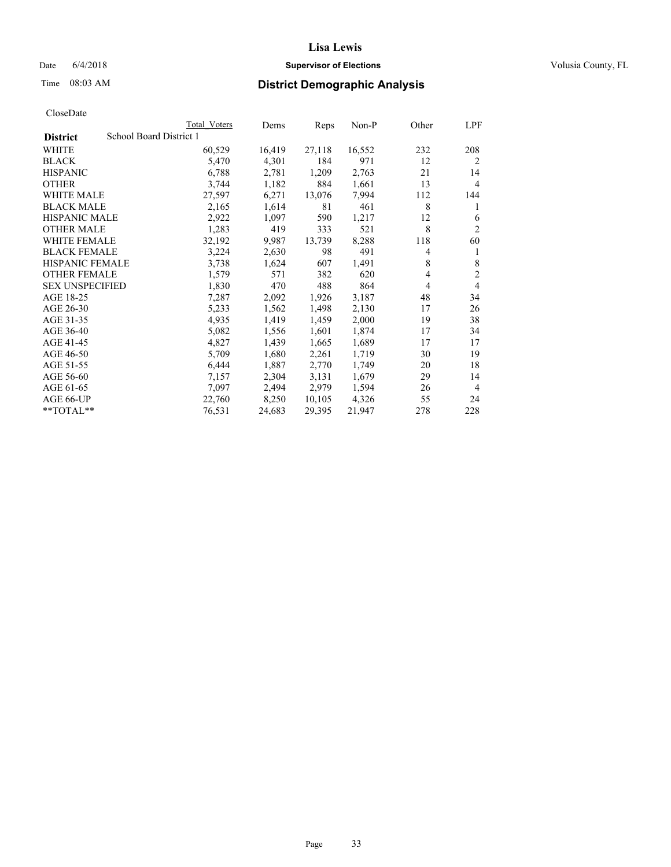### Date  $6/4/2018$  **Supervisor of Elections Supervisor of Elections** Volusia County, FL

# Time 08:03 AM **District Demographic Analysis**

|                        | Total Voters            | Dems   | Reps   | Non-P  | Other | LPF            |
|------------------------|-------------------------|--------|--------|--------|-------|----------------|
| <b>District</b>        | School Board District 1 |        |        |        |       |                |
| WHITE                  | 60,529                  | 16,419 | 27,118 | 16,552 | 232   | 208            |
| <b>BLACK</b>           | 5,470                   | 4,301  | 184    | 971    | 12    | 2              |
| <b>HISPANIC</b>        | 6,788                   | 2,781  | 1,209  | 2,763  | 21    | 14             |
| <b>OTHER</b>           | 3,744                   | 1,182  | 884    | 1,661  | 13    | 4              |
| WHITE MALE             | 27,597                  | 6,271  | 13,076 | 7,994  | 112   | 144            |
| <b>BLACK MALE</b>      | 2,165                   | 1,614  | 81     | 461    | 8     | 1              |
| <b>HISPANIC MALE</b>   | 2,922                   | 1,097  | 590    | 1,217  | 12    | 6              |
| <b>OTHER MALE</b>      | 1,283                   | 419    | 333    | 521    | 8     | $\overline{2}$ |
| WHITE FEMALE           | 32,192                  | 9,987  | 13,739 | 8,288  | 118   | 60             |
| <b>BLACK FEMALE</b>    | 3,224                   | 2,630  | 98     | 491    | 4     |                |
| <b>HISPANIC FEMALE</b> | 3,738                   | 1,624  | 607    | 1,491  | 8     | 8              |
| <b>OTHER FEMALE</b>    | 1,579                   | 571    | 382    | 620    | 4     | 2              |
| <b>SEX UNSPECIFIED</b> | 1,830                   | 470    | 488    | 864    | 4     | 4              |
| AGE 18-25              | 7,287                   | 2,092  | 1,926  | 3,187  | 48    | 34             |
| AGE 26-30              | 5,233                   | 1,562  | 1,498  | 2,130  | 17    | 26             |
| AGE 31-35              | 4,935                   | 1,419  | 1,459  | 2,000  | 19    | 38             |
| AGE 36-40              | 5,082                   | 1,556  | 1,601  | 1,874  | 17    | 34             |
| AGE 41-45              | 4,827                   | 1,439  | 1,665  | 1,689  | 17    | 17             |
| AGE 46-50              | 5,709                   | 1,680  | 2,261  | 1,719  | 30    | 19             |
| AGE 51-55              | 6,444                   | 1,887  | 2,770  | 1,749  | 20    | 18             |
| AGE 56-60              | 7,157                   | 2,304  | 3,131  | 1,679  | 29    | 14             |
| AGE 61-65              | 7,097                   | 2,494  | 2,979  | 1,594  | 26    | $\overline{4}$ |
| AGE 66-UP              | 22,760                  | 8,250  | 10,105 | 4,326  | 55    | 24             |
| $*$ $TOTAL**$          | 76,531                  | 24,683 | 29,395 | 21,947 | 278   | 228            |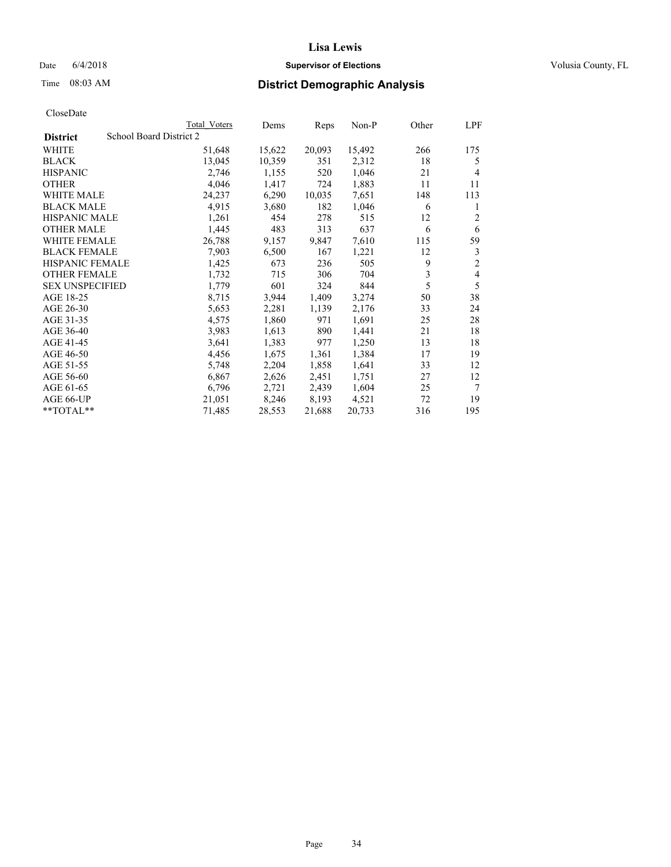### Date 6/4/2018 **Supervisor of Elections Supervisor of Elections** Volusia County, FL

# Time 08:03 AM **District Demographic Analysis**

|                        |                         | Total Voters | Dems   | Reps   | Non-P  | Other | LPF            |
|------------------------|-------------------------|--------------|--------|--------|--------|-------|----------------|
| <b>District</b>        | School Board District 2 |              |        |        |        |       |                |
| WHITE                  |                         | 51,648       | 15,622 | 20,093 | 15,492 | 266   | 175            |
| <b>BLACK</b>           |                         | 13,045       | 10,359 | 351    | 2,312  | 18    | 5              |
| <b>HISPANIC</b>        |                         | 2,746        | 1,155  | 520    | 1,046  | 21    | 4              |
| <b>OTHER</b>           |                         | 4,046        | 1,417  | 724    | 1,883  | 11    | 11             |
| WHITE MALE             |                         | 24,237       | 6,290  | 10,035 | 7,651  | 148   | 113            |
| <b>BLACK MALE</b>      |                         | 4,915        | 3,680  | 182    | 1,046  | 6     | 1              |
| <b>HISPANIC MALE</b>   |                         | 1,261        | 454    | 278    | 515    | 12    | $\overline{2}$ |
| <b>OTHER MALE</b>      |                         | 1,445        | 483    | 313    | 637    | 6     | 6              |
| <b>WHITE FEMALE</b>    |                         | 26,788       | 9,157  | 9,847  | 7,610  | 115   | 59             |
| <b>BLACK FEMALE</b>    |                         | 7,903        | 6,500  | 167    | 1,221  | 12    | 3              |
| <b>HISPANIC FEMALE</b> |                         | 1,425        | 673    | 236    | 505    | 9     | $\overline{c}$ |
| <b>OTHER FEMALE</b>    |                         | 1,732        | 715    | 306    | 704    | 3     | 4              |
| <b>SEX UNSPECIFIED</b> |                         | 1,779        | 601    | 324    | 844    | 5     | 5              |
| AGE 18-25              |                         | 8,715        | 3,944  | 1,409  | 3,274  | 50    | 38             |
| AGE 26-30              |                         | 5,653        | 2,281  | 1,139  | 2,176  | 33    | 24             |
| AGE 31-35              |                         | 4,575        | 1,860  | 971    | 1,691  | 25    | 28             |
| AGE 36-40              |                         | 3,983        | 1,613  | 890    | 1,441  | 21    | 18             |
| AGE 41-45              |                         | 3,641        | 1,383  | 977    | 1,250  | 13    | 18             |
| AGE 46-50              |                         | 4,456        | 1,675  | 1,361  | 1,384  | 17    | 19             |
| AGE 51-55              |                         | 5,748        | 2,204  | 1,858  | 1,641  | 33    | 12             |
| AGE 56-60              |                         | 6,867        | 2,626  | 2,451  | 1,751  | 27    | 12             |
| AGE 61-65              |                         | 6,796        | 2,721  | 2,439  | 1,604  | 25    | 7              |
| AGE 66-UP              |                         | 21,051       | 8,246  | 8,193  | 4,521  | 72    | 19             |
| $*$ $TOTAL**$          |                         | 71,485       | 28,553 | 21,688 | 20,733 | 316   | 195            |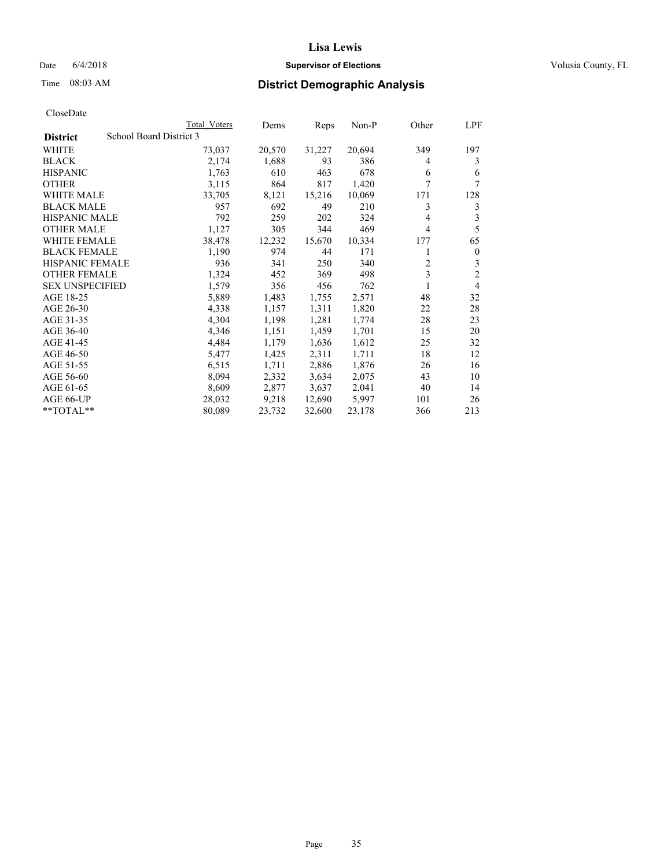### Date 6/4/2018 **Supervisor of Elections Supervisor of Elections** Volusia County, FL

### Time 08:03 AM **District Demographic Analysis**

|                        | Total Voters            | Dems   | Reps   | Non-P  | Other          | LPF            |
|------------------------|-------------------------|--------|--------|--------|----------------|----------------|
| <b>District</b>        | School Board District 3 |        |        |        |                |                |
| WHITE                  | 73,037                  | 20,570 | 31,227 | 20,694 | 349            | 197            |
| <b>BLACK</b>           | 2,174                   | 1,688  | 93     | 386    | 4              | 3              |
| <b>HISPANIC</b>        | 1,763                   | 610    | 463    | 678    | 6              | 6              |
| <b>OTHER</b>           | 3,115                   | 864    | 817    | 1,420  | 7              | 7              |
| WHITE MALE             | 33,705                  | 8,121  | 15,216 | 10,069 | 171            | 128            |
| <b>BLACK MALE</b>      | 957                     | 692    | 49     | 210    | 3              | 3              |
| <b>HISPANIC MALE</b>   | 792                     | 259    | 202    | 324    | 4              | 3              |
| <b>OTHER MALE</b>      | 1,127                   | 305    | 344    | 469    | 4              | 5              |
| <b>WHITE FEMALE</b>    | 38,478                  | 12,232 | 15,670 | 10,334 | 177            | 65             |
| <b>BLACK FEMALE</b>    | 1,190                   | 974    | 44     | 171    |                | $\mathbf{0}$   |
| <b>HISPANIC FEMALE</b> | 936                     | 341    | 250    | 340    | $\overline{c}$ | 3              |
| <b>OTHER FEMALE</b>    | 1,324                   | 452    | 369    | 498    | 3              | $\overline{c}$ |
| <b>SEX UNSPECIFIED</b> | 1,579                   | 356    | 456    | 762    | 1              | 4              |
| AGE 18-25              | 5,889                   | 1,483  | 1,755  | 2,571  | 48             | 32             |
| AGE 26-30              | 4,338                   | 1,157  | 1,311  | 1,820  | 22             | 28             |
| AGE 31-35              | 4,304                   | 1,198  | 1,281  | 1,774  | 28             | 23             |
| AGE 36-40              | 4,346                   | 1,151  | 1,459  | 1,701  | 15             | 20             |
| AGE 41-45              | 4,484                   | 1,179  | 1,636  | 1,612  | 25             | 32             |
| AGE 46-50              | 5,477                   | 1,425  | 2,311  | 1,711  | 18             | 12             |
| AGE 51-55              | 6,515                   | 1,711  | 2,886  | 1,876  | 26             | 16             |
| AGE 56-60              | 8,094                   | 2,332  | 3,634  | 2,075  | 43             | 10             |
| AGE 61-65              | 8,609                   | 2,877  | 3,637  | 2,041  | 40             | 14             |
| AGE 66-UP              | 28,032                  | 9,218  | 12,690 | 5,997  | 101            | 26             |
| $*$ TOTAL $*$          | 80,089                  | 23,732 | 32,600 | 23,178 | 366            | 213            |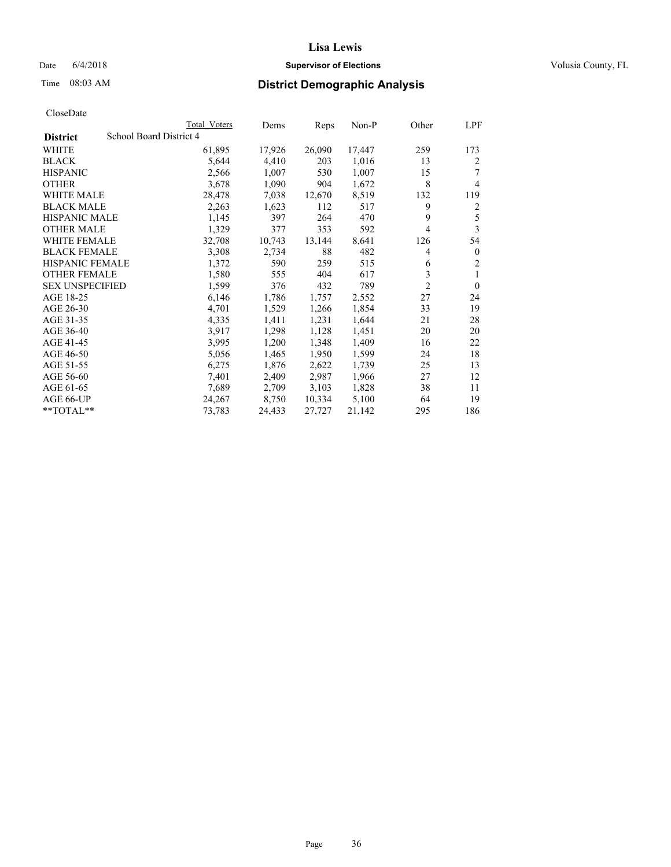### Date 6/4/2018 **Supervisor of Elections Supervisor of Elections** Volusia County, FL

# Time 08:03 AM **District Demographic Analysis**

|                        |                         | Total Voters | Dems   | Reps   | Non-P  | Other          | LPF            |
|------------------------|-------------------------|--------------|--------|--------|--------|----------------|----------------|
| <b>District</b>        | School Board District 4 |              |        |        |        |                |                |
| WHITE                  |                         | 61,895       | 17,926 | 26,090 | 17,447 | 259            | 173            |
| <b>BLACK</b>           |                         | 5,644        | 4,410  | 203    | 1,016  | 13             | 2              |
| <b>HISPANIC</b>        |                         | 2,566        | 1,007  | 530    | 1,007  | 15             |                |
| <b>OTHER</b>           |                         | 3,678        | 1,090  | 904    | 1,672  | 8              | 4              |
| WHITE MALE             |                         | 28,478       | 7,038  | 12,670 | 8,519  | 132            | 119            |
| <b>BLACK MALE</b>      |                         | 2,263        | 1,623  | 112    | 517    | 9              | 2              |
| <b>HISPANIC MALE</b>   |                         | 1,145        | 397    | 264    | 470    | 9              | 5              |
| <b>OTHER MALE</b>      |                         | 1,329        | 377    | 353    | 592    | 4              | 3              |
| WHITE FEMALE           |                         | 32,708       | 10,743 | 13,144 | 8,641  | 126            | 54             |
| <b>BLACK FEMALE</b>    |                         | 3,308        | 2,734  | 88     | 482    | 4              | $\mathbf{0}$   |
| <b>HISPANIC FEMALE</b> |                         | 1,372        | 590    | 259    | 515    | 6              | $\overline{2}$ |
| <b>OTHER FEMALE</b>    |                         | 1,580        | 555    | 404    | 617    | 3              | 1              |
| <b>SEX UNSPECIFIED</b> |                         | 1,599        | 376    | 432    | 789    | $\overline{2}$ | $\theta$       |
| AGE 18-25              |                         | 6,146        | 1,786  | 1,757  | 2,552  | 27             | 24             |
| AGE 26-30              |                         | 4,701        | 1,529  | 1,266  | 1,854  | 33             | 19             |
| AGE 31-35              |                         | 4,335        | 1,411  | 1,231  | 1,644  | 21             | 28             |
| AGE 36-40              |                         | 3,917        | 1,298  | 1,128  | 1,451  | 20             | 20             |
| AGE 41-45              |                         | 3,995        | 1,200  | 1,348  | 1,409  | 16             | 22             |
| AGE 46-50              |                         | 5,056        | 1,465  | 1,950  | 1,599  | 24             | 18             |
| AGE 51-55              |                         | 6,275        | 1,876  | 2,622  | 1,739  | 25             | 13             |
| AGE 56-60              |                         | 7,401        | 2,409  | 2,987  | 1,966  | 27             | 12             |
| AGE 61-65              |                         | 7,689        | 2,709  | 3,103  | 1,828  | 38             | 11             |
| AGE 66-UP              |                         | 24,267       | 8,750  | 10,334 | 5,100  | 64             | 19             |
| $*$ $TOTAL**$          |                         | 73,783       | 24,433 | 27,727 | 21,142 | 295            | 186            |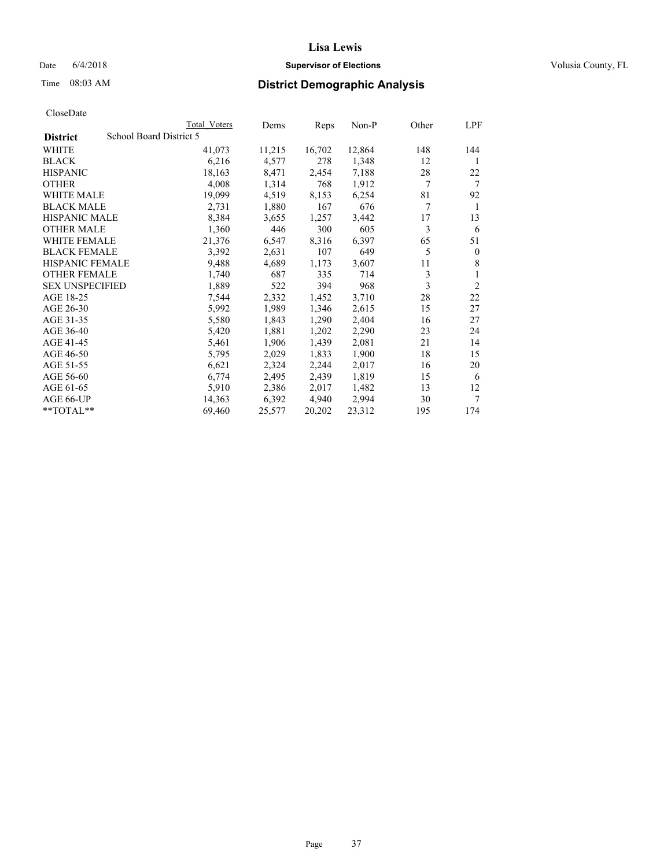## Date 6/4/2018 **Supervisor of Elections Supervisor of Elections** Volusia County, FL

# Time 08:03 AM **District Demographic Analysis**

|                                            | Total Voters | Dems   | Reps   | Non-P  | Other | LPF            |
|--------------------------------------------|--------------|--------|--------|--------|-------|----------------|
| School Board District 5<br><b>District</b> |              |        |        |        |       |                |
| WHITE                                      | 41,073       | 11,215 | 16,702 | 12,864 | 148   | 144            |
| <b>BLACK</b>                               | 6,216        | 4,577  | 278    | 1,348  | 12    | 1              |
| <b>HISPANIC</b>                            | 18,163       | 8,471  | 2,454  | 7,188  | 28    | 22             |
| <b>OTHER</b>                               | 4,008        | 1,314  | 768    | 1,912  | 7     | 7              |
| WHITE MALE                                 | 19,099       | 4,519  | 8,153  | 6,254  | 81    | 92             |
| <b>BLACK MALE</b>                          | 2,731        | 1,880  | 167    | 676    | 7     | 1              |
| <b>HISPANIC MALE</b>                       | 8,384        | 3,655  | 1,257  | 3,442  | 17    | 13             |
| <b>OTHER MALE</b>                          | 1,360        | 446    | 300    | 605    | 3     | 6              |
| <b>WHITE FEMALE</b>                        | 21,376       | 6,547  | 8,316  | 6,397  | 65    | 51             |
| <b>BLACK FEMALE</b>                        | 3,392        | 2,631  | 107    | 649    | 5     | $\mathbf{0}$   |
| <b>HISPANIC FEMALE</b>                     | 9,488        | 4,689  | 1,173  | 3,607  | 11    | 8              |
| <b>OTHER FEMALE</b>                        | 1,740        | 687    | 335    | 714    | 3     | 1              |
| <b>SEX UNSPECIFIED</b>                     | 1,889        | 522    | 394    | 968    | 3     | $\overline{2}$ |
| AGE 18-25                                  | 7,544        | 2,332  | 1,452  | 3,710  | 28    | 22             |
| AGE 26-30                                  | 5,992        | 1,989  | 1,346  | 2,615  | 15    | 27             |
| AGE 31-35                                  | 5,580        | 1,843  | 1,290  | 2,404  | 16    | 27             |
| AGE 36-40                                  | 5,420        | 1,881  | 1,202  | 2,290  | 23    | 24             |
| AGE 41-45                                  | 5,461        | 1,906  | 1,439  | 2,081  | 21    | 14             |
| AGE 46-50                                  | 5,795        | 2,029  | 1,833  | 1,900  | 18    | 15             |
| AGE 51-55                                  | 6,621        | 2,324  | 2,244  | 2,017  | 16    | 20             |
| AGE 56-60                                  | 6,774        | 2,495  | 2,439  | 1,819  | 15    | 6              |
| AGE 61-65                                  | 5,910        | 2,386  | 2,017  | 1,482  | 13    | 12             |
| AGE 66-UP                                  | 14,363       | 6,392  | 4,940  | 2,994  | 30    | 7              |
| **TOTAL**                                  | 69,460       | 25,577 | 20,202 | 23,312 | 195   | 174            |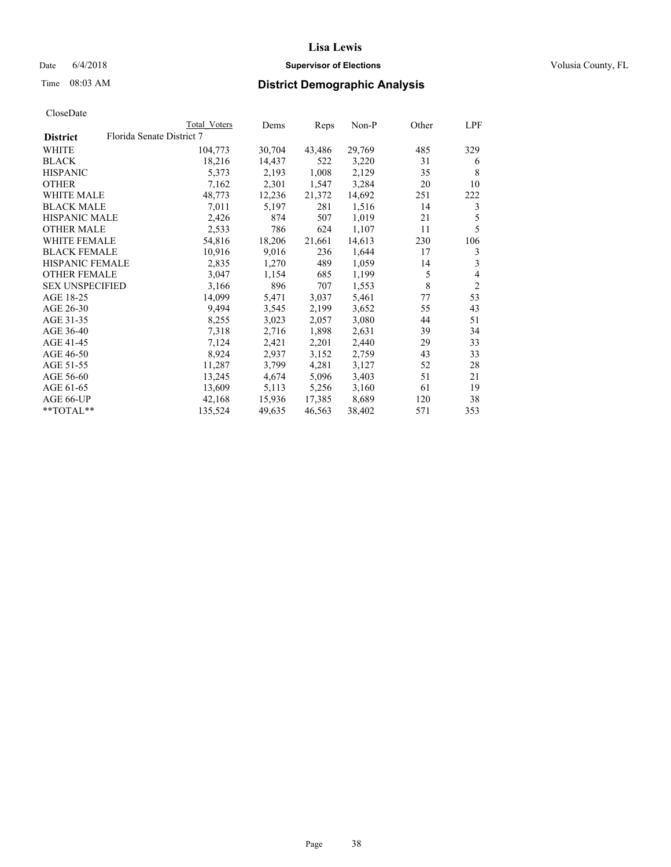### Date  $6/4/2018$  **Supervisor of Elections Supervisor of Elections** Volusia County, FL

# Time 08:03 AM **District Demographic Analysis**

|                        |                           | Total Voters | Dems   | Reps   | Non-P  | Other | LPF            |
|------------------------|---------------------------|--------------|--------|--------|--------|-------|----------------|
| <b>District</b>        | Florida Senate District 7 |              |        |        |        |       |                |
| WHITE                  |                           | 104,773      | 30,704 | 43,486 | 29,769 | 485   | 329            |
| <b>BLACK</b>           |                           | 18,216       | 14,437 | 522    | 3,220  | 31    | 6              |
| <b>HISPANIC</b>        |                           | 5,373        | 2,193  | 1,008  | 2,129  | 35    | 8              |
| <b>OTHER</b>           |                           | 7,162        | 2,301  | 1,547  | 3,284  | 20    | 10             |
| WHITE MALE             |                           | 48,773       | 12,236 | 21,372 | 14,692 | 251   | 222            |
| <b>BLACK MALE</b>      |                           | 7,011        | 5,197  | 281    | 1,516  | 14    | 3              |
| <b>HISPANIC MALE</b>   |                           | 2,426        | 874    | 507    | 1,019  | 21    | 5              |
| <b>OTHER MALE</b>      |                           | 2,533        | 786    | 624    | 1,107  | 11    | 5              |
| <b>WHITE FEMALE</b>    |                           | 54,816       | 18,206 | 21,661 | 14,613 | 230   | 106            |
| <b>BLACK FEMALE</b>    |                           | 10,916       | 9,016  | 236    | 1,644  | 17    | 3              |
| <b>HISPANIC FEMALE</b> |                           | 2,835        | 1,270  | 489    | 1,059  | 14    | 3              |
| <b>OTHER FEMALE</b>    |                           | 3,047        | 1,154  | 685    | 1,199  | 5     | $\overline{4}$ |
| <b>SEX UNSPECIFIED</b> |                           | 3,166        | 896    | 707    | 1,553  | 8     | $\mathfrak{2}$ |
| AGE 18-25              |                           | 14,099       | 5,471  | 3,037  | 5,461  | 77    | 53             |
| AGE 26-30              |                           | 9,494        | 3,545  | 2,199  | 3,652  | 55    | 43             |
| AGE 31-35              |                           | 8,255        | 3,023  | 2,057  | 3,080  | 44    | 51             |
| AGE 36-40              |                           | 7,318        | 2,716  | 1,898  | 2,631  | 39    | 34             |
| AGE 41-45              |                           | 7,124        | 2,421  | 2,201  | 2,440  | 29    | 33             |
| AGE 46-50              |                           | 8,924        | 2,937  | 3,152  | 2,759  | 43    | 33             |
| AGE 51-55              |                           | 11,287       | 3,799  | 4,281  | 3,127  | 52    | 28             |
| AGE 56-60              |                           | 13,245       | 4,674  | 5,096  | 3,403  | 51    | 21             |
| AGE 61-65              |                           | 13,609       | 5,113  | 5,256  | 3,160  | 61    | 19             |
| AGE 66-UP              |                           | 42,168       | 15,936 | 17,385 | 8,689  | 120   | 38             |
| $*$ TOTAL $*$          |                           | 135,524      | 49,635 | 46,563 | 38,402 | 571   | 353            |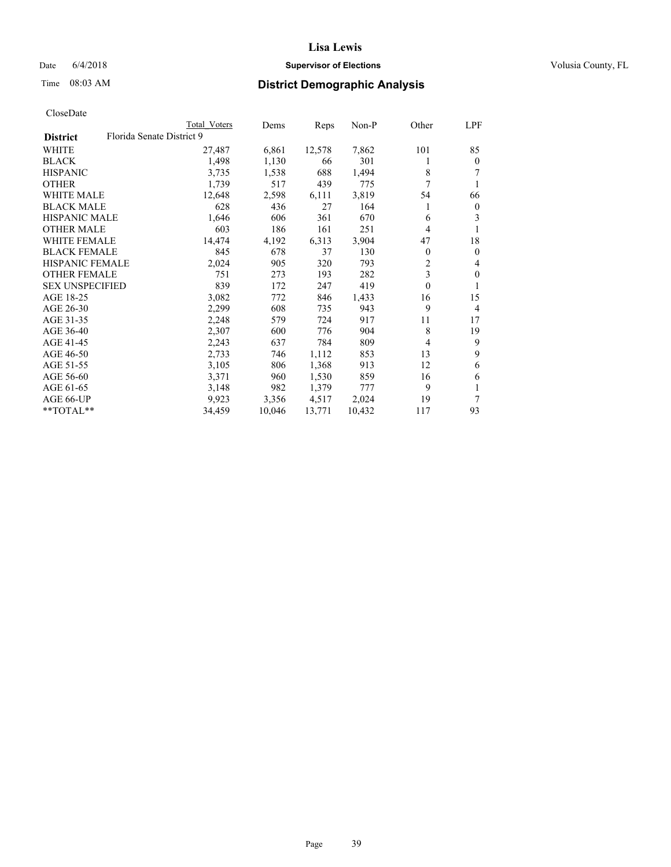## Date 6/4/2018 **Supervisor of Elections Supervisor of Elections** Volusia County, FL

# Time 08:03 AM **District Demographic Analysis**

|                                              | Total Voters | Dems   | Reps   | Non-P  | Other | LPF              |
|----------------------------------------------|--------------|--------|--------|--------|-------|------------------|
| Florida Senate District 9<br><b>District</b> |              |        |        |        |       |                  |
| WHITE                                        | 27,487       | 6,861  | 12,578 | 7,862  | 101   | 85               |
| <b>BLACK</b>                                 | 1,498        | 1,130  | 66     | 301    | 1     | $\mathbf{0}$     |
| <b>HISPANIC</b>                              | 3,735        | 1,538  | 688    | 1,494  | 8     | 7                |
| <b>OTHER</b>                                 | 1,739        | 517    | 439    | 775    | 7     | 1                |
| <b>WHITE MALE</b>                            | 12,648       | 2,598  | 6,111  | 3,819  | 54    | 66               |
| <b>BLACK MALE</b>                            | 628          | 436    | 27     | 164    | 1     | $\boldsymbol{0}$ |
| <b>HISPANIC MALE</b>                         | 1,646        | 606    | 361    | 670    | 6     | 3                |
| <b>OTHER MALE</b>                            | 603          | 186    | 161    | 251    | 4     |                  |
| <b>WHITE FEMALE</b>                          | 14,474       | 4,192  | 6,313  | 3,904  | 47    | 18               |
| <b>BLACK FEMALE</b>                          | 845          | 678    | 37     | 130    | 0     | $\theta$         |
| <b>HISPANIC FEMALE</b>                       | 2,024        | 905    | 320    | 793    | 2     | $\overline{4}$   |
| <b>OTHER FEMALE</b>                          | 751          | 273    | 193    | 282    | 3     | $\mathbf{0}$     |
| <b>SEX UNSPECIFIED</b>                       | 839          | 172    | 247    | 419    | 0     | 1                |
| AGE 18-25                                    | 3,082        | 772    | 846    | 1,433  | 16    | 15               |
| AGE 26-30                                    | 2,299        | 608    | 735    | 943    | 9     | $\overline{4}$   |
| AGE 31-35                                    | 2,248        | 579    | 724    | 917    | 11    | 17               |
| AGE 36-40                                    | 2,307        | 600    | 776    | 904    | 8     | 19               |
| AGE 41-45                                    | 2,243        | 637    | 784    | 809    | 4     | 9                |
| AGE 46-50                                    | 2,733        | 746    | 1,112  | 853    | 13    | 9                |
| AGE 51-55                                    | 3,105        | 806    | 1,368  | 913    | 12    | 6                |
| AGE 56-60                                    | 3,371        | 960    | 1,530  | 859    | 16    | 6                |
| AGE 61-65                                    | 3,148        | 982    | 1,379  | 777    | 9     |                  |
| AGE 66-UP                                    | 9,923        | 3,356  | 4,517  | 2,024  | 19    | 7                |
| **TOTAL**                                    | 34,459       | 10,046 | 13,771 | 10,432 | 117   | 93               |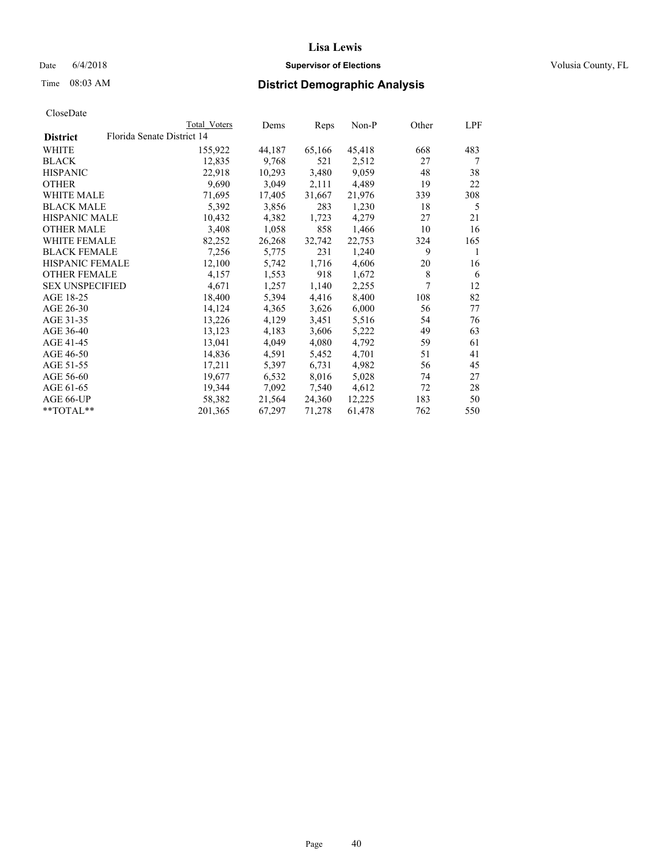## Date 6/4/2018 **Supervisor of Elections Supervisor of Elections** Volusia County, FL

|                 |                            | Total Voters | Dems   | Reps   | Non-P  | Other | LPF |
|-----------------|----------------------------|--------------|--------|--------|--------|-------|-----|
| <b>District</b> | Florida Senate District 14 |              |        |        |        |       |     |
| WHITE           |                            | 155,922      | 44,187 | 65,166 | 45,418 | 668   | 483 |
| BLACK           |                            | 12,835       | 9,768  | 521    | 2,512  | 27    | 7   |
| HISPANIC        |                            | 22,918       | 10,293 | 3,480  | 9,059  | 48    | 38  |
| OTHER           |                            | 9,690        | 3,049  | 2,111  | 4,489  | 19    | 22  |
| WHITE MALE      |                            | 71,695       | 17,405 | 31,667 | 21,976 | 339   | 308 |
| BLACK MALE      |                            | 5,392        | 3,856  | 283    | 1,230  | 18    | 5   |
| HISPANIC MALE   |                            | 10,432       | 4,382  | 1,723  | 4,279  | 27    | 21  |
| OTHER MALE      |                            | 3,408        | 1,058  | 858    | 1,466  | 10    | 16  |
| WHITE FEMALE    |                            | 82,252       | 26,268 | 32,742 | 22,753 | 324   | 165 |
| BLACK FEMALE    |                            | 7,256        | 5,775  | 231    | 1,240  | 9     | 1   |
| HISPANIC FEMALE |                            | 12,100       | 5,742  | 1,716  | 4,606  | 20    | 16  |
| OTHER FEMALE    |                            | 4,157        | 1,553  | 918    | 1,672  | 8     | 6   |
| SEX UNSPECIFIED |                            | 4,671        | 1,257  | 1,140  | 2,255  | 7     | 12  |
| AGE 18-25       |                            | 18,400       | 5,394  | 4,416  | 8,400  | 108   | 82  |
| AGE 26-30       |                            | 14,124       | 4,365  | 3,626  | 6,000  | 56    | 77  |
| AGE 31-35       |                            | 13,226       | 4,129  | 3,451  | 5,516  | 54    | 76  |
| AGE 36-40       |                            | 13,123       | 4,183  | 3,606  | 5,222  | 49    | 63  |
| AGE 41-45       |                            | 13,041       | 4,049  | 4,080  | 4,792  | 59    | 61  |
| AGE 46-50       |                            | 14,836       | 4,591  | 5,452  | 4,701  | 51    | 41  |
| AGE 51-55       |                            | 17,211       | 5,397  | 6,731  | 4,982  | 56    | 45  |
| AGE 56-60       |                            | 19,677       | 6,532  | 8,016  | 5,028  | 74    | 27  |
| AGE 61-65       |                            | 19,344       | 7,092  | 7,540  | 4,612  | 72    | 28  |
| AGE 66-UP       |                            | 58,382       | 21,564 | 24,360 | 12,225 | 183   | 50  |
| **TOTAL**       |                            | 201,365      | 67,297 | 71,278 | 61,478 | 762   | 550 |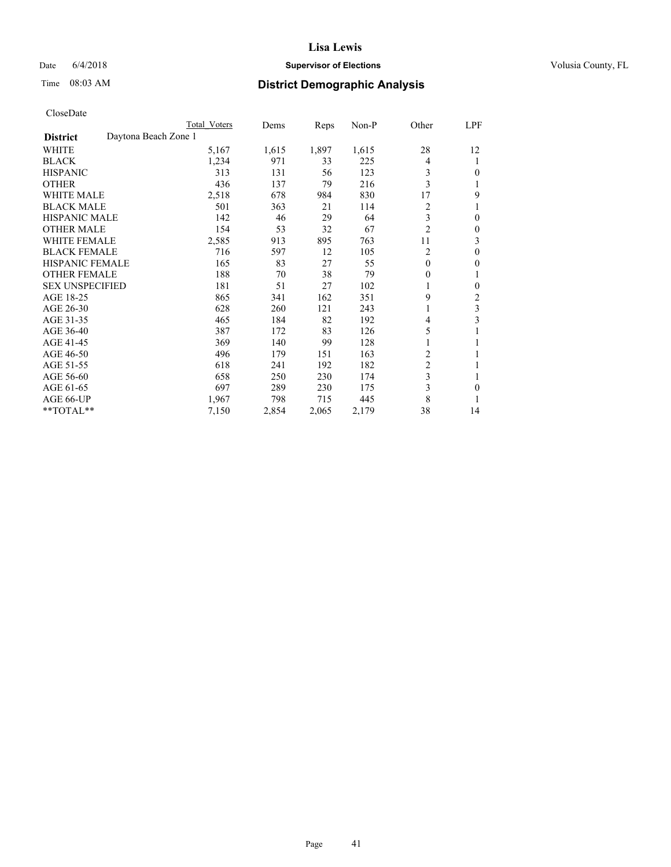## Date 6/4/2018 **Supervisor of Elections Supervisor of Elections** Volusia County, FL

# Time 08:03 AM **District Demographic Analysis**

|                                         | Total Voters | Dems  | Reps  | $Non-P$ | Other          | LPF |
|-----------------------------------------|--------------|-------|-------|---------|----------------|-----|
| Daytona Beach Zone 1<br><b>District</b> |              |       |       |         |                |     |
| WHITE                                   | 5,167        | 1,615 | 1,897 | 1,615   | 28             | 12  |
| <b>BLACK</b>                            | 1,234        | 971   | 33    | 225     | 4              | 1   |
| <b>HISPANIC</b>                         | 313          | 131   | 56    | 123     | 3              | 0   |
| <b>OTHER</b>                            | 436          | 137   | 79    | 216     | 3              |     |
| <b>WHITE MALE</b>                       | 2,518        | 678   | 984   | 830     | 17             | 9   |
| <b>BLACK MALE</b>                       | 501          | 363   | 21    | 114     | 2              |     |
| <b>HISPANIC MALE</b>                    | 142          | 46    | 29    | 64      | 3              | 0   |
| <b>OTHER MALE</b>                       | 154          | 53    | 32    | 67      | $\overline{2}$ | 0   |
| WHITE FEMALE                            | 2,585        | 913   | 895   | 763     | 11             | 3   |
| <b>BLACK FEMALE</b>                     | 716          | 597   | 12    | 105     | $\overline{2}$ | 0   |
| <b>HISPANIC FEMALE</b>                  | 165          | 83    | 27    | 55      | $\theta$       | 0   |
| <b>OTHER FEMALE</b>                     | 188          | 70    | 38    | 79      | 0              | 1   |
| <b>SEX UNSPECIFIED</b>                  | 181          | 51    | 27    | 102     | 1              | 0   |
| AGE 18-25                               | 865          | 341   | 162   | 351     | 9              | 2   |
| AGE 26-30                               | 628          | 260   | 121   | 243     | 1              | 3   |
| AGE 31-35                               | 465          | 184   | 82    | 192     | 4              | 3   |
| AGE 36-40                               | 387          | 172   | 83    | 126     | 5              |     |
| AGE 41-45                               | 369          | 140   | 99    | 128     | 1              | 1   |
| AGE 46-50                               | 496          | 179   | 151   | 163     | $\overline{c}$ |     |
| AGE 51-55                               | 618          | 241   | 192   | 182     | $\overline{2}$ |     |
| AGE 56-60                               | 658          | 250   | 230   | 174     | 3              | 1   |
| AGE 61-65                               | 697          | 289   | 230   | 175     | 3              | 0   |
| AGE 66-UP                               | 1,967        | 798   | 715   | 445     | 8              |     |
| $*$ TOTAL $*$                           | 7,150        | 2,854 | 2,065 | 2,179   | 38             | 14  |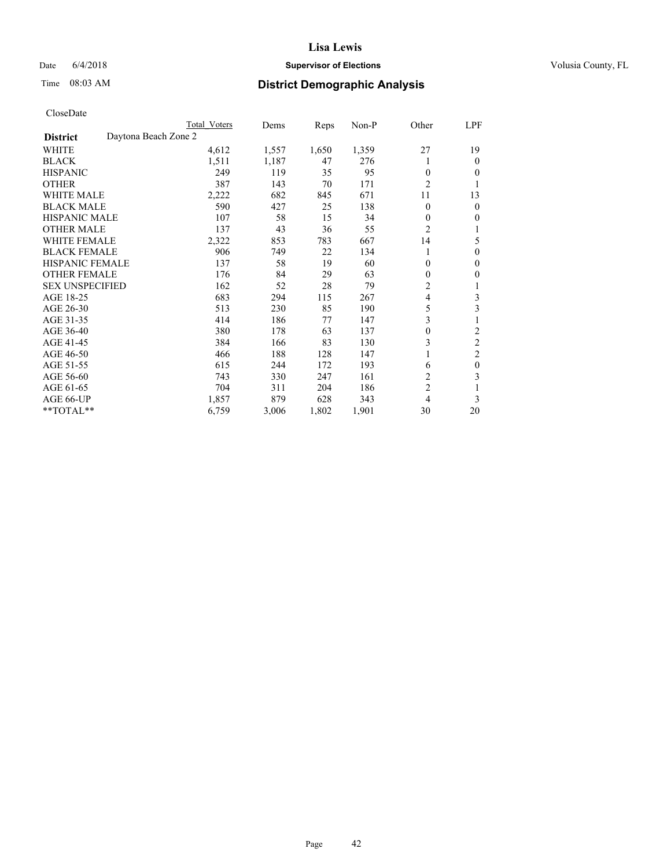## Date 6/4/2018 **Supervisor of Elections Supervisor of Elections** Volusia County, FL

# Time 08:03 AM **District Demographic Analysis**

|                        | Total Voters         | Dems  | Reps  | Non-P | Other          | LPF            |
|------------------------|----------------------|-------|-------|-------|----------------|----------------|
| <b>District</b>        | Daytona Beach Zone 2 |       |       |       |                |                |
| WHITE                  | 4,612                | 1,557 | 1,650 | 1,359 | 27             | 19             |
| <b>BLACK</b>           | 1,511                | 1,187 | 47    | 276   |                | $\theta$       |
| <b>HISPANIC</b>        | 249                  | 119   | 35    | 95    | $\theta$       | $\theta$       |
| <b>OTHER</b>           | 387                  | 143   | 70    | 171   | $\overline{2}$ | 1              |
| WHITE MALE             | 2,222                | 682   | 845   | 671   | 11             | 13             |
| <b>BLACK MALE</b>      | 590                  | 427   | 25    | 138   | $\Omega$       | $\mathbf{0}$   |
| <b>HISPANIC MALE</b>   | 107                  | 58    | 15    | 34    | 0              | $\mathbf{0}$   |
| <b>OTHER MALE</b>      | 137                  | 43    | 36    | 55    | $\overline{2}$ | 1              |
| WHITE FEMALE           | 2,322                | 853   | 783   | 667   | 14             | 5              |
| <b>BLACK FEMALE</b>    | 906                  | 749   | 22    | 134   |                | $\mathbf{0}$   |
| <b>HISPANIC FEMALE</b> | 137                  | 58    | 19    | 60    | 0              | $\theta$       |
| <b>OTHER FEMALE</b>    | 176                  | 84    | 29    | 63    | 0              | $\mathbf{0}$   |
| <b>SEX UNSPECIFIED</b> | 162                  | 52    | 28    | 79    | $\overline{c}$ | 1              |
| AGE 18-25              | 683                  | 294   | 115   | 267   | 4              | 3              |
| AGE 26-30              | 513                  | 230   | 85    | 190   | 5              | 3              |
| AGE 31-35              | 414                  | 186   | 77    | 147   | 3              | 1              |
| AGE 36-40              | 380                  | 178   | 63    | 137   | 0              | 2              |
| AGE 41-45              | 384                  | 166   | 83    | 130   | 3              | $\overline{c}$ |
| AGE 46-50              | 466                  | 188   | 128   | 147   |                | $\overline{2}$ |
| AGE 51-55              | 615                  | 244   | 172   | 193   | 6              | $\mathbf{0}$   |
| AGE 56-60              | 743                  | 330   | 247   | 161   | $\overline{2}$ | 3              |
| AGE 61-65              | 704                  | 311   | 204   | 186   | $\overline{2}$ | 1              |
| AGE 66-UP              | 1,857                | 879   | 628   | 343   | 4              | 3              |
| **TOTAL**              | 6,759                | 3,006 | 1,802 | 1,901 | 30             | 20             |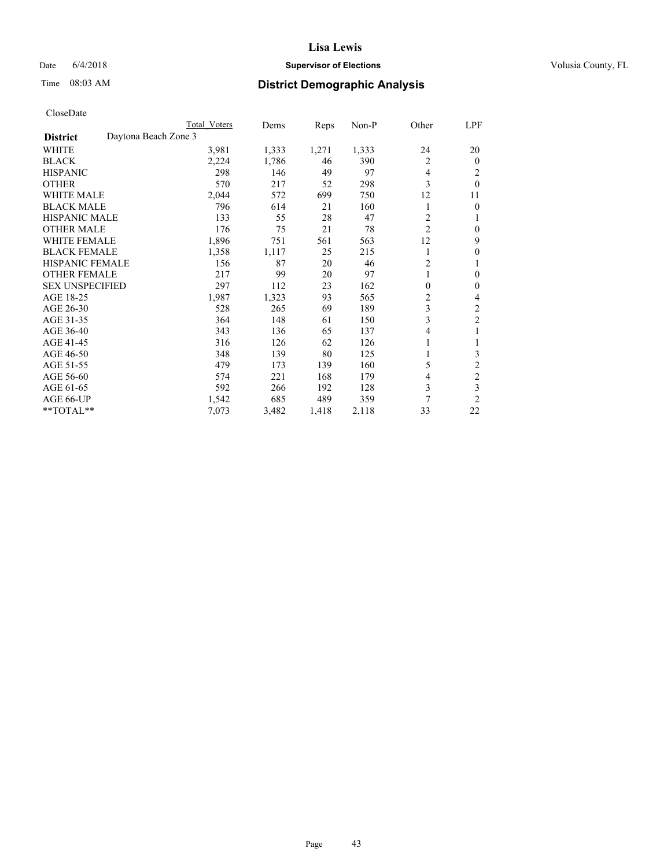## Date 6/4/2018 **Supervisor of Elections Supervisor of Elections** Volusia County, FL

# Time 08:03 AM **District Demographic Analysis**

|                        |                      | Total Voters | Dems  | Reps  | Non-P | Other          | LPF            |
|------------------------|----------------------|--------------|-------|-------|-------|----------------|----------------|
| <b>District</b>        | Daytona Beach Zone 3 |              |       |       |       |                |                |
| WHITE                  |                      | 3,981        | 1,333 | 1,271 | 1,333 | 24             | 20             |
| <b>BLACK</b>           |                      | 2,224        | 1,786 | 46    | 390   | 2              | $\overline{0}$ |
| <b>HISPANIC</b>        |                      | 298          | 146   | 49    | 97    | 4              | 2              |
| <b>OTHER</b>           |                      | 570          | 217   | 52    | 298   | 3              | $\theta$       |
| WHITE MALE             |                      | 2,044        | 572   | 699   | 750   | 12             | 11             |
| <b>BLACK MALE</b>      |                      | 796          | 614   | 21    | 160   | 1              | 0              |
| <b>HISPANIC MALE</b>   |                      | 133          | 55    | 28    | 47    | 2              | 1              |
| <b>OTHER MALE</b>      |                      | 176          | 75    | 21    | 78    | $\overline{2}$ | 0              |
| WHITE FEMALE           |                      | 1,896        | 751   | 561   | 563   | 12             | 9              |
| <b>BLACK FEMALE</b>    |                      | 1,358        | 1,117 | 25    | 215   | 1              | 0              |
| <b>HISPANIC FEMALE</b> |                      | 156          | 87    | 20    | 46    | $\overline{c}$ |                |
| <b>OTHER FEMALE</b>    |                      | 217          | 99    | 20    | 97    | 1              | 0              |
| <b>SEX UNSPECIFIED</b> |                      | 297          | 112   | 23    | 162   | 0              | 0              |
| AGE 18-25              |                      | 1,987        | 1,323 | 93    | 565   | 2              | 4              |
| AGE 26-30              |                      | 528          | 265   | 69    | 189   | 3              | 2              |
| AGE 31-35              |                      | 364          | 148   | 61    | 150   | 3              | $\overline{c}$ |
| AGE 36-40              |                      | 343          | 136   | 65    | 137   | 4              |                |
| AGE 41-45              |                      | 316          | 126   | 62    | 126   |                |                |
| AGE 46-50              |                      | 348          | 139   | 80    | 125   |                | 3              |
| AGE 51-55              |                      | 479          | 173   | 139   | 160   | 5              | $\overline{c}$ |
| AGE 56-60              |                      | 574          | 221   | 168   | 179   | 4              | $\overline{c}$ |
| AGE 61-65              |                      | 592          | 266   | 192   | 128   | 3              | 3              |
| AGE 66-UP              |                      | 1,542        | 685   | 489   | 359   | 7              | $\overline{2}$ |
| **TOTAL**              |                      | 7,073        | 3,482 | 1,418 | 2,118 | 33             | 22             |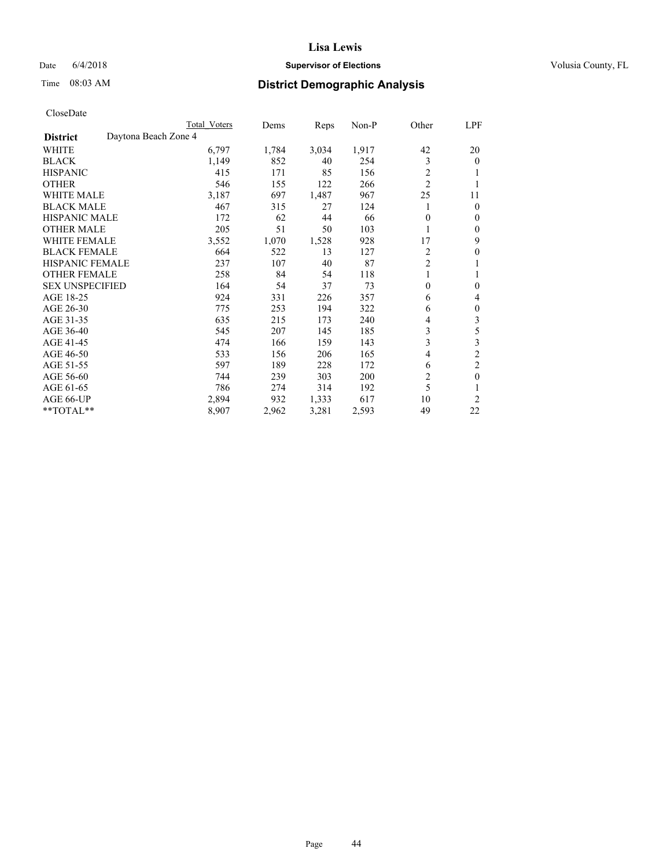## Date 6/4/2018 **Supervisor of Elections Supervisor of Elections** Volusia County, FL

# Time 08:03 AM **District Demographic Analysis**

|                        |                      | Total Voters | Dems  | Reps  | Non-P | Other          | LPF              |
|------------------------|----------------------|--------------|-------|-------|-------|----------------|------------------|
| <b>District</b>        | Daytona Beach Zone 4 |              |       |       |       |                |                  |
| WHITE                  |                      | 6,797        | 1,784 | 3,034 | 1,917 | 42             | 20               |
| <b>BLACK</b>           |                      | 1,149        | 852   | 40    | 254   | 3              | $\mathbf{0}$     |
| <b>HISPANIC</b>        |                      | 415          | 171   | 85    | 156   | 2              | 1                |
| <b>OTHER</b>           |                      | 546          | 155   | 122   | 266   | $\overline{2}$ |                  |
| <b>WHITE MALE</b>      |                      | 3,187        | 697   | 1,487 | 967   | 25             | 11               |
| <b>BLACK MALE</b>      |                      | 467          | 315   | 27    | 124   |                | $\mathbf{0}$     |
| <b>HISPANIC MALE</b>   |                      | 172          | 62    | 44    | 66    | 0              | $\mathbf{0}$     |
| <b>OTHER MALE</b>      |                      | 205          | 51    | 50    | 103   | 1              | $\mathbf{0}$     |
| WHITE FEMALE           |                      | 3,552        | 1,070 | 1,528 | 928   | 17             | 9                |
| <b>BLACK FEMALE</b>    |                      | 664          | 522   | 13    | 127   | 2              | $\theta$         |
| <b>HISPANIC FEMALE</b> |                      | 237          | 107   | 40    | 87    | $\overline{2}$ | 1                |
| <b>OTHER FEMALE</b>    |                      | 258          | 84    | 54    | 118   | 1              | 1                |
| <b>SEX UNSPECIFIED</b> |                      | 164          | 54    | 37    | 73    | 0              | $\boldsymbol{0}$ |
| AGE 18-25              |                      | 924          | 331   | 226   | 357   | 6              | 4                |
| AGE 26-30              |                      | 775          | 253   | 194   | 322   | 6              | $\boldsymbol{0}$ |
| AGE 31-35              |                      | 635          | 215   | 173   | 240   | 4              | 3                |
| AGE 36-40              |                      | 545          | 207   | 145   | 185   | 3              | 5                |
| AGE 41-45              |                      | 474          | 166   | 159   | 143   | 3              | 3                |
| AGE 46-50              |                      | 533          | 156   | 206   | 165   | 4              | $\overline{2}$   |
| AGE 51-55              |                      | 597          | 189   | 228   | 172   | 6              | $\overline{c}$   |
| AGE 56-60              |                      | 744          | 239   | 303   | 200   | $\overline{c}$ | $\mathbf{0}$     |
| AGE 61-65              |                      | 786          | 274   | 314   | 192   | 5              | 1                |
| AGE 66-UP              |                      | 2,894        | 932   | 1,333 | 617   | 10             | $\overline{2}$   |
| **TOTAL**              |                      | 8,907        | 2,962 | 3,281 | 2,593 | 49             | 22               |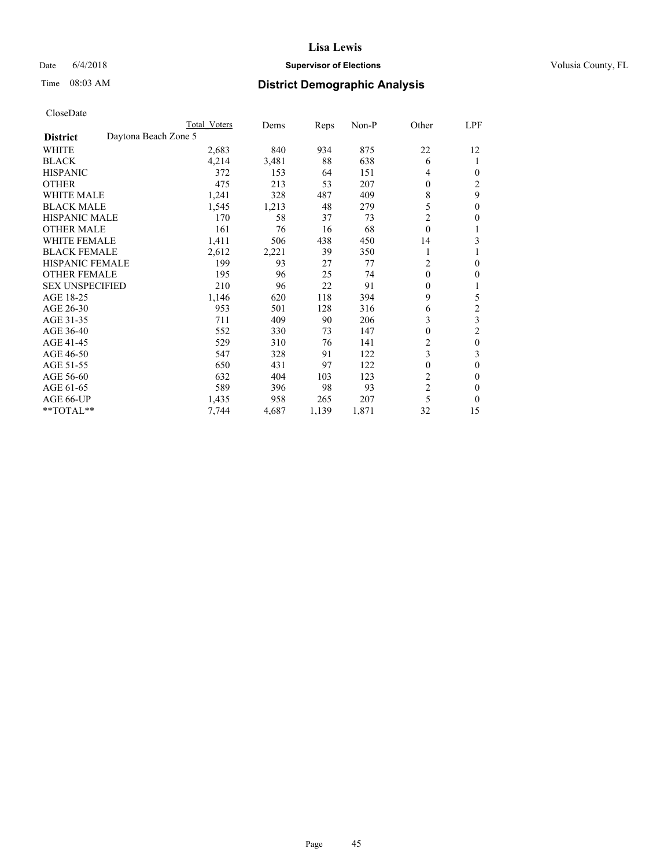## Date 6/4/2018 **Supervisor of Elections Supervisor of Elections** Volusia County, FL

| CloseDate |
|-----------|
|-----------|

|                                         | Total Voters | Dems  | Reps  | Non-P | Other            | LPF            |
|-----------------------------------------|--------------|-------|-------|-------|------------------|----------------|
| Daytona Beach Zone 5<br><b>District</b> |              |       |       |       |                  |                |
| WHITE                                   | 2,683        | 840   | 934   | 875   | 22               | 12             |
| <b>BLACK</b>                            | 4,214        | 3,481 | 88    | 638   | 6                | 1              |
| <b>HISPANIC</b>                         | 372          | 153   | 64    | 151   | 4                | 0              |
| <b>OTHER</b>                            | 475          | 213   | 53    | 207   | 0                | 2              |
| <b>WHITE MALE</b>                       | 1,241        | 328   | 487   | 409   | 8                | 9              |
| <b>BLACK MALE</b>                       | 1,545        | 1,213 | 48    | 279   | 5                | 0              |
| <b>HISPANIC MALE</b>                    | 170          | 58    | 37    | 73    | 2                | 0              |
| <b>OTHER MALE</b>                       | 161          | 76    | 16    | 68    | $\mathbf{0}$     |                |
| <b>WHITE FEMALE</b>                     | 1,411        | 506   | 438   | 450   | 14               | 3              |
| <b>BLACK FEMALE</b>                     | 2,612        | 2,221 | 39    | 350   |                  |                |
| <b>HISPANIC FEMALE</b>                  | 199          | 93    | 27    | 77    | $\overline{c}$   | 0              |
| <b>OTHER FEMALE</b>                     | 195          | 96    | 25    | 74    | $\theta$         | 0              |
| <b>SEX UNSPECIFIED</b>                  | 210          | 96    | 22    | 91    | 0                |                |
| AGE 18-25                               | 1,146        | 620   | 118   | 394   | 9                | 5              |
| AGE 26-30                               | 953          | 501   | 128   | 316   | 6                | $\overline{c}$ |
| AGE 31-35                               | 711          | 409   | 90    | 206   | 3                | 3              |
| AGE 36-40                               | 552          | 330   | 73    | 147   | $\boldsymbol{0}$ | 2              |
| AGE 41-45                               | 529          | 310   | 76    | 141   | $\overline{c}$   | $\theta$       |
| AGE 46-50                               | 547          | 328   | 91    | 122   | 3                | 3              |
| AGE 51-55                               | 650          | 431   | 97    | 122   | 0                | 0              |
| AGE 56-60                               | 632          | 404   | 103   | 123   | $\overline{2}$   | 0              |
| AGE 61-65                               | 589          | 396   | 98    | 93    | $\overline{c}$   | $\Omega$       |
| AGE 66-UP                               | 1,435        | 958   | 265   | 207   | 5                | 0              |
| **TOTAL**                               | 7,744        | 4,687 | 1,139 | 1,871 | 32               | 15             |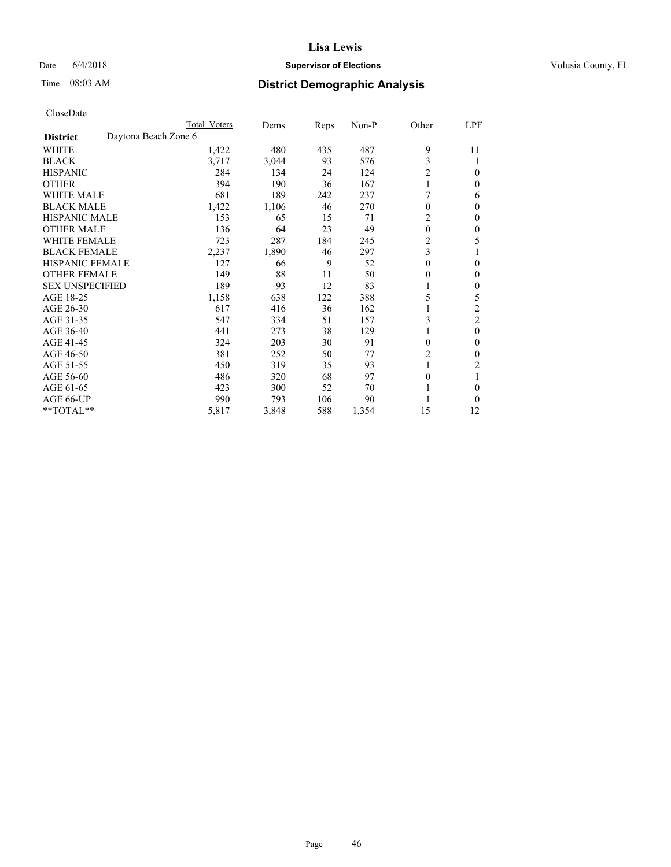## Date 6/4/2018 **Supervisor of Elections Supervisor of Elections** Volusia County, FL

# Time 08:03 AM **District Demographic Analysis**

|                        | Total Voters         | Dems  | Reps | Non-P | Other          | LPF            |
|------------------------|----------------------|-------|------|-------|----------------|----------------|
| <b>District</b>        | Daytona Beach Zone 6 |       |      |       |                |                |
| WHITE                  | 1,422                | 480   | 435  | 487   | 9              | 11             |
| <b>BLACK</b>           | 3,717                | 3,044 | 93   | 576   | 3              |                |
| <b>HISPANIC</b>        | 284                  | 134   | 24   | 124   | $\overline{c}$ | 0              |
| <b>OTHER</b>           | 394                  | 190   | 36   | 167   | 1              | 0              |
| <b>WHITE MALE</b>      | 681                  | 189   | 242  | 237   |                | 6              |
| <b>BLACK MALE</b>      | 1,422                | 1,106 | 46   | 270   | $\mathbf{0}$   | 0              |
| <b>HISPANIC MALE</b>   | 153                  | 65    | 15   | 71    | 2              | 0              |
| <b>OTHER MALE</b>      | 136                  | 64    | 23   | 49    | $\mathbf{0}$   | $\mathbf{0}$   |
| <b>WHITE FEMALE</b>    | 723                  | 287   | 184  | 245   | $\overline{2}$ | 5              |
| <b>BLACK FEMALE</b>    | 2,237                | 1,890 | 46   | 297   | 3              |                |
| <b>HISPANIC FEMALE</b> | 127                  | 66    | 9    | 52    | $\theta$       | 0              |
| <b>OTHER FEMALE</b>    | 149                  | 88    | 11   | 50    | $\theta$       | 0              |
| <b>SEX UNSPECIFIED</b> | 189                  | 93    | 12   | 83    |                | 0              |
| AGE 18-25              | 1,158                | 638   | 122  | 388   | 5              | 5              |
| AGE 26-30              | 617                  | 416   | 36   | 162   |                | 2              |
| AGE 31-35              | 547                  | 334   | 51   | 157   | 3              | $\overline{c}$ |
| AGE 36-40              | 441                  | 273   | 38   | 129   |                | $\mathbf{0}$   |
| AGE 41-45              | 324                  | 203   | 30   | 91    | $\theta$       | 0              |
| AGE 46-50              | 381                  | 252   | 50   | 77    | $\overline{c}$ | 0              |
| AGE 51-55              | 450                  | 319   | 35   | 93    | 1              | 2              |
| AGE 56-60              | 486                  | 320   | 68   | 97    | $\theta$       |                |
| AGE 61-65              | 423                  | 300   | 52   | 70    |                | 0              |
| AGE 66-UP              | 990                  | 793   | 106  | 90    |                | 0              |
| **TOTAL**              | 5,817                | 3,848 | 588  | 1,354 | 15             | 12             |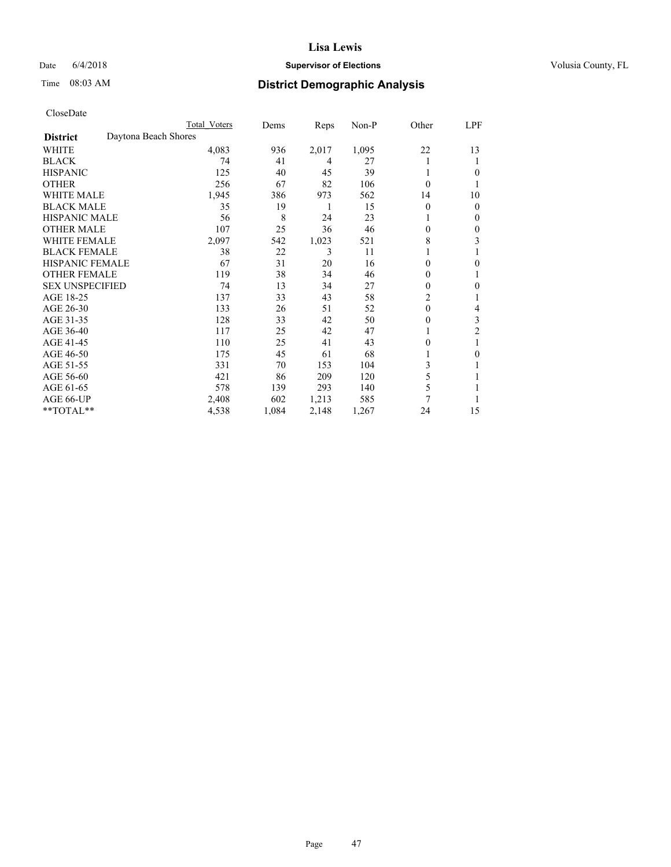## Date 6/4/2018 **Supervisor of Elections Supervisor of Elections** Volusia County, FL

# Time 08:03 AM **District Demographic Analysis**

|                        |                      | Total Voters | Dems  | Reps  | Non-P | Other          | LPF              |
|------------------------|----------------------|--------------|-------|-------|-------|----------------|------------------|
| <b>District</b>        | Daytona Beach Shores |              |       |       |       |                |                  |
| WHITE                  |                      | 4,083        | 936   | 2,017 | 1,095 | 22             | 13               |
| <b>BLACK</b>           |                      | 74           | 41    | 4     | 27    |                | 1                |
| <b>HISPANIC</b>        |                      | 125          | 40    | 45    | 39    | 1              | 0                |
| <b>OTHER</b>           |                      | 256          | 67    | 82    | 106   | 0              |                  |
| <b>WHITE MALE</b>      |                      | 1,945        | 386   | 973   | 562   | 14             | 10               |
| <b>BLACK MALE</b>      |                      | 35           | 19    | 1     | 15    | 0              | $\mathbf{0}$     |
| <b>HISPANIC MALE</b>   |                      | 56           | 8     | 24    | 23    |                | $\mathbf{0}$     |
| <b>OTHER MALE</b>      |                      | 107          | 25    | 36    | 46    | 0              | 0                |
| WHITE FEMALE           |                      | 2,097        | 542   | 1,023 | 521   | 8              | 3                |
| <b>BLACK FEMALE</b>    |                      | 38           | 22    | 3     | 11    |                |                  |
| <b>HISPANIC FEMALE</b> |                      | 67           | 31    | 20    | 16    | 0              | 0                |
| <b>OTHER FEMALE</b>    |                      | 119          | 38    | 34    | 46    | 0              | 1                |
| <b>SEX UNSPECIFIED</b> |                      | 74           | 13    | 34    | 27    | 0              | $\boldsymbol{0}$ |
| AGE 18-25              |                      | 137          | 33    | 43    | 58    | $\overline{c}$ |                  |
| AGE 26-30              |                      | 133          | 26    | 51    | 52    | $\theta$       | 4                |
| AGE 31-35              |                      | 128          | 33    | 42    | 50    | 0              | 3                |
| AGE 36-40              |                      | 117          | 25    | 42    | 47    |                | $\overline{c}$   |
| AGE 41-45              |                      | 110          | 25    | 41    | 43    | 0              |                  |
| AGE 46-50              |                      | 175          | 45    | 61    | 68    |                | 0                |
| AGE 51-55              |                      | 331          | 70    | 153   | 104   | 3              | 1                |
| AGE 56-60              |                      | 421          | 86    | 209   | 120   | 5              |                  |
| AGE 61-65              |                      | 578          | 139   | 293   | 140   | 5              |                  |
| AGE 66-UP              |                      | 2,408        | 602   | 1,213 | 585   | 7              |                  |
| **TOTAL**              |                      | 4,538        | 1,084 | 2,148 | 1,267 | 24             | 15               |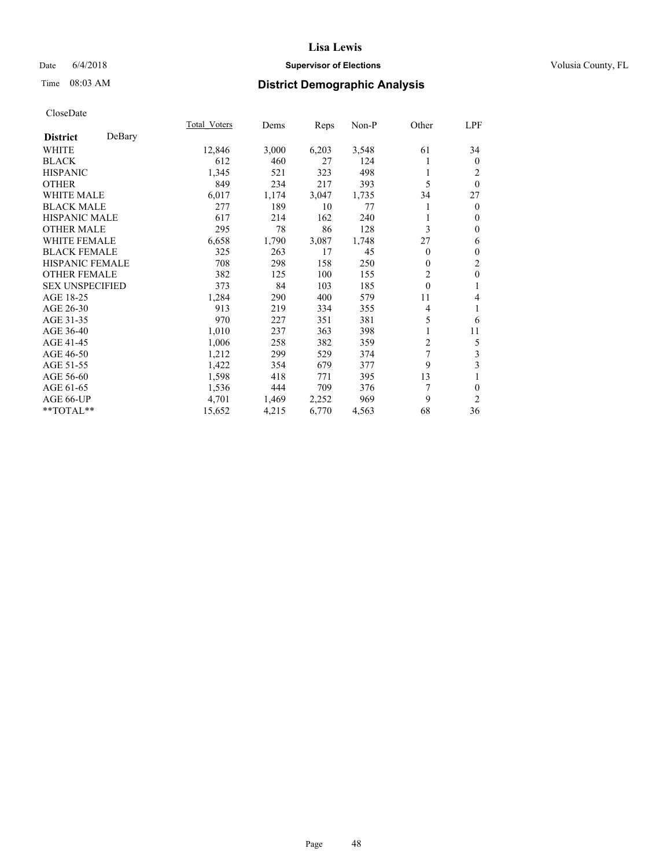## Date 6/4/2018 **Supervisor of Elections Supervisor of Elections** Volusia County, FL

# Time 08:03 AM **District Demographic Analysis**

|                        |        | Total Voters | Dems  | Reps  | Non-P | Other          | LPF            |
|------------------------|--------|--------------|-------|-------|-------|----------------|----------------|
| <b>District</b>        | DeBary |              |       |       |       |                |                |
| WHITE                  |        | 12,846       | 3,000 | 6,203 | 3,548 | 61             | 34             |
| <b>BLACK</b>           |        | 612          | 460   | 27    | 124   |                | $\mathbf{0}$   |
| <b>HISPANIC</b>        |        | 1,345        | 521   | 323   | 498   |                | 2              |
| <b>OTHER</b>           |        | 849          | 234   | 217   | 393   | 5              | $\theta$       |
| <b>WHITE MALE</b>      |        | 6,017        | 1,174 | 3,047 | 1,735 | 34             | 27             |
| <b>BLACK MALE</b>      |        | 277          | 189   | 10    | 77    |                | $\mathbf{0}$   |
| <b>HISPANIC MALE</b>   |        | 617          | 214   | 162   | 240   |                | $\theta$       |
| <b>OTHER MALE</b>      |        | 295          | 78    | 86    | 128   | 3              | $\mathbf{0}$   |
| <b>WHITE FEMALE</b>    |        | 6,658        | 1,790 | 3,087 | 1,748 | 27             | 6              |
| <b>BLACK FEMALE</b>    |        | 325          | 263   | 17    | 45    | $\overline{0}$ | $\mathbf{0}$   |
| <b>HISPANIC FEMALE</b> |        | 708          | 298   | 158   | 250   | 0              | $\overline{c}$ |
| <b>OTHER FEMALE</b>    |        | 382          | 125   | 100   | 155   | $\overline{2}$ | $\mathbf{0}$   |
| <b>SEX UNSPECIFIED</b> |        | 373          | 84    | 103   | 185   | $\theta$       | 1              |
| AGE 18-25              |        | 1,284        | 290   | 400   | 579   | 11             | 4              |
| AGE 26-30              |        | 913          | 219   | 334   | 355   | 4              | 1              |
| AGE 31-35              |        | 970          | 227   | 351   | 381   | 5              | 6              |
| AGE 36-40              |        | 1,010        | 237   | 363   | 398   |                | 11             |
| AGE 41-45              |        | 1,006        | 258   | 382   | 359   | 2              | 5              |
| AGE 46-50              |        | 1,212        | 299   | 529   | 374   | 7              | 3              |
| AGE 51-55              |        | 1,422        | 354   | 679   | 377   | 9              | 3              |
| AGE 56-60              |        | 1,598        | 418   | 771   | 395   | 13             | 1              |
| AGE 61-65              |        | 1,536        | 444   | 709   | 376   | 7              | $\theta$       |
| AGE 66-UP              |        | 4,701        | 1,469 | 2,252 | 969   | 9              | $\overline{2}$ |
| **TOTAL**              |        | 15,652       | 4,215 | 6,770 | 4,563 | 68             | 36             |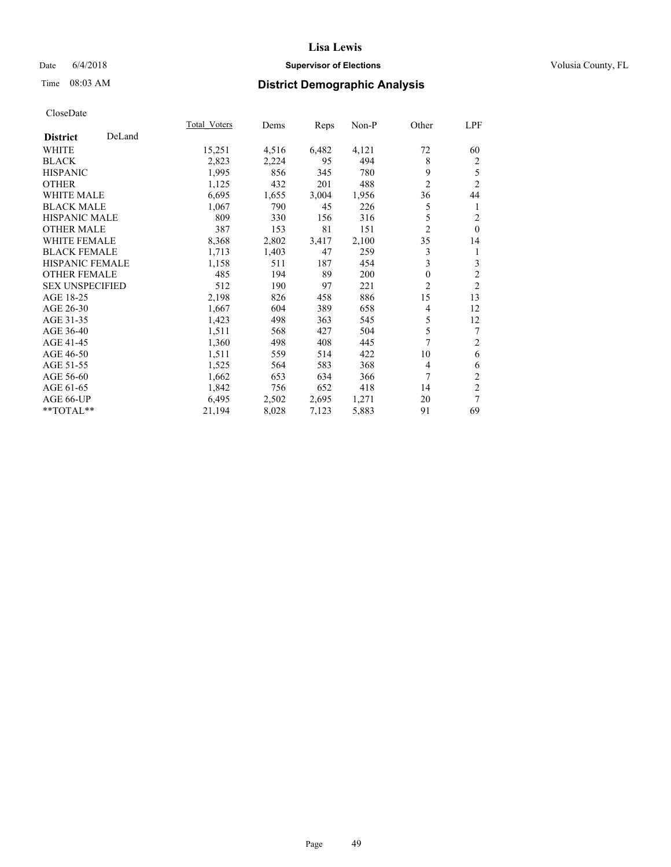## Date 6/4/2018 **Supervisor of Elections Supervisor of Elections** Volusia County, FL

# Time 08:03 AM **District Demographic Analysis**

|                        |        | Total Voters | Dems  | Reps  | Non-P | Other          | LPF            |
|------------------------|--------|--------------|-------|-------|-------|----------------|----------------|
| <b>District</b>        | DeLand |              |       |       |       |                |                |
| <b>WHITE</b>           |        | 15,251       | 4,516 | 6,482 | 4,121 | 72             | 60             |
| <b>BLACK</b>           |        | 2,823        | 2,224 | 95    | 494   | 8              | $\overline{c}$ |
| <b>HISPANIC</b>        |        | 1,995        | 856   | 345   | 780   | 9              | 5              |
| <b>OTHER</b>           |        | 1,125        | 432   | 201   | 488   | $\overline{2}$ | $\overline{2}$ |
| WHITE MALE             |        | 6,695        | 1,655 | 3,004 | 1,956 | 36             | 44             |
| <b>BLACK MALE</b>      |        | 1,067        | 790   | 45    | 226   | 5              | 1              |
| <b>HISPANIC MALE</b>   |        | 809          | 330   | 156   | 316   | 5              | $\overline{c}$ |
| <b>OTHER MALE</b>      |        | 387          | 153   | 81    | 151   | $\overline{2}$ | $\theta$       |
| WHITE FEMALE           |        | 8,368        | 2,802 | 3,417 | 2,100 | 35             | 14             |
| <b>BLACK FEMALE</b>    |        | 1,713        | 1,403 | 47    | 259   | 3              | 1              |
| <b>HISPANIC FEMALE</b> |        | 1,158        | 511   | 187   | 454   | 3              | 3              |
| <b>OTHER FEMALE</b>    |        | 485          | 194   | 89    | 200   | 0              | $\overline{c}$ |
| <b>SEX UNSPECIFIED</b> |        | 512          | 190   | 97    | 221   | $\overline{2}$ | $\overline{2}$ |
| AGE 18-25              |        | 2,198        | 826   | 458   | 886   | 15             | 13             |
| AGE 26-30              |        | 1,667        | 604   | 389   | 658   | 4              | 12             |
| AGE 31-35              |        | 1,423        | 498   | 363   | 545   | 5              | 12             |
| AGE 36-40              |        | 1,511        | 568   | 427   | 504   | 5              | 7              |
| AGE 41-45              |        | 1,360        | 498   | 408   | 445   | 7              | $\overline{2}$ |
| AGE 46-50              |        | 1,511        | 559   | 514   | 422   | 10             | 6              |
| AGE 51-55              |        | 1,525        | 564   | 583   | 368   | 4              | 6              |
| AGE 56-60              |        | 1,662        | 653   | 634   | 366   | 7              | $\overline{2}$ |
| AGE 61-65              |        | 1,842        | 756   | 652   | 418   | 14             | $\overline{2}$ |
| AGE 66-UP              |        | 6,495        | 2,502 | 2,695 | 1,271 | 20             | 7              |
| **TOTAL**              |        | 21,194       | 8,028 | 7,123 | 5,883 | 91             | 69             |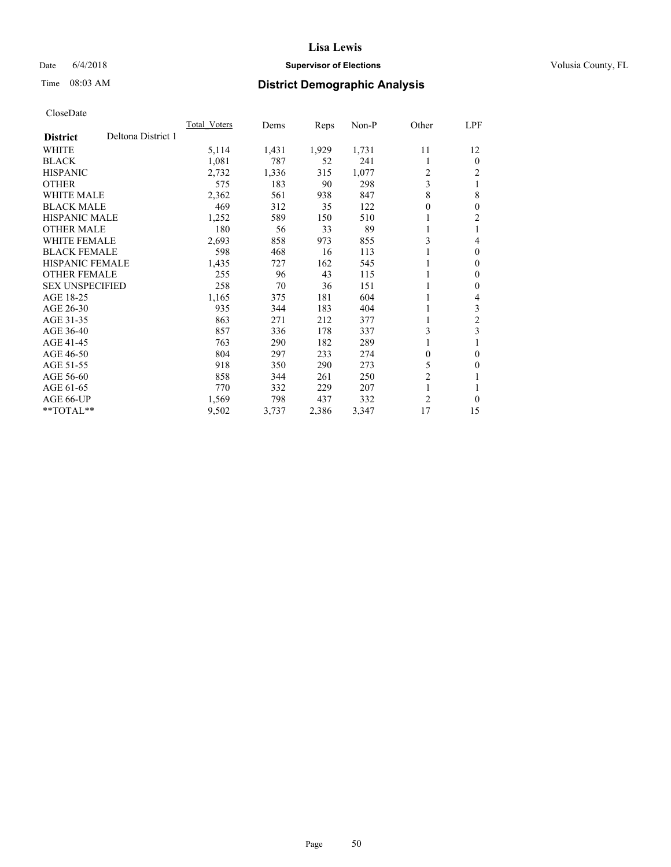## Date 6/4/2018 **Supervisor of Elections Supervisor of Elections** Volusia County, FL

# Time 08:03 AM **District Demographic Analysis**

|                        |                    | Total Voters | Dems  | Reps  | Non-P | Other          | <u>LPF</u>     |
|------------------------|--------------------|--------------|-------|-------|-------|----------------|----------------|
| <b>District</b>        | Deltona District 1 |              |       |       |       |                |                |
| WHITE                  |                    | 5,114        | 1,431 | 1,929 | 1,731 | 11             | 12             |
| <b>BLACK</b>           |                    | 1,081        | 787   | 52    | 241   | 1              | $\theta$       |
| <b>HISPANIC</b>        |                    | 2,732        | 1,336 | 315   | 1,077 | 2              | 2              |
| <b>OTHER</b>           |                    | 575          | 183   | 90    | 298   | 3              |                |
| <b>WHITE MALE</b>      |                    | 2,362        | 561   | 938   | 847   | 8              | 8              |
| <b>BLACK MALE</b>      |                    | 469          | 312   | 35    | 122   | $\theta$       | $\theta$       |
| <b>HISPANIC MALE</b>   |                    | 1,252        | 589   | 150   | 510   |                | 2              |
| <b>OTHER MALE</b>      |                    | 180          | 56    | 33    | 89    | 1              |                |
| WHITE FEMALE           |                    | 2,693        | 858   | 973   | 855   | 3              | 4              |
| <b>BLACK FEMALE</b>    |                    | 598          | 468   | 16    | 113   |                | $\theta$       |
| <b>HISPANIC FEMALE</b> |                    | 1,435        | 727   | 162   | 545   | 1              | $\Omega$       |
| <b>OTHER FEMALE</b>    |                    | 255          | 96    | 43    | 115   |                | 0              |
| <b>SEX UNSPECIFIED</b> |                    | 258          | 70    | 36    | 151   | 1              | 0              |
| AGE 18-25              |                    | 1,165        | 375   | 181   | 604   | 1              | 4              |
| AGE 26-30              |                    | 935          | 344   | 183   | 404   | 1              | 3              |
| AGE 31-35              |                    | 863          | 271   | 212   | 377   | 1              | $\overline{2}$ |
| AGE 36-40              |                    | 857          | 336   | 178   | 337   | 3              | 3              |
| AGE 41-45              |                    | 763          | 290   | 182   | 289   | 1              |                |
| AGE 46-50              |                    | 804          | 297   | 233   | 274   | 0              | $\theta$       |
| AGE 51-55              |                    | 918          | 350   | 290   | 273   | 5              | 0              |
| AGE 56-60              |                    | 858          | 344   | 261   | 250   | $\overline{2}$ |                |
| AGE 61-65              |                    | 770          | 332   | 229   | 207   | 1              |                |
| AGE 66-UP              |                    | 1,569        | 798   | 437   | 332   | $\overline{2}$ | 0              |
| $*$ $TOTAL**$          |                    | 9,502        | 3,737 | 2,386 | 3,347 | 17             | 15             |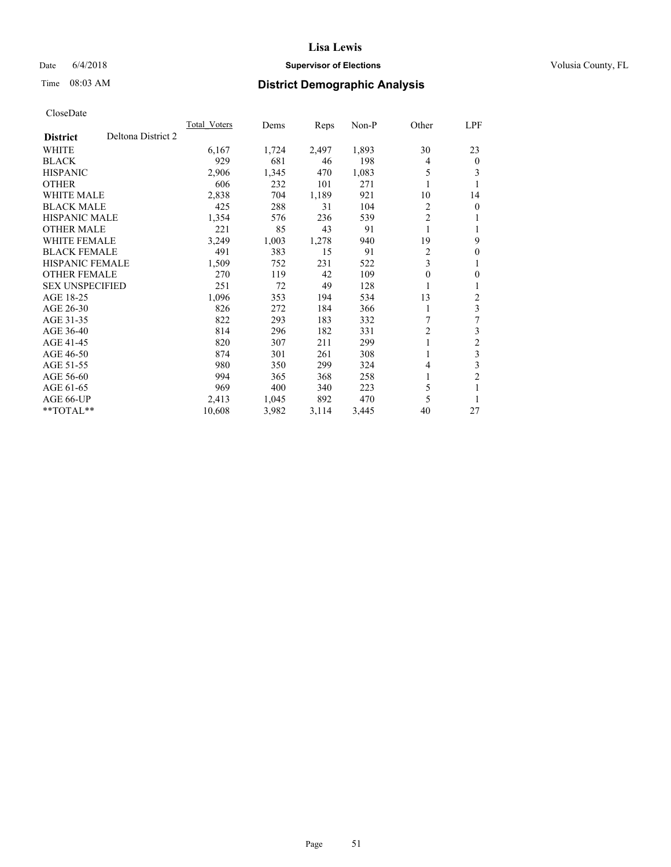## Date 6/4/2018 **Supervisor of Elections Supervisor of Elections** Volusia County, FL

# Time 08:03 AM **District Demographic Analysis**

|                        |                    | Total Voters | Dems  | Reps  | $Non-P$ | Other          | <u>LPF</u>     |
|------------------------|--------------------|--------------|-------|-------|---------|----------------|----------------|
| <b>District</b>        | Deltona District 2 |              |       |       |         |                |                |
| WHITE                  |                    | 6,167        | 1,724 | 2,497 | 1,893   | 30             | 23             |
| <b>BLACK</b>           |                    | 929          | 681   | 46    | 198     | 4              | $\theta$       |
| <b>HISPANIC</b>        |                    | 2,906        | 1,345 | 470   | 1,083   | 5              | 3              |
| <b>OTHER</b>           |                    | 606          | 232   | 101   | 271     |                | 1              |
| <b>WHITE MALE</b>      |                    | 2,838        | 704   | 1,189 | 921     | 10             | 14             |
| <b>BLACK MALE</b>      |                    | 425          | 288   | 31    | 104     | 2              | $\mathbf{0}$   |
| HISPANIC MALE          |                    | 1,354        | 576   | 236   | 539     | $\overline{2}$ | 1              |
| <b>OTHER MALE</b>      |                    | 221          | 85    | 43    | 91      | 1              | 1              |
| <b>WHITE FEMALE</b>    |                    | 3,249        | 1,003 | 1,278 | 940     | 19             | 9              |
| <b>BLACK FEMALE</b>    |                    | 491          | 383   | 15    | 91      | 2              | $\mathbf{0}$   |
| <b>HISPANIC FEMALE</b> |                    | 1,509        | 752   | 231   | 522     | 3              | 1              |
| <b>OTHER FEMALE</b>    |                    | 270          | 119   | 42    | 109     | 0              | $\theta$       |
| <b>SEX UNSPECIFIED</b> |                    | 251          | 72    | 49    | 128     |                | 1              |
| AGE 18-25              |                    | 1,096        | 353   | 194   | 534     | 13             | 2              |
| AGE 26-30              |                    | 826          | 272   | 184   | 366     | 1              | 3              |
| AGE 31-35              |                    | 822          | 293   | 183   | 332     | 7              | 7              |
| AGE 36-40              |                    | 814          | 296   | 182   | 331     | $\overline{2}$ | 3              |
| AGE 41-45              |                    | 820          | 307   | 211   | 299     | 1              | $\overline{c}$ |
| AGE 46-50              |                    | 874          | 301   | 261   | 308     |                | 3              |
| AGE 51-55              |                    | 980          | 350   | 299   | 324     | 4              | 3              |
| AGE 56-60              |                    | 994          | 365   | 368   | 258     | 1              | $\overline{2}$ |
| AGE 61-65              |                    | 969          | 400   | 340   | 223     | 5              | 1              |
| AGE 66-UP              |                    | 2,413        | 1,045 | 892   | 470     | 5              | 1              |
| $*$ TOTAL $*$          |                    | 10,608       | 3,982 | 3,114 | 3,445   | 40             | 27             |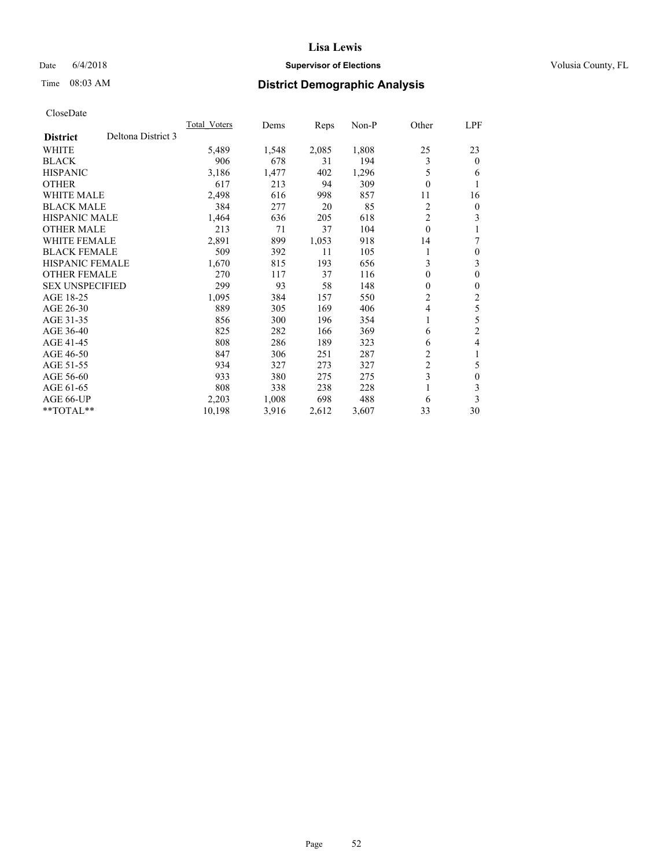## Date 6/4/2018 **Supervisor of Elections Supervisor of Elections** Volusia County, FL

# Time 08:03 AM **District Demographic Analysis**

|                                       | Total Voters | Dems  | Reps  | $Non-P$ | Other          | LPF            |
|---------------------------------------|--------------|-------|-------|---------|----------------|----------------|
| Deltona District 3<br><b>District</b> |              |       |       |         |                |                |
| <b>WHITE</b>                          | 5,489        | 1,548 | 2,085 | 1,808   | 25             | 23             |
| <b>BLACK</b>                          | 906          | 678   | 31    | 194     | 3              | $\theta$       |
| <b>HISPANIC</b>                       | 3,186        | 1,477 | 402   | 1,296   | 5              | 6              |
| <b>OTHER</b>                          | 617          | 213   | 94    | 309     | $\theta$       | 1              |
| <b>WHITE MALE</b>                     | 2,498        | 616   | 998   | 857     | 11             | 16             |
| <b>BLACK MALE</b>                     | 384          | 277   | 20    | 85      | 2              | $\overline{0}$ |
| <b>HISPANIC MALE</b>                  | 1,464        | 636   | 205   | 618     | $\overline{c}$ | 3              |
| <b>OTHER MALE</b>                     | 213          | 71    | 37    | 104     | $\theta$       |                |
| <b>WHITE FEMALE</b>                   | 2,891        | 899   | 1,053 | 918     | 14             | 7              |
| <b>BLACK FEMALE</b>                   | 509          | 392   | 11    | 105     |                | $\theta$       |
| <b>HISPANIC FEMALE</b>                | 1,670        | 815   | 193   | 656     | 3              | 3              |
| <b>OTHER FEMALE</b>                   | 270          | 117   | 37    | 116     | $\mathbf{0}$   | $\theta$       |
| <b>SEX UNSPECIFIED</b>                | 299          | 93    | 58    | 148     | 0              | $\theta$       |
| AGE 18-25                             | 1,095        | 384   | 157   | 550     | 2              | 2              |
| AGE 26-30                             | 889          | 305   | 169   | 406     | 4              | 5              |
| AGE 31-35                             | 856          | 300   | 196   | 354     | 1              | 5              |
| AGE 36-40                             | 825          | 282   | 166   | 369     | 6              | $\overline{2}$ |
| AGE 41-45                             | 808          | 286   | 189   | 323     | 6              | 4              |
| AGE 46-50                             | 847          | 306   | 251   | 287     | 2              | 1              |
| AGE 51-55                             | 934          | 327   | 273   | 327     | 2              | 5              |
| AGE 56-60                             | 933          | 380   | 275   | 275     | 3              | $\theta$       |
| AGE 61-65                             | 808          | 338   | 238   | 228     |                | 3              |
| AGE 66-UP                             | 2,203        | 1,008 | 698   | 488     | 6              | 3              |
| $*$ TOTAL $*$                         | 10,198       | 3,916 | 2,612 | 3,607   | 33             | 30             |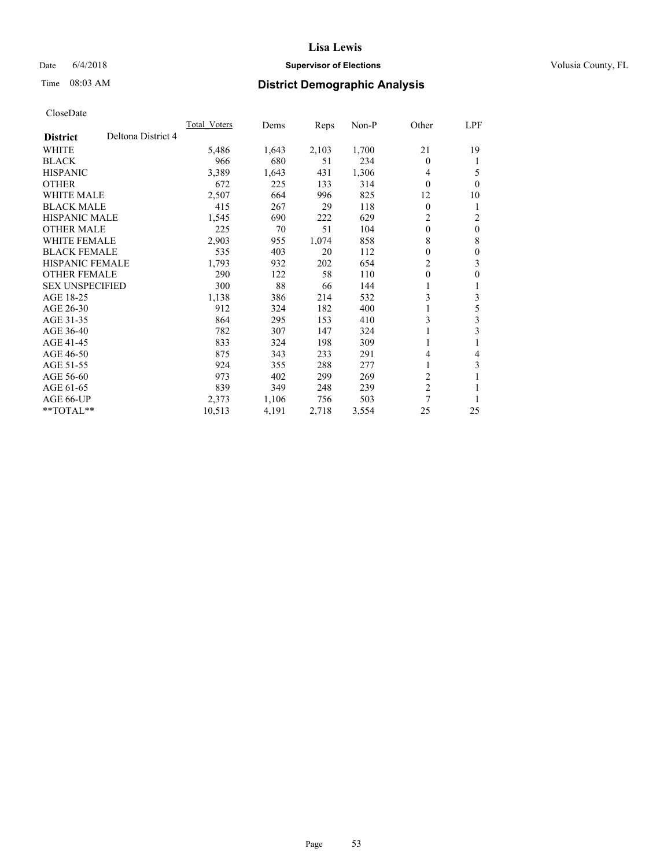## Date 6/4/2018 **Supervisor of Elections Supervisor of Elections** Volusia County, FL

# Time 08:03 AM **District Demographic Analysis**

|                        |                    | Total Voters | Dems  | Reps  | Non-P | Other                   | LPF      |
|------------------------|--------------------|--------------|-------|-------|-------|-------------------------|----------|
| <b>District</b>        | Deltona District 4 |              |       |       |       |                         |          |
| WHITE                  |                    | 5,486        | 1,643 | 2,103 | 1,700 | 21                      | 19       |
| <b>BLACK</b>           |                    | 966          | 680   | 51    | 234   | 0                       | 1        |
| <b>HISPANIC</b>        |                    | 3,389        | 1,643 | 431   | 1,306 | 4                       | 5        |
| <b>OTHER</b>           |                    | 672          | 225   | 133   | 314   | 0                       | $\theta$ |
| <b>WHITE MALE</b>      |                    | 2,507        | 664   | 996   | 825   | 12                      | 10       |
| <b>BLACK MALE</b>      |                    | 415          | 267   | 29    | 118   | $\theta$                | 1        |
| <b>HISPANIC MALE</b>   |                    | 1,545        | 690   | 222   | 629   | 2                       | 2        |
| <b>OTHER MALE</b>      |                    | 225          | 70    | 51    | 104   | $\mathbf{0}$            | $\theta$ |
| <b>WHITE FEMALE</b>    |                    | 2,903        | 955   | 1,074 | 858   | 8                       | 8        |
| <b>BLACK FEMALE</b>    |                    | 535          | 403   | 20    | 112   | $\theta$                | $\theta$ |
| <b>HISPANIC FEMALE</b> |                    | 1,793        | 932   | 202   | 654   | 2                       | 3        |
| <b>OTHER FEMALE</b>    |                    | 290          | 122   | 58    | 110   | $\theta$                | $\theta$ |
| <b>SEX UNSPECIFIED</b> |                    | 300          | 88    | 66    | 144   | 1                       | 1        |
| AGE 18-25              |                    | 1,138        | 386   | 214   | 532   | 3                       | 3        |
| AGE 26-30              |                    | 912          | 324   | 182   | 400   |                         | 5        |
| AGE 31-35              |                    | 864          | 295   | 153   | 410   | 3                       | 3        |
| AGE 36-40              |                    | 782          | 307   | 147   | 324   |                         | 3        |
| AGE 41-45              |                    | 833          | 324   | 198   | 309   |                         |          |
| AGE 46-50              |                    | 875          | 343   | 233   | 291   | 4                       | 4        |
| AGE 51-55              |                    | 924          | 355   | 288   | 277   | 1                       | 3        |
| AGE 56-60              |                    | 973          | 402   | 299   | 269   | 2                       |          |
| AGE 61-65              |                    | 839          | 349   | 248   | 239   | $\overline{\mathbf{c}}$ |          |
| AGE 66-UP              |                    | 2,373        | 1,106 | 756   | 503   | 7                       |          |
| **TOTAL**              |                    | 10,513       | 4,191 | 2,718 | 3,554 | 25                      | 25       |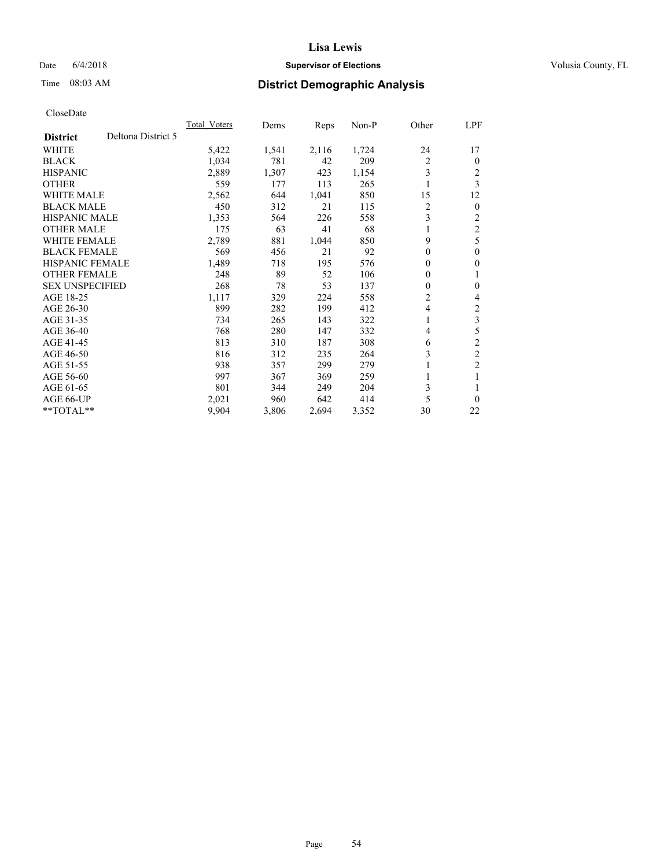## Date 6/4/2018 **Supervisor of Elections Supervisor of Elections** Volusia County, FL

# Time 08:03 AM **District Demographic Analysis**

|                        |                    | Total Voters | Dems  | Reps  | $Non-P$ | Other          | LPF            |
|------------------------|--------------------|--------------|-------|-------|---------|----------------|----------------|
| <b>District</b>        | Deltona District 5 |              |       |       |         |                |                |
| <b>WHITE</b>           |                    | 5,422        | 1,541 | 2,116 | 1,724   | 24             | 17             |
| <b>BLACK</b>           |                    | 1,034        | 781   | 42    | 209     | $\overline{2}$ | 0              |
| <b>HISPANIC</b>        |                    | 2,889        | 1,307 | 423   | 1,154   | 3              | 2              |
| <b>OTHER</b>           |                    | 559          | 177   | 113   | 265     | 1              | 3              |
| <b>WHITE MALE</b>      |                    | 2,562        | 644   | 1,041 | 850     | 15             | 12             |
| <b>BLACK MALE</b>      |                    | 450          | 312   | 21    | 115     | 2              | $\overline{0}$ |
| HISPANIC MALE          |                    | 1,353        | 564   | 226   | 558     | 3              | 2              |
| <b>OTHER MALE</b>      |                    | 175          | 63    | 41    | 68      | 1              | $\overline{2}$ |
| <b>WHITE FEMALE</b>    |                    | 2,789        | 881   | 1,044 | 850     | 9              | 5              |
| <b>BLACK FEMALE</b>    |                    | 569          | 456   | 21    | 92      | $\Omega$       | $\theta$       |
| <b>HISPANIC FEMALE</b> |                    | 1,489        | 718   | 195   | 576     | $\Omega$       | 0              |
| <b>OTHER FEMALE</b>    |                    | 248          | 89    | 52    | 106     | 0              | 1              |
| <b>SEX UNSPECIFIED</b> |                    | 268          | 78    | 53    | 137     | 0              | 0              |
| AGE 18-25              |                    | 1,117        | 329   | 224   | 558     | 2              | 4              |
| AGE 26-30              |                    | 899          | 282   | 199   | 412     | 4              | 2              |
| AGE 31-35              |                    | 734          | 265   | 143   | 322     | 1              | 3              |
| AGE 36-40              |                    | 768          | 280   | 147   | 332     | 4              | 5              |
| AGE 41-45              |                    | 813          | 310   | 187   | 308     | 6              | $\overline{c}$ |
| AGE 46-50              |                    | 816          | 312   | 235   | 264     | 3              | $\overline{c}$ |
| AGE 51-55              |                    | 938          | 357   | 299   | 279     | 1              | $\overline{2}$ |
| AGE 56-60              |                    | 997          | 367   | 369   | 259     |                | 1              |
| AGE 61-65              |                    | 801          | 344   | 249   | 204     | 3              |                |
| AGE 66-UP              |                    | 2,021        | 960   | 642   | 414     | 5              | 0              |
| $*$ TOTAL $*$          |                    | 9,904        | 3,806 | 2,694 | 3,352   | 30             | 22             |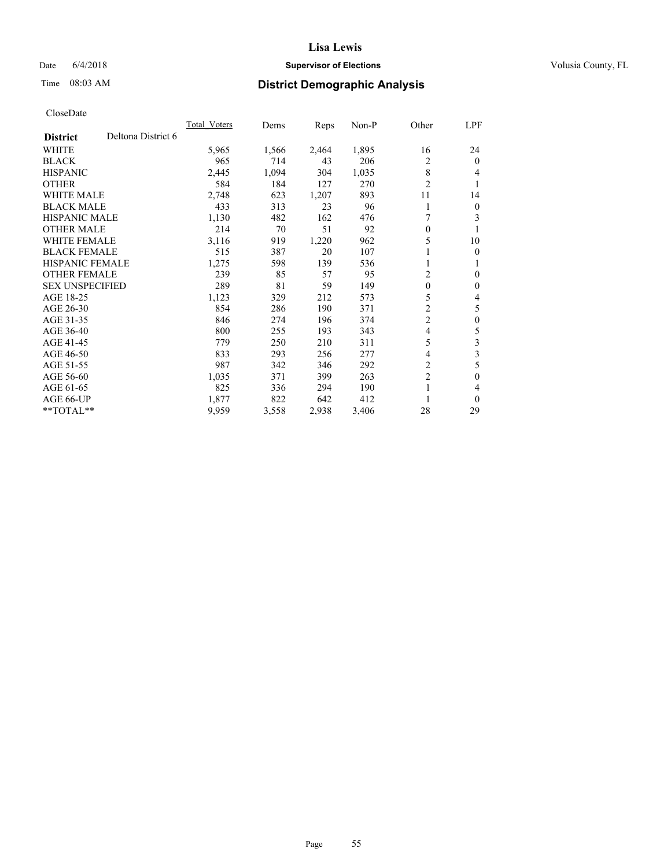## Date 6/4/2018 **Supervisor of Elections Supervisor of Elections** Volusia County, FL

# Time 08:03 AM **District Demographic Analysis**

|                                       | Total Voters | Dems  | Reps  | $Non-P$ | Other          | <u>LPF</u>     |
|---------------------------------------|--------------|-------|-------|---------|----------------|----------------|
| Deltona District 6<br><b>District</b> |              |       |       |         |                |                |
| WHITE                                 | 5,965        | 1,566 | 2,464 | 1,895   | 16             | 24             |
| <b>BLACK</b>                          | 965          | 714   | 43    | 206     | 2              | $\theta$       |
| <b>HISPANIC</b>                       | 2,445        | 1,094 | 304   | 1,035   | 8              | 4              |
| <b>OTHER</b>                          | 584          | 184   | 127   | 270     | $\overline{c}$ | 1              |
| <b>WHITE MALE</b>                     | 2,748        | 623   | 1,207 | 893     | 11             | 14             |
| <b>BLACK MALE</b>                     | 433          | 313   | 23    | 96      | 1              | $\overline{0}$ |
| HISPANIC MALE                         | 1,130        | 482   | 162   | 476     | 7              | 3              |
| <b>OTHER MALE</b>                     | 214          | 70    | 51    | 92      | $\theta$       | 1              |
| <b>WHITE FEMALE</b>                   | 3,116        | 919   | 1,220 | 962     | 5              | 10             |
| <b>BLACK FEMALE</b>                   | 515          | 387   | 20    | 107     |                | $\mathbf{0}$   |
| <b>HISPANIC FEMALE</b>                | 1,275        | 598   | 139   | 536     | 1              | 1              |
| <b>OTHER FEMALE</b>                   | 239          | 85    | 57    | 95      | 2              | $\theta$       |
| <b>SEX UNSPECIFIED</b>                | 289          | 81    | 59    | 149     | $\mathbf{0}$   | $\mathbf{0}$   |
| AGE 18-25                             | 1,123        | 329   | 212   | 573     | 5              | 4              |
| AGE 26-30                             | 854          | 286   | 190   | 371     | 2              | 5              |
| AGE 31-35                             | 846          | 274   | 196   | 374     | $\overline{c}$ | $\mathbf{0}$   |
| AGE 36-40                             | 800          | 255   | 193   | 343     | 4              | 5              |
| AGE 41-45                             | 779          | 250   | 210   | 311     | 5              | 3              |
| AGE 46-50                             | 833          | 293   | 256   | 277     | 4              | 3              |
| AGE 51-55                             | 987          | 342   | 346   | 292     | 2              | 5              |
| AGE 56-60                             | 1,035        | 371   | 399   | 263     | $\overline{2}$ | $\theta$       |
| AGE 61-65                             | 825          | 336   | 294   | 190     | 1              | 4              |
| AGE 66-UP                             | 1,877        | 822   | 642   | 412     |                | $\theta$       |
| $*$ TOTAL $*$                         | 9,959        | 3,558 | 2,938 | 3,406   | 28             | 29             |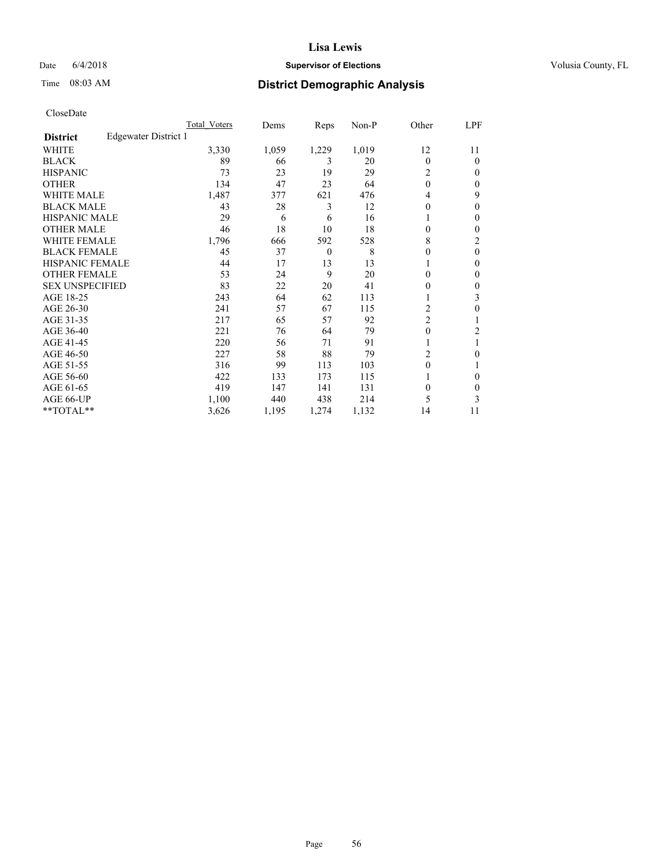## Date 6/4/2018 **Supervisor of Elections Supervisor of Elections** Volusia County, FL

# Time 08:03 AM **District Demographic Analysis**

|                        |                      | Total Voters | Dems  | Reps     | Non-P | Other          | LPF    |
|------------------------|----------------------|--------------|-------|----------|-------|----------------|--------|
| <b>District</b>        | Edgewater District 1 |              |       |          |       |                |        |
| WHITE                  |                      | 3,330        | 1,059 | 1,229    | 1,019 | 12             | 11     |
| <b>BLACK</b>           |                      | 89           | 66    | 3        | 20    | $\Omega$       | 0      |
| <b>HISPANIC</b>        |                      | 73           | 23    | 19       | 29    | 2              | $_{0}$ |
| <b>OTHER</b>           |                      | 134          | 47    | 23       | 64    | $\theta$       | 0      |
| WHITE MALE             |                      | 1,487        | 377   | 621      | 476   | 4              | 9      |
| <b>BLACK MALE</b>      |                      | 43           | 28    | 3        | 12    | 0              | 0      |
| <b>HISPANIC MALE</b>   |                      | 29           | 6     | 6        | 16    |                | 0      |
| <b>OTHER MALE</b>      |                      | 46           | 18    | 10       | 18    | 0              | 0      |
| WHITE FEMALE           |                      | 1,796        | 666   | 592      | 528   | 8              | 2      |
| <b>BLACK FEMALE</b>    |                      | 45           | 37    | $\theta$ | 8     | 0              | 0      |
| <b>HISPANIC FEMALE</b> |                      | 44           | 17    | 13       | 13    |                | 0      |
| <b>OTHER FEMALE</b>    |                      | 53           | 24    | 9        | 20    | 0              | 0      |
| <b>SEX UNSPECIFIED</b> |                      | 83           | 22    | 20       | 41    | 0              | 0      |
| AGE 18-25              |                      | 243          | 64    | 62       | 113   |                | 3      |
| AGE 26-30              |                      | 241          | 57    | 67       | 115   | 2              | 0      |
| AGE 31-35              |                      | 217          | 65    | 57       | 92    | $\overline{2}$ |        |
| AGE 36-40              |                      | 221          | 76    | 64       | 79    | 0              | 2      |
| AGE 41-45              |                      | 220          | 56    | 71       | 91    |                |        |
| AGE 46-50              |                      | 227          | 58    | 88       | 79    | 2              | 0      |
| AGE 51-55              |                      | 316          | 99    | 113      | 103   | 0              |        |
| AGE 56-60              |                      | 422          | 133   | 173      | 115   |                | 0      |
| AGE 61-65              |                      | 419          | 147   | 141      | 131   | 0              | 0      |
| AGE 66-UP              |                      | 1,100        | 440   | 438      | 214   | 5              | 3      |
| **TOTAL**              |                      | 3,626        | 1,195 | 1,274    | 1,132 | 14             | 11     |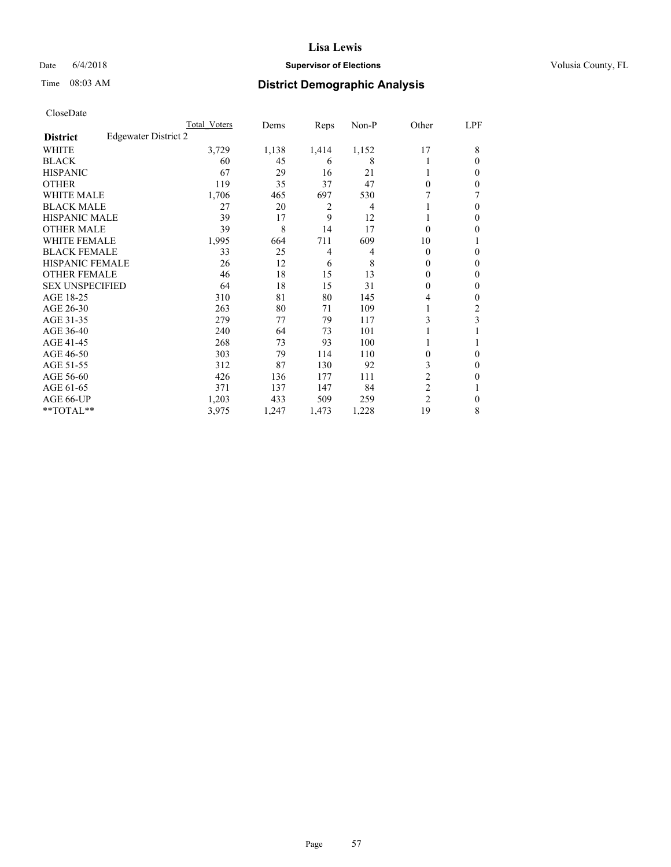### Date  $6/4/2018$  **Supervisor of Elections Supervisor of Elections** Volusia County, FL

# Time 08:03 AM **District Demographic Analysis**

|                        |                      | Total Voters | Dems  | Reps  | Non-P | Other          | LPF      |
|------------------------|----------------------|--------------|-------|-------|-------|----------------|----------|
| <b>District</b>        | Edgewater District 2 |              |       |       |       |                |          |
| WHITE                  |                      | 3,729        | 1,138 | 1,414 | 1,152 | 17             | 8        |
| <b>BLACK</b>           |                      | 60           | 45    | 6     | 8     |                | 0        |
| <b>HISPANIC</b>        |                      | 67           | 29    | 16    | 21    | 1              | 0        |
| <b>OTHER</b>           |                      | 119          | 35    | 37    | 47    | $\Omega$       | 0        |
| WHITE MALE             |                      | 1,706        | 465   | 697   | 530   |                |          |
| <b>BLACK MALE</b>      |                      | 27           | 20    | 2     | 4     |                | 0        |
| <b>HISPANIC MALE</b>   |                      | 39           | 17    | 9     | 12    |                | 0        |
| <b>OTHER MALE</b>      |                      | 39           | 8     | 14    | 17    | $\theta$       | 0        |
| WHITE FEMALE           |                      | 1,995        | 664   | 711   | 609   | 10             |          |
| <b>BLACK FEMALE</b>    |                      | 33           | 25    | 4     | 4     | $\Omega$       | 0        |
| <b>HISPANIC FEMALE</b> |                      | 26           | 12    | 6     | 8     | $\Omega$       | 0        |
| <b>OTHER FEMALE</b>    |                      | 46           | 18    | 15    | 13    | $\Omega$       | 0        |
| <b>SEX UNSPECIFIED</b> |                      | 64           | 18    | 15    | 31    | $\Omega$       | 0        |
| AGE 18-25              |                      | 310          | 81    | 80    | 145   | 4              | 0        |
| AGE 26-30              |                      | 263          | 80    | 71    | 109   | 1              | 2        |
| AGE 31-35              |                      | 279          | 77    | 79    | 117   | 3              | 3        |
| AGE 36-40              |                      | 240          | 64    | 73    | 101   |                |          |
| AGE 41-45              |                      | 268          | 73    | 93    | 100   |                |          |
| AGE 46-50              |                      | 303          | 79    | 114   | 110   | $\Omega$       | $\Omega$ |
| AGE 51-55              |                      | 312          | 87    | 130   | 92    | 3              | 0        |
| AGE 56-60              |                      | 426          | 136   | 177   | 111   | $\overline{c}$ | 0        |
| AGE 61-65              |                      | 371          | 137   | 147   | 84    | $\overline{2}$ |          |
| AGE 66-UP              |                      | 1,203        | 433   | 509   | 259   | $\overline{2}$ | 0        |
| **TOTAL**              |                      | 3,975        | 1,247 | 1,473 | 1,228 | 19             | 8        |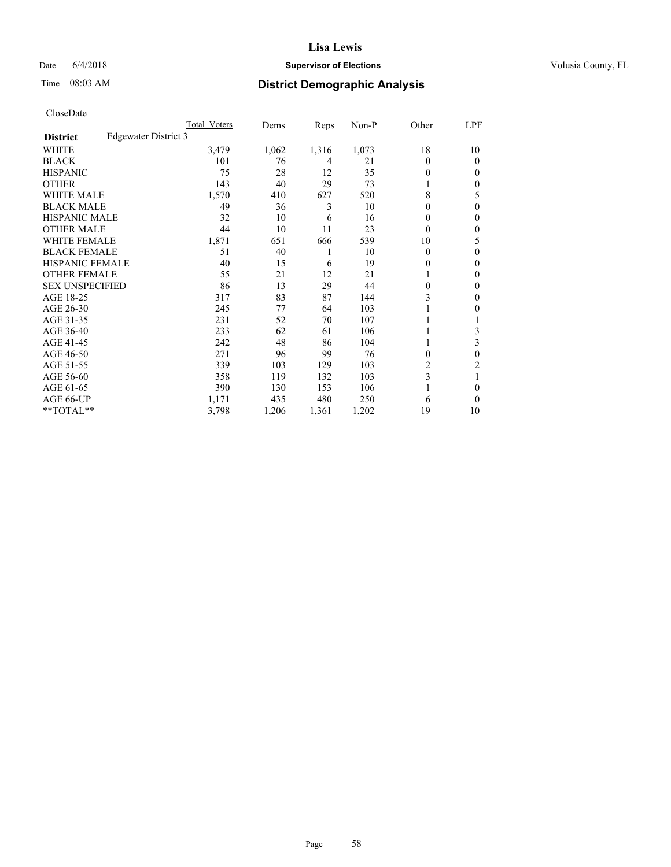## Date 6/4/2018 **Supervisor of Elections Supervisor of Elections** Volusia County, FL

# Time 08:03 AM **District Demographic Analysis**

|                        |                      | Total Voters | Dems  | Reps  | Non-P | Other    | LPF    |
|------------------------|----------------------|--------------|-------|-------|-------|----------|--------|
| <b>District</b>        | Edgewater District 3 |              |       |       |       |          |        |
| WHITE                  |                      | 3,479        | 1,062 | 1,316 | 1,073 | 18       | 10     |
| <b>BLACK</b>           |                      | 101          | 76    | 4     | 21    | $\Omega$ | 0      |
| <b>HISPANIC</b>        |                      | 75           | 28    | 12    | 35    | $_{0}$   | $_{0}$ |
| <b>OTHER</b>           |                      | 143          | 40    | 29    | 73    |          | 0      |
| WHITE MALE             |                      | 1,570        | 410   | 627   | 520   | 8        | 5      |
| <b>BLACK MALE</b>      |                      | 49           | 36    | 3     | 10    | 0        | 0      |
| <b>HISPANIC MALE</b>   |                      | 32           | 10    | 6     | 16    | 0        | 0      |
| <b>OTHER MALE</b>      |                      | 44           | 10    | 11    | 23    | 0        | 0      |
| WHITE FEMALE           |                      | 1,871        | 651   | 666   | 539   | 10       | 5      |
| <b>BLACK FEMALE</b>    |                      | 51           | 40    | 1     | 10    | $\Omega$ | 0      |
| <b>HISPANIC FEMALE</b> |                      | 40           | 15    | 6     | 19    | 0        | 0      |
| <b>OTHER FEMALE</b>    |                      | 55           | 21    | 12    | 21    |          | 0      |
| <b>SEX UNSPECIFIED</b> |                      | 86           | 13    | 29    | 44    | 0        | 0      |
| AGE 18-25              |                      | 317          | 83    | 87    | 144   | 3        | 0      |
| AGE 26-30              |                      | 245          | 77    | 64    | 103   |          | 0      |
| AGE 31-35              |                      | 231          | 52    | 70    | 107   |          |        |
| AGE 36-40              |                      | 233          | 62    | 61    | 106   |          | 3      |
| AGE 41-45              |                      | 242          | 48    | 86    | 104   |          | 3      |
| AGE 46-50              |                      | 271          | 96    | 99    | 76    | 0        | 0      |
| AGE 51-55              |                      | 339          | 103   | 129   | 103   | 2        | 2      |
| AGE 56-60              |                      | 358          | 119   | 132   | 103   | 3        |        |
| AGE 61-65              |                      | 390          | 130   | 153   | 106   |          | 0      |
| AGE 66-UP              |                      | 1,171        | 435   | 480   | 250   | 6        | 0      |
| **TOTAL**              |                      | 3,798        | 1,206 | 1,361 | 1,202 | 19       | 10     |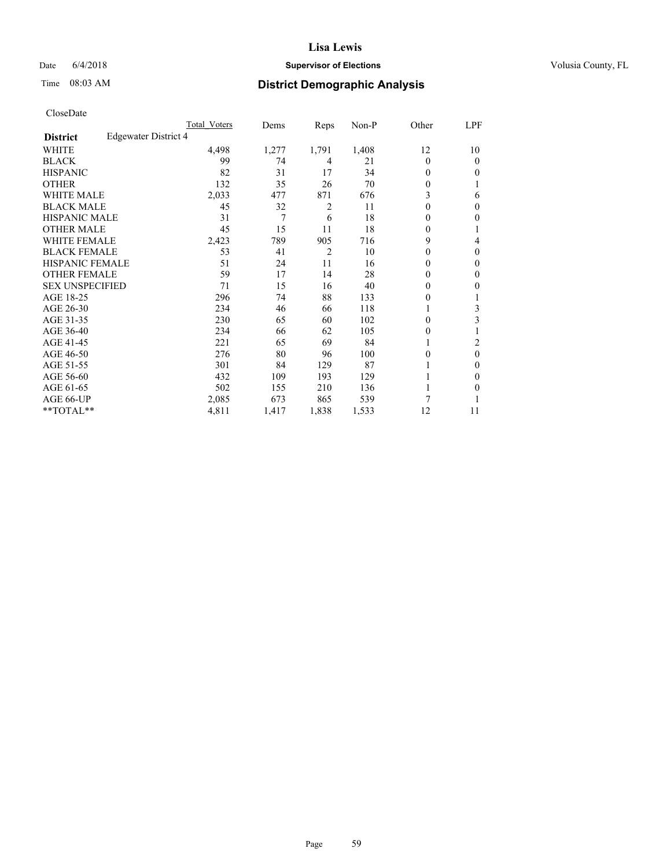## Date 6/4/2018 **Supervisor of Elections Supervisor of Elections** Volusia County, FL

# Time 08:03 AM **District Demographic Analysis**

|                        |                      | Total Voters | Dems  | Reps           | Non-P | Other    | LPF    |
|------------------------|----------------------|--------------|-------|----------------|-------|----------|--------|
| <b>District</b>        | Edgewater District 4 |              |       |                |       |          |        |
| WHITE                  |                      | 4,498        | 1,277 | 1,791          | 1,408 | 12       | 10     |
| <b>BLACK</b>           |                      | 99           | 74    | 4              | 21    | $\Omega$ | 0      |
| <b>HISPANIC</b>        |                      | 82           | 31    | 17             | 34    | 0        | 0      |
| <b>OTHER</b>           |                      | 132          | 35    | 26             | 70    | 0        |        |
| WHITE MALE             |                      | 2,033        | 477   | 871            | 676   | 3        | 6      |
| <b>BLACK MALE</b>      |                      | 45           | 32    | 2              | 11    | 0        | 0      |
| <b>HISPANIC MALE</b>   |                      | 31           | 7     | 6              | 18    | 0        | 0      |
| <b>OTHER MALE</b>      |                      | 45           | 15    | 11             | 18    | 0        | 1      |
| WHITE FEMALE           |                      | 2,423        | 789   | 905            | 716   | 9        | 4      |
| <b>BLACK FEMALE</b>    |                      | 53           | 41    | $\overline{2}$ | 10    | 0        | 0      |
| <b>HISPANIC FEMALE</b> |                      | 51           | 24    | 11             | 16    | 0        | 0      |
| <b>OTHER FEMALE</b>    |                      | 59           | 17    | 14             | 28    | 0        | 0      |
| <b>SEX UNSPECIFIED</b> |                      | 71           | 15    | 16             | 40    | 0        | 0      |
| AGE 18-25              |                      | 296          | 74    | 88             | 133   | 0        |        |
| AGE 26-30              |                      | 234          | 46    | 66             | 118   | 1        | 3      |
| AGE 31-35              |                      | 230          | 65    | 60             | 102   | 0        | 3      |
| AGE 36-40              |                      | 234          | 66    | 62             | 105   | 0        |        |
| AGE 41-45              |                      | 221          | 65    | 69             | 84    |          | 2      |
| AGE 46-50              |                      | 276          | 80    | 96             | 100   | 0        | 0      |
| AGE 51-55              |                      | 301          | 84    | 129            | 87    |          | $_{0}$ |
| AGE 56-60              |                      | 432          | 109   | 193            | 129   |          | 0      |
| AGE 61-65              |                      | 502          | 155   | 210            | 136   |          | 0      |
| AGE 66-UP              |                      | 2,085        | 673   | 865            | 539   | 7        |        |
| **TOTAL**              |                      | 4,811        | 1,417 | 1,838          | 1,533 | 12       | 11     |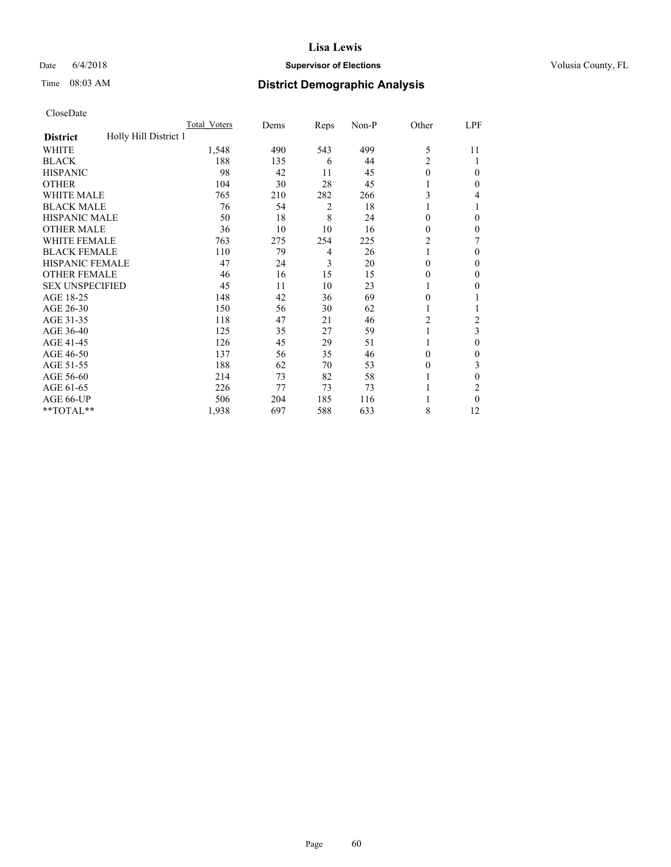### Date  $6/4/2018$  **Supervisor of Elections Supervisor of Elections** Volusia County, FL

# Time 08:03 AM **District Demographic Analysis**

|                                          | Total Voters | Dems | Reps | Non-P | Other          | LPF            |
|------------------------------------------|--------------|------|------|-------|----------------|----------------|
| Holly Hill District 1<br><b>District</b> |              |      |      |       |                |                |
| WHITE                                    | 1,548        | 490  | 543  | 499   | 5              | 11             |
| <b>BLACK</b>                             | 188          | 135  | 6    | 44    | 2              |                |
| <b>HISPANIC</b>                          | 98           | 42   | 11   | 45    | 0              | 0              |
| <b>OTHER</b>                             | 104          | 30   | 28   | 45    |                | 0              |
| WHITE MALE                               | 765          | 210  | 282  | 266   | 3              | 4              |
| <b>BLACK MALE</b>                        | 76           | 54   | 2    | 18    | 1              |                |
| <b>HISPANIC MALE</b>                     | 50           | 18   | 8    | 24    | 0              | 0              |
| <b>OTHER MALE</b>                        | 36           | 10   | 10   | 16    | 0              | 0              |
| WHITE FEMALE                             | 763          | 275  | 254  | 225   | $\overline{c}$ | 7              |
| <b>BLACK FEMALE</b>                      | 110          | 79   | 4    | 26    | 1              | 0              |
| <b>HISPANIC FEMALE</b>                   | 47           | 24   | 3    | 20    | 0              | 0              |
| <b>OTHER FEMALE</b>                      | 46           | 16   | 15   | 15    | 0              | 0              |
| <b>SEX UNSPECIFIED</b>                   | 45           | 11   | 10   | 23    |                | 0              |
| AGE 18-25                                | 148          | 42   | 36   | 69    | 0              |                |
| AGE 26-30                                | 150          | 56   | 30   | 62    | 1              |                |
| AGE 31-35                                | 118          | 47   | 21   | 46    | 2              | $\overline{c}$ |
| AGE 36-40                                | 125          | 35   | 27   | 59    | 1              | 3              |
| AGE 41-45                                | 126          | 45   | 29   | 51    |                | 0              |
| AGE 46-50                                | 137          | 56   | 35   | 46    | 0              | 0              |
| AGE 51-55                                | 188          | 62   | 70   | 53    | 0              | 3              |
| AGE 56-60                                | 214          | 73   | 82   | 58    |                | 0              |
| AGE 61-65                                | 226          | 77   | 73   | 73    |                | 2              |
| AGE 66-UP                                | 506          | 204  | 185  | 116   |                | 0              |
| **TOTAL**                                | 1,938        | 697  | 588  | 633   | 8              | 12             |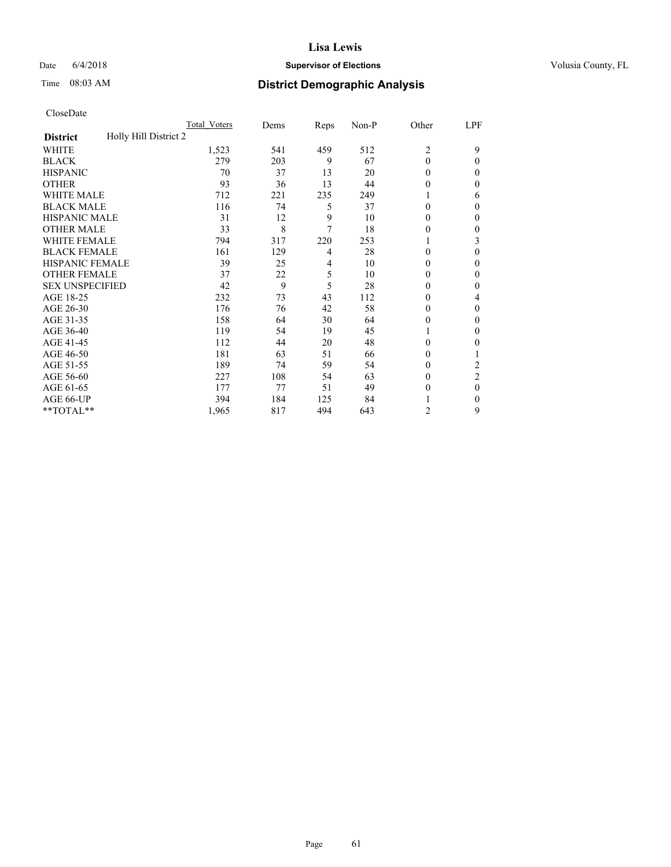## Date 6/4/2018 **Supervisor of Elections Supervisor of Elections** Volusia County, FL

| CloseDate |
|-----------|
|-----------|

|                                          | Total Voters | Dems | Reps | Non-P | Other          | LPF            |
|------------------------------------------|--------------|------|------|-------|----------------|----------------|
| Holly Hill District 2<br><b>District</b> |              |      |      |       |                |                |
| WHITE                                    | 1,523        | 541  | 459  | 512   | $\overline{2}$ | 9              |
| <b>BLACK</b>                             | 279          | 203  | 9    | 67    | $\mathbf{0}$   | 0              |
| <b>HISPANIC</b>                          | 70           | 37   | 13   | 20    | $\theta$       | $\theta$       |
| <b>OTHER</b>                             | 93           | 36   | 13   | 44    | $\theta$       | $\theta$       |
| <b>WHITE MALE</b>                        | 712          | 221  | 235  | 249   |                | 6              |
| <b>BLACK MALE</b>                        | 116          | 74   | 5    | 37    | $\theta$       | $\theta$       |
| <b>HISPANIC MALE</b>                     | 31           | 12   | 9    | 10    | $\theta$       | 0              |
| <b>OTHER MALE</b>                        | 33           | 8    | 7    | 18    | $\theta$       | $\theta$       |
| <b>WHITE FEMALE</b>                      | 794          | 317  | 220  | 253   |                | 3              |
| <b>BLACK FEMALE</b>                      | 161          | 129  | 4    | 28    | $\theta$       | $\theta$       |
| <b>HISPANIC FEMALE</b>                   | 39           | 25   | 4    | 10    | $\theta$       | $\Omega$       |
| <b>OTHER FEMALE</b>                      | 37           | 22   | 5    | 10    | $\theta$       | $\Omega$       |
| <b>SEX UNSPECIFIED</b>                   | 42           | 9    | 5    | 28    | $\theta$       | $\theta$       |
| AGE 18-25                                | 232          | 73   | 43   | 112   | $\theta$       | 4              |
| AGE 26-30                                | 176          | 76   | 42   | 58    | $\theta$       | $\theta$       |
| AGE 31-35                                | 158          | 64   | 30   | 64    | $\theta$       | 0              |
| AGE 36-40                                | 119          | 54   | 19   | 45    |                | $\theta$       |
| AGE 41-45                                | 112          | 44   | 20   | 48    | $\theta$       | 0              |
| AGE 46-50                                | 181          | 63   | 51   | 66    | $\theta$       |                |
| AGE 51-55                                | 189          | 74   | 59   | 54    | $\theta$       | 2              |
| AGE 56-60                                | 227          | 108  | 54   | 63    | 0              | $\overline{c}$ |
| AGE 61-65                                | 177          | 77   | 51   | 49    | $\mathbf{0}$   | $\theta$       |
| AGE 66-UP                                | 394          | 184  | 125  | 84    |                | $\theta$       |
| **TOTAL**                                | 1,965        | 817  | 494  | 643   | $\overline{2}$ | 9              |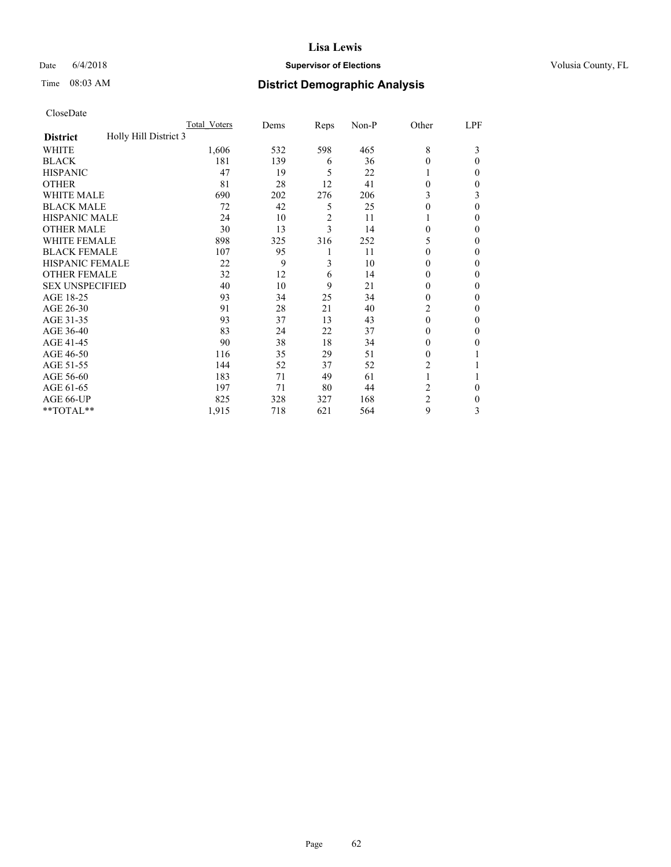### Date  $6/4/2018$  **Supervisor of Elections Supervisor of Elections** Volusia County, FL

# Time 08:03 AM **District Demographic Analysis**

|                                          | Total Voters | Dems | Reps           | Non-P | Other          | LPF |
|------------------------------------------|--------------|------|----------------|-------|----------------|-----|
| Holly Hill District 3<br><b>District</b> |              |      |                |       |                |     |
| WHITE                                    | 1,606        | 532  | 598            | 465   | 8              | 3   |
| <b>BLACK</b>                             | 181          | 139  | 6              | 36    | 0              | 0   |
| <b>HISPANIC</b>                          | 47           | 19   | 5              | 22    |                | 0   |
| <b>OTHER</b>                             | 81           | 28   | 12             | 41    | 0              | 0   |
| WHITE MALE                               | 690          | 202  | 276            | 206   | 3              | 3   |
| <b>BLACK MALE</b>                        | 72           | 42   | 5              | 25    | 0              | 0   |
| <b>HISPANIC MALE</b>                     | 24           | 10   | $\overline{c}$ | 11    |                | 0   |
| <b>OTHER MALE</b>                        | 30           | 13   | 3              | 14    | 0              | 0   |
| WHITE FEMALE                             | 898          | 325  | 316            | 252   | 5              | 0   |
| <b>BLACK FEMALE</b>                      | 107          | 95   | 1              | 11    | 0              | 0   |
| <b>HISPANIC FEMALE</b>                   | 22           | 9    | 3              | 10    | 0              | 0   |
| <b>OTHER FEMALE</b>                      | 32           | 12   | 6              | 14    | $_{0}$         | 0   |
| <b>SEX UNSPECIFIED</b>                   | 40           | 10   | 9              | 21    | 0              | 0   |
| AGE 18-25                                | 93           | 34   | 25             | 34    | 0              | 0   |
| AGE 26-30                                | 91           | 28   | 21             | 40    | 2              | 0   |
| AGE 31-35                                | 93           | 37   | 13             | 43    | 0              | 0   |
| AGE 36-40                                | 83           | 24   | 22             | 37    | 0              | 0   |
| AGE 41-45                                | 90           | 38   | 18             | 34    | $_{0}$         | 0   |
| AGE 46-50                                | 116          | 35   | 29             | 51    | 0              |     |
| AGE 51-55                                | 144          | 52   | 37             | 52    | 2              |     |
| AGE 56-60                                | 183          | 71   | 49             | 61    |                |     |
| AGE 61-65                                | 197          | 71   | 80             | 44    | 2              | 0   |
| AGE 66-UP                                | 825          | 328  | 327            | 168   | $\overline{2}$ | 0   |
| **TOTAL**                                | 1,915        | 718  | 621            | 564   | 9              | 3   |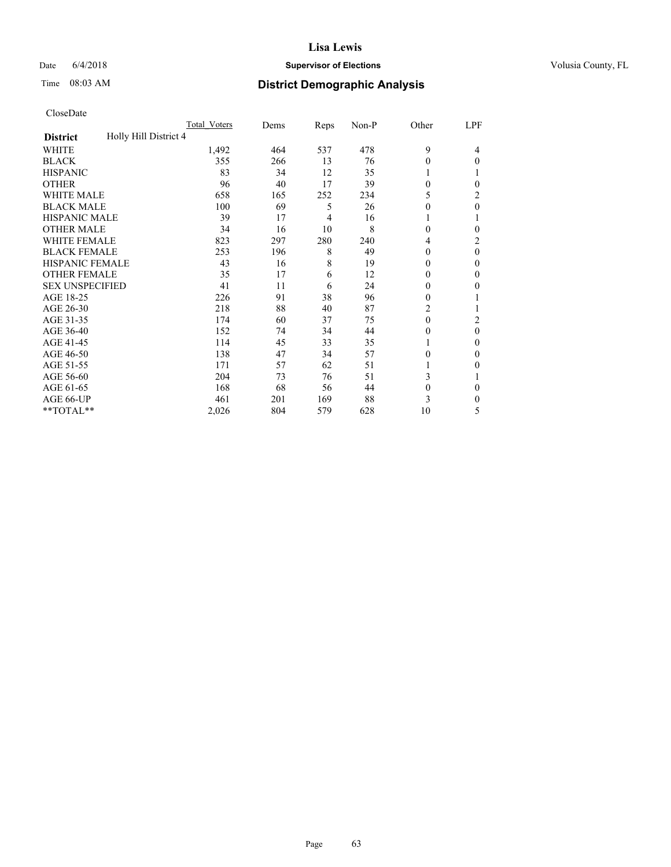## Date 6/4/2018 **Supervisor of Elections Supervisor of Elections** Volusia County, FL

# Time 08:03 AM **District Demographic Analysis**

|                                          | Total Voters | Dems | Reps | Non-P | Other    | LPF      |
|------------------------------------------|--------------|------|------|-------|----------|----------|
| Holly Hill District 4<br><b>District</b> |              |      |      |       |          |          |
| WHITE                                    | 1,492        | 464  | 537  | 478   | 9        | 4        |
| <b>BLACK</b>                             | 355          | 266  | 13   | 76    | $\theta$ | 0        |
| <b>HISPANIC</b>                          | 83           | 34   | 12   | 35    | 1        |          |
| <b>OTHER</b>                             | 96           | 40   | 17   | 39    | $\theta$ | 0        |
| WHITE MALE                               | 658          | 165  | 252  | 234   | 5        | 2        |
| <b>BLACK MALE</b>                        | 100          | 69   | 5    | 26    | $\theta$ | $\theta$ |
| <b>HISPANIC MALE</b>                     | 39           | 17   | 4    | 16    |          |          |
| <b>OTHER MALE</b>                        | 34           | 16   | 10   | 8     | $\Omega$ | 0        |
| WHITE FEMALE                             | 823          | 297  | 280  | 240   | 4        | 2        |
| <b>BLACK FEMALE</b>                      | 253          | 196  | 8    | 49    | $\Omega$ | $\theta$ |
| <b>HISPANIC FEMALE</b>                   | 43           | 16   | 8    | 19    | $\Omega$ | 0        |
| <b>OTHER FEMALE</b>                      | 35           | 17   | 6    | 12    | $\Omega$ | 0        |
| <b>SEX UNSPECIFIED</b>                   | 41           | 11   | 6    | 24    | $\theta$ | 0        |
| AGE 18-25                                | 226          | 91   | 38   | 96    | $\Omega$ |          |
| AGE 26-30                                | 218          | 88   | 40   | 87    | 2        |          |
| AGE 31-35                                | 174          | 60   | 37   | 75    | $\theta$ | 2        |
| AGE 36-40                                | 152          | 74   | 34   | 44    | $\theta$ | $\theta$ |
| AGE 41-45                                | 114          | 45   | 33   | 35    |          | 0        |
| AGE 46-50                                | 138          | 47   | 34   | 57    | $\theta$ | 0        |
| AGE 51-55                                | 171          | 57   | 62   | 51    |          | 0        |
| AGE 56-60                                | 204          | 73   | 76   | 51    | 3        |          |
| AGE 61-65                                | 168          | 68   | 56   | 44    | $\theta$ | 0        |
| AGE 66-UP                                | 461          | 201  | 169  | 88    | 3        | 0        |
| **TOTAL**                                | 2,026        | 804  | 579  | 628   | 10       | 5        |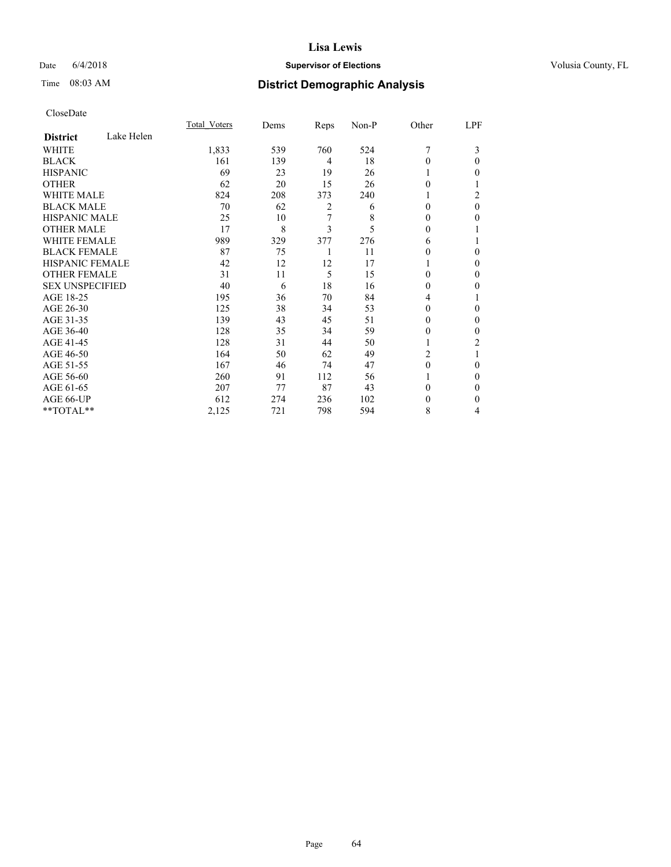## Date 6/4/2018 **Supervisor of Elections Supervisor of Elections** Volusia County, FL

# Time 08:03 AM **District Demographic Analysis**

|                        |            | Total Voters | Dems | Reps           | Non-P | Other    | LPF      |
|------------------------|------------|--------------|------|----------------|-------|----------|----------|
| <b>District</b>        | Lake Helen |              |      |                |       |          |          |
| WHITE                  |            | 1,833        | 539  | 760            | 524   | 7        | 3        |
| <b>BLACK</b>           |            | 161          | 139  | $\overline{4}$ | 18    | 0        | 0        |
| <b>HISPANIC</b>        |            | 69           | 23   | 19             | 26    |          | 0        |
| <b>OTHER</b>           |            | 62           | 20   | 15             | 26    | $\Omega$ |          |
| <b>WHITE MALE</b>      |            | 824          | 208  | 373            | 240   | 1        | 2        |
| <b>BLACK MALE</b>      |            | 70           | 62   | 2              | 6     | $\theta$ | $\theta$ |
| <b>HISPANIC MALE</b>   |            | 25           | 10   | 7              | 8     | 0        | 0        |
| <b>OTHER MALE</b>      |            | 17           | 8    | 3              | 5     | $\theta$ |          |
| <b>WHITE FEMALE</b>    |            | 989          | 329  | 377            | 276   | 6        |          |
| <b>BLACK FEMALE</b>    |            | 87           | 75   | 1              | 11    | 0        | 0        |
| <b>HISPANIC FEMALE</b> |            | 42           | 12   | 12             | 17    |          | 0        |
| <b>OTHER FEMALE</b>    |            | 31           | 11   | 5              | 15    | $\Omega$ | 0        |
| <b>SEX UNSPECIFIED</b> |            | 40           | 6    | 18             | 16    | $\Omega$ | 0        |
| AGE 18-25              |            | 195          | 36   | 70             | 84    | 4        |          |
| AGE 26-30              |            | 125          | 38   | 34             | 53    | $\theta$ | 0        |
| AGE 31-35              |            | 139          | 43   | 45             | 51    | 0        | 0        |
| AGE 36-40              |            | 128          | 35   | 34             | 59    | 0        | 0        |
| AGE 41-45              |            | 128          | 31   | 44             | 50    |          | 2        |
| AGE 46-50              |            | 164          | 50   | 62             | 49    | 2        |          |
| AGE 51-55              |            | 167          | 46   | 74             | 47    | $\Omega$ | 0        |
| AGE 56-60              |            | 260          | 91   | 112            | 56    |          | 0        |
| AGE 61-65              |            | 207          | 77   | 87             | 43    | 0        | 0        |
| AGE 66-UP              |            | 612          | 274  | 236            | 102   | $_{0}$   | $_{0}$   |
| **TOTAL**              |            | 2,125        | 721  | 798            | 594   | 8        | 4        |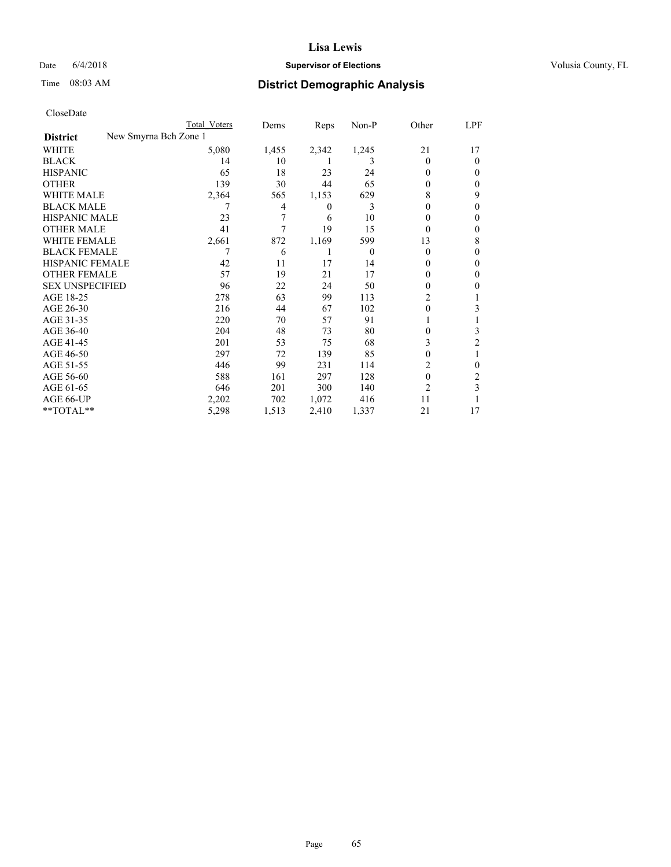## Date 6/4/2018 **Supervisor of Elections Supervisor of Elections** Volusia County, FL

| CloseDate |
|-----------|
|-----------|

|                        |                       | Total Voters | Dems  | Reps  | $Non-P$  | Other          | <u>LPF</u> |
|------------------------|-----------------------|--------------|-------|-------|----------|----------------|------------|
| <b>District</b>        | New Smyrna Bch Zone 1 |              |       |       |          |                |            |
| WHITE                  |                       | 5,080        | 1,455 | 2,342 | 1,245    | 21             | 17         |
| <b>BLACK</b>           |                       | 14           | 10    |       | 3        | $\Omega$       | $\Omega$   |
| <b>HISPANIC</b>        |                       | 65           | 18    | 23    | 24       | $\theta$       | 0          |
| <b>OTHER</b>           |                       | 139          | 30    | 44    | 65       | $\Omega$       | 0          |
| <b>WHITE MALE</b>      |                       | 2,364        | 565   | 1,153 | 629      | 8              | 9          |
| <b>BLACK MALE</b>      |                       | 7            | 4     | 0     | 3        | $\theta$       | 0          |
| <b>HISPANIC MALE</b>   |                       | 23           | 7     | 6     | 10       | $\Omega$       | 0          |
| <b>OTHER MALE</b>      |                       | 41           | 7     | 19    | 15       | $\Omega$       | 0          |
| <b>WHITE FEMALE</b>    |                       | 2,661        | 872   | 1,169 | 599      | 13             | 8          |
| <b>BLACK FEMALE</b>    |                       | 7            | 6     | 1     | $\theta$ | $\Omega$       | 0          |
| HISPANIC FEMALE        |                       | 42           | 11    | 17    | 14       | $\Omega$       | 0          |
| <b>OTHER FEMALE</b>    |                       | 57           | 19    | 21    | 17       | 0              | 0          |
| <b>SEX UNSPECIFIED</b> |                       | 96           | 22    | 24    | 50       | $\Omega$       | 0          |
| AGE 18-25              |                       | 278          | 63    | 99    | 113      | 2              |            |
| AGE 26-30              |                       | 216          | 44    | 67    | 102      | $\theta$       | 3          |
| AGE 31-35              |                       | 220          | 70    | 57    | 91       |                |            |
| AGE 36-40              |                       | 204          | 48    | 73    | 80       | $\Omega$       | 3          |
| AGE 41-45              |                       | 201          | 53    | 75    | 68       | 3              | 2          |
| AGE 46-50              |                       | 297          | 72    | 139   | 85       | $\theta$       |            |
| AGE 51-55              |                       | 446          | 99    | 231   | 114      | 2              | 0          |
| AGE 56-60              |                       | 588          | 161   | 297   | 128      | $\theta$       | 2          |
| AGE 61-65              |                       | 646          | 201   | 300   | 140      | $\overline{2}$ | 3          |
| AGE 66-UP              |                       | 2,202        | 702   | 1,072 | 416      | 11             |            |
| **TOTAL**              |                       | 5,298        | 1,513 | 2,410 | 1,337    | 21             | 17         |
|                        |                       |              |       |       |          |                |            |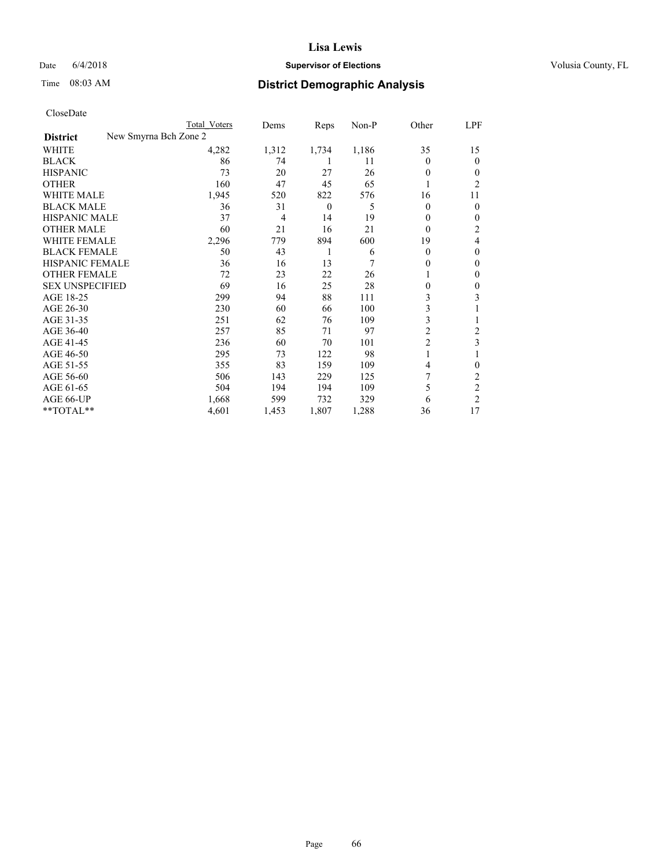### Date  $6/4/2018$  **Supervisor of Elections Supervisor of Elections** Volusia County, FL

| CloseDate              |                       |       |          |       |                |                         |
|------------------------|-----------------------|-------|----------|-------|----------------|-------------------------|
|                        | Total Voters          | Dems  | Reps     | Non-P | Other          | LPF                     |
| <b>District</b>        | New Smyrna Bch Zone 2 |       |          |       |                |                         |
| WHITE                  | 4,282                 | 1,312 | 1,734    | 1,186 | 35             | 15                      |
| <b>BLACK</b>           | 86                    | 74    | 1        | 11    | $\theta$       | $\theta$                |
| <b>HISPANIC</b>        | 73                    | 20    | 27       | 26    | $\theta$       | $\boldsymbol{0}$        |
| <b>OTHER</b>           | 160                   | 47    | 45       | 65    | 1              | $\overline{c}$          |
| <b>WHITE MALE</b>      | 1,945                 | 520   | 822      | 576   | 16             | 11                      |
| <b>BLACK MALE</b>      | 36                    | 31    | $\theta$ | 5     | $\theta$       | $\boldsymbol{0}$        |
| <b>HISPANIC MALE</b>   | 37                    | 4     | 14       | 19    | $\theta$       | $\boldsymbol{0}$        |
| <b>OTHER MALE</b>      | 60                    | 21    | 16       | 21    | $\theta$       | $\boldsymbol{2}$        |
| <b>WHITE FEMALE</b>    | 2,296                 | 779   | 894      | 600   | 19             | $\overline{4}$          |
| <b>BLACK FEMALE</b>    | 50                    | 43    | 1        | 6     | $\theta$       | $\boldsymbol{0}$        |
| <b>HISPANIC FEMALE</b> | 36                    | 16    | 13       | 7     | 0              | $\boldsymbol{0}$        |
| <b>OTHER FEMALE</b>    | 72                    | 23    | 22       | 26    |                | $\boldsymbol{0}$        |
| <b>SEX UNSPECIFIED</b> | 69                    | 16    | 25       | 28    | 0              | $\boldsymbol{0}$        |
| AGE 18-25              | 299                   | 94    | 88       | 111   | 3              | 3                       |
| AGE 26-30              | 230                   | 60    | 66       | 100   | 3              | 1                       |
| AGE 31-35              | 251                   | 62    | 76       | 109   | 3              | 1                       |
| AGE 36-40              | 257                   | 85    | 71       | 97    | $\overline{c}$ | $\overline{\mathbf{c}}$ |
| AGE 41-45              | 236                   | 60    | 70       | 101   | $\overline{c}$ | 3                       |
| AGE 46-50              | 295                   | 73    | 122      | 98    | 1              | 1                       |
| AGE 51-55              | 355                   | 83    | 159      | 109   | 4              | $\boldsymbol{0}$        |
| AGE 56-60              | 506                   | 143   | 229      | 125   | 7              | $\sqrt{2}$              |
| AGE 61-65              | 504                   | 194   | 194      | 109   | 5              | $\overline{\mathbf{c}}$ |
| AGE 66-UP              | 1,668                 | 599   | 732      | 329   | 6              | $\overline{2}$          |
| **TOTAL**              | 4,601                 | 1,453 | 1,807    | 1,288 | 36             | 17                      |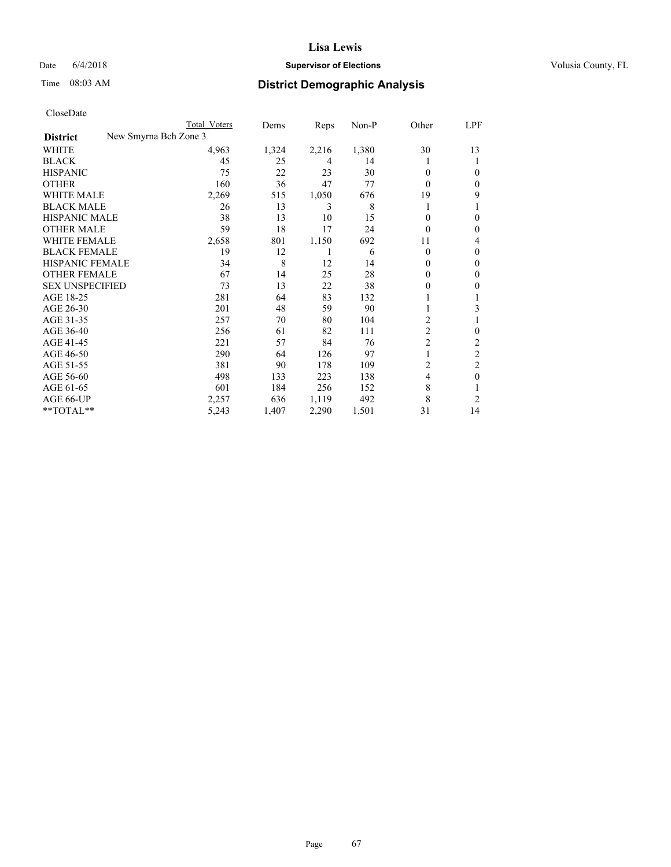## Date 6/4/2018 **Supervisor of Elections Supervisor of Elections** Volusia County, FL

| CloseDate |
|-----------|
|-----------|

| Total Voters | Dems                  | Reps  | Non-P | Other          | LPF            |
|--------------|-----------------------|-------|-------|----------------|----------------|
|              |                       |       |       |                |                |
| 4,963        | 1,324                 | 2,216 | 1,380 | 30             | 13             |
| 45           | 25                    | 4     | 14    |                | 1              |
| 75           | 22                    | 23    | 30    | $\Omega$       | 0              |
| 160          | 36                    | 47    | 77    | $\Omega$       | $\mathbf{0}$   |
| 2,269        | 515                   | 1,050 | 676   | 19             | 9              |
| 26           | 13                    | 3     | 8     |                |                |
| 38           | 13                    | 10    | 15    | 0              | 0              |
| 59           | 18                    | 17    | 24    | $\Omega$       | 0              |
| 2,658        | 801                   | 1,150 | 692   | 11             | 4              |
| 19           | 12                    | 1     | 6     | $\theta$       | 0              |
| 34           | 8                     | 12    | 14    | $\Omega$       | $\mathbf{0}$   |
| 67           | 14                    | 25    | 28    | 0              | $\mathbf{0}$   |
| 73           | 13                    | 22    | 38    | 0              | 0              |
| 281          | 64                    | 83    | 132   |                |                |
| 201          | 48                    | 59    | 90    | 1              | 3              |
| 257          | 70                    | 80    | 104   | $\overline{c}$ |                |
| 256          | 61                    | 82    | 111   | $\overline{c}$ | $\mathbf{0}$   |
| 221          | 57                    | 84    | 76    | $\overline{c}$ | $\overline{c}$ |
| 290          | 64                    | 126   | 97    |                | $\overline{2}$ |
| 381          | 90                    | 178   | 109   | 2              | 2              |
| 498          | 133                   | 223   | 138   | 4              | $\mathbf{0}$   |
| 601          | 184                   | 256   | 152   | 8              |                |
| 2,257        | 636                   | 1,119 | 492   | 8              | 2              |
| 5,243        | 1,407                 | 2,290 | 1,501 | 31             | 14             |
|              | New Smyrna Bch Zone 3 |       |       |                |                |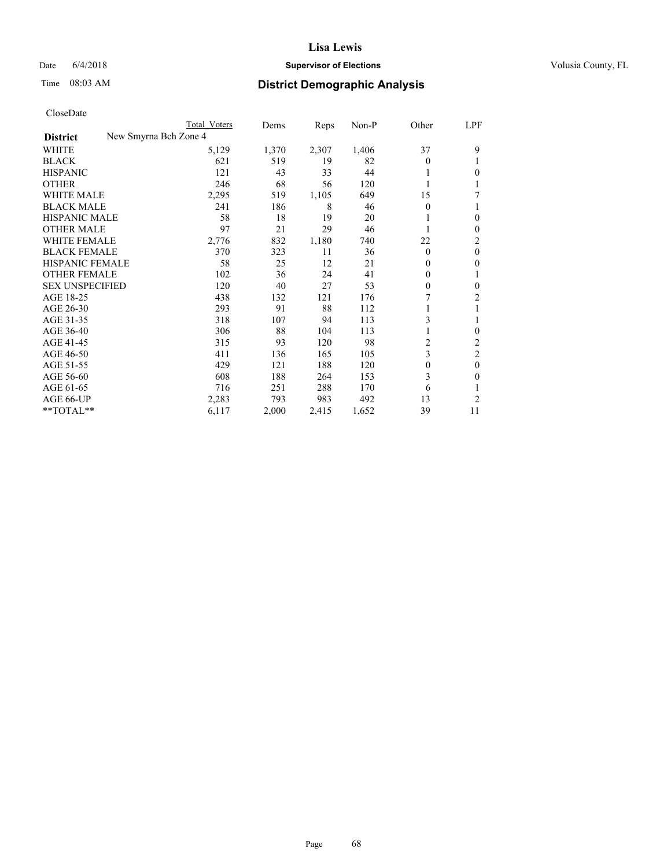## Date 6/4/2018 **Supervisor of Elections Supervisor of Elections** Volusia County, FL

|                        | Total Voters          | Dems  | Reps  | Non-P | Other    | LPF            |
|------------------------|-----------------------|-------|-------|-------|----------|----------------|
| <b>District</b>        | New Smyrna Bch Zone 4 |       |       |       |          |                |
| WHITE                  | 5,129                 | 1,370 | 2,307 | 1,406 | 37       | 9              |
| BLACK                  | 621                   | 519   | 19    | 82    | $\Omega$ |                |
| <b>HISPANIC</b>        | 121                   | 43    | 33    | 44    |          | 0              |
| <b>OTHER</b>           | 246                   | 68    | 56    | 120   |          |                |
| WHITE MALE             | 2,295                 | 519   | 1,105 | 649   | 15       |                |
| <b>BLACK MALE</b>      | 241                   | 186   | 8     | 46    | $\Omega$ |                |
| HISPANIC MALE          | 58                    | 18    | 19    | 20    |          | 0              |
| <b>OTHER MALE</b>      | 97                    | 21    | 29    | 46    | 1        | 0              |
| <b>WHITE FEMALE</b>    | 2,776                 | 832   | 1,180 | 740   | 22       | 2              |
| <b>BLACK FEMALE</b>    | 370                   | 323   | 11    | 36    | $\theta$ | 0              |
| HISPANIC FEMALE        | 58                    | 25    | 12    | 21    | $\Omega$ | 0              |
| <b>OTHER FEMALE</b>    | 102                   | 36    | 24    | 41    | $\Omega$ |                |
| <b>SEX UNSPECIFIED</b> | 120                   | 40    | 27    | 53    | $\Omega$ | 0              |
| AGE 18-25              | 438                   | 132   | 121   | 176   |          | $\overline{c}$ |
| AGE 26-30              | 293                   | 91    | 88    | 112   |          |                |
| AGE 31-35              | 318                   | 107   | 94    | 113   | 3        |                |
| AGE 36-40              | 306                   | 88    | 104   | 113   |          | 0              |
| AGE 41-45              | 315                   | 93    | 120   | 98    | 2        | 2              |
| AGE 46-50              | 411                   | 136   | 165   | 105   | 3        | 2              |
| AGE 51-55              | 429                   | 121   | 188   | 120   | $\Omega$ | 0              |
| AGE 56-60              | 608                   | 188   | 264   | 153   | 3        | 0              |
| AGE 61-65              | 716                   | 251   | 288   | 170   | 6        |                |
| AGE 66-UP              | 2,283                 | 793   | 983   | 492   | 13       | $\overline{c}$ |
| **TOTAL**              | 6,117                 | 2,000 | 2,415 | 1,652 | 39       | 11             |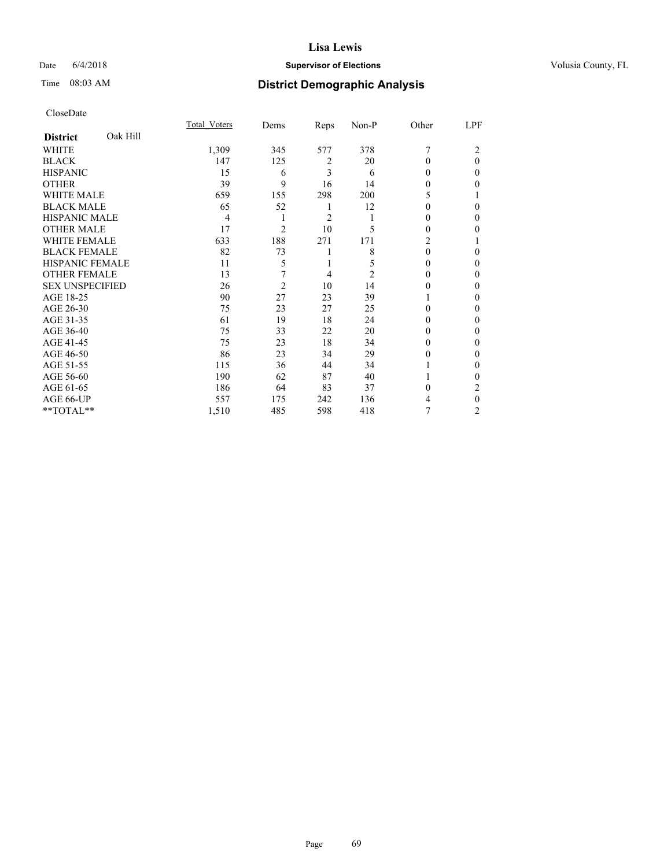## Date 6/4/2018 **Supervisor of Elections Supervisor of Elections** Volusia County, FL

# Time 08:03 AM **District Demographic Analysis**

|                        |          | Total Voters | Dems           | Reps           | Non-P | Other          | LPF      |
|------------------------|----------|--------------|----------------|----------------|-------|----------------|----------|
| <b>District</b>        | Oak Hill |              |                |                |       |                |          |
| WHITE                  |          | 1,309        | 345            | 577            | 378   | 7              | 2        |
| <b>BLACK</b>           |          | 147          | 125            | 2              | 20    | $\Omega$       | $\theta$ |
| <b>HISPANIC</b>        |          | 15           | 6              | 3              | 6     | 0              | $\Omega$ |
| <b>OTHER</b>           |          | 39           | 9              | 16             | 14    | 0              | 0        |
| WHITE MALE             |          | 659          | 155            | 298            | 200   | 5              |          |
| <b>BLACK MALE</b>      |          | 65           | 52             | 1              | 12    | 0              | $\Omega$ |
| <b>HISPANIC MALE</b>   |          | 4            | 1              | $\overline{c}$ | 1     | 0              | 0        |
| <b>OTHER MALE</b>      |          | 17           | $\overline{2}$ | 10             | 5     | 0              | 0        |
| <b>WHITE FEMALE</b>    |          | 633          | 188            | 271            | 171   | $\overline{c}$ |          |
| <b>BLACK FEMALE</b>    |          | 82           | 73             | 1              | 8     | $\theta$       | $\Omega$ |
| <b>HISPANIC FEMALE</b> |          | 11           | 5              | 1              | 5     | 0              | 0        |
| <b>OTHER FEMALE</b>    |          | 13           | 7              | $\overline{4}$ | 2     | 0              | 0        |
| <b>SEX UNSPECIFIED</b> |          | 26           | $\overline{2}$ | 10             | 14    | $\Omega$       | 0        |
| AGE 18-25              |          | 90           | 27             | 23             | 39    |                | 0        |
| AGE 26-30              |          | 75           | 23             | 27             | 25    | 0              | 0        |
| AGE 31-35              |          | 61           | 19             | 18             | 24    | 0              | 0        |
| AGE 36-40              |          | 75           | 33             | 22             | 20    | $\Omega$       | $\Omega$ |
| AGE 41-45              |          | 75           | 23             | 18             | 34    | $\Omega$       | 0        |
| AGE 46-50              |          | 86           | 23             | 34             | 29    | $\theta$       | 0        |
| AGE 51-55              |          | 115          | 36             | 44             | 34    |                | $\theta$ |
| AGE 56-60              |          | 190          | 62             | 87             | 40    |                | 0        |
| AGE 61-65              |          | 186          | 64             | 83             | 37    | $\Omega$       | 2        |
| AGE 66-UP              |          | 557          | 175            | 242            | 136   | 4              | $\theta$ |
| **TOTAL**              |          | 1,510        | 485            | 598            | 418   | 7              | 2        |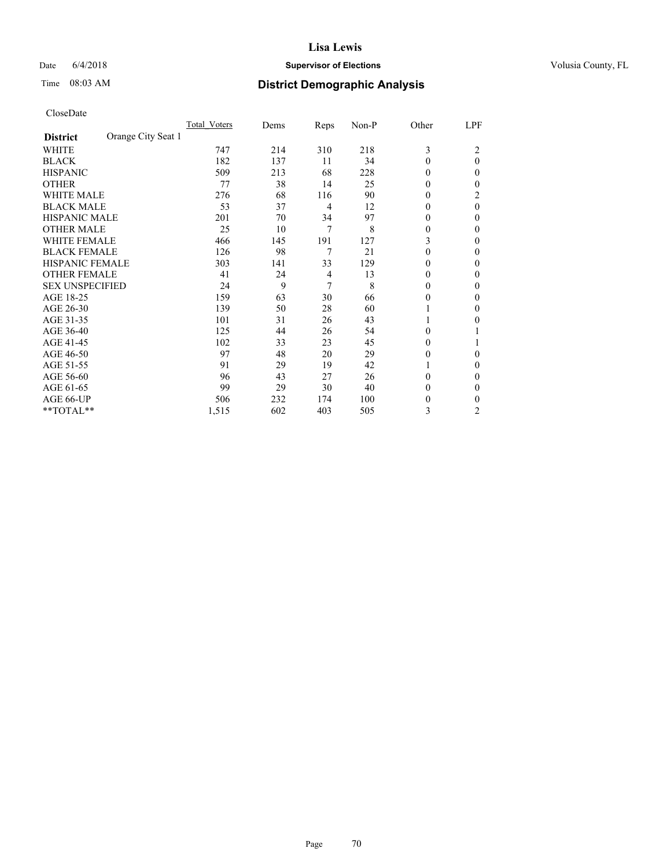## Date 6/4/2018 **Supervisor of Elections Supervisor of Elections** Volusia County, FL

# Time 08:03 AM **District Demographic Analysis**

|                        |                    | Total Voters | Dems | Reps           | Non-P | Other        | LPF            |
|------------------------|--------------------|--------------|------|----------------|-------|--------------|----------------|
| <b>District</b>        | Orange City Seat 1 |              |      |                |       |              |                |
| WHITE                  |                    | 747          | 214  | 310            | 218   | 3            | 2              |
| <b>BLACK</b>           |                    | 182          | 137  | 11             | 34    | $\theta$     | $\theta$       |
| <b>HISPANIC</b>        |                    | 509          | 213  | 68             | 228   | 0            | $\Omega$       |
| <b>OTHER</b>           |                    | 77           | 38   | 14             | 25    | $\theta$     | 0              |
| <b>WHITE MALE</b>      |                    | 276          | 68   | 116            | 90    | $\theta$     | 2              |
| <b>BLACK MALE</b>      |                    | 53           | 37   | $\overline{4}$ | 12    | $\mathbf{0}$ | $\theta$       |
| <b>HISPANIC MALE</b>   |                    | 201          | 70   | 34             | 97    | 0            | $\Omega$       |
| <b>OTHER MALE</b>      |                    | 25           | 10   | 7              | 8     | 0            | 0              |
| <b>WHITE FEMALE</b>    |                    | 466          | 145  | 191            | 127   | 3            | 0              |
| <b>BLACK FEMALE</b>    |                    | 126          | 98   | 7              | 21    | $\theta$     | $\Omega$       |
| <b>HISPANIC FEMALE</b> |                    | 303          | 141  | 33             | 129   | 0            | 0              |
| <b>OTHER FEMALE</b>    |                    | 41           | 24   | $\overline{4}$ | 13    | $\theta$     | 0              |
| <b>SEX UNSPECIFIED</b> |                    | 24           | 9    | 7              | 8     | $\theta$     | 0              |
| AGE 18-25              |                    | 159          | 63   | 30             | 66    | $\theta$     | 0              |
| AGE 26-30              |                    | 139          | 50   | 28             | 60    |              | $\Omega$       |
| AGE 31-35              |                    | 101          | 31   | 26             | 43    |              | 0              |
| AGE 36-40              |                    | 125          | 44   | 26             | 54    | 0            |                |
| AGE 41-45              |                    | 102          | 33   | 23             | 45    | 0            |                |
| AGE 46-50              |                    | 97           | 48   | 20             | 29    | $\theta$     | $\Omega$       |
| AGE 51-55              |                    | 91           | 29   | 19             | 42    |              | $\Omega$       |
| AGE 56-60              |                    | 96           | 43   | 27             | 26    | 0            | 0              |
| AGE 61-65              |                    | 99           | 29   | 30             | 40    | $\theta$     | $\Omega$       |
| AGE 66-UP              |                    | 506          | 232  | 174            | 100   | 0            | 0              |
| **TOTAL**              |                    | 1,515        | 602  | 403            | 505   | 3            | $\overline{c}$ |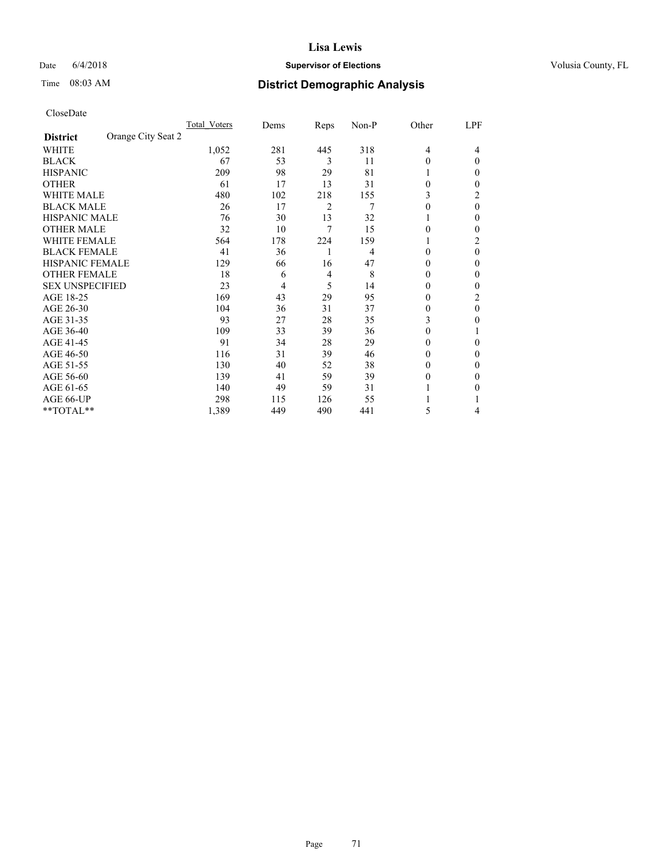## Date 6/4/2018 **Supervisor of Elections Supervisor of Elections** Volusia County, FL

# Time 08:03 AM **District Demographic Analysis**

|                                       | Total Voters | Dems | Reps | Non-P | Other          | LPF      |
|---------------------------------------|--------------|------|------|-------|----------------|----------|
| Orange City Seat 2<br><b>District</b> |              |      |      |       |                |          |
| WHITE                                 | 1,052        | 281  | 445  | 318   | $\overline{4}$ | 4        |
| <b>BLACK</b>                          | 67           | 53   | 3    | 11    | $\Omega$       | 0        |
| <b>HISPANIC</b>                       | 209          | 98   | 29   | 81    |                | 0        |
| <b>OTHER</b>                          | 61           | 17   | 13   | 31    | $\Omega$       | 0        |
| <b>WHITE MALE</b>                     | 480          | 102  | 218  | 155   | 3              | 2        |
| <b>BLACK MALE</b>                     | 26           | 17   | 2    | 7     | $\Omega$       | $\theta$ |
| <b>HISPANIC MALE</b>                  | 76           | 30   | 13   | 32    |                | 0        |
| <b>OTHER MALE</b>                     | 32           | 10   | 7    | 15    | 0              | 0        |
| <b>WHITE FEMALE</b>                   | 564          | 178  | 224  | 159   |                | 2        |
| <b>BLACK FEMALE</b>                   | 41           | 36   | 1    | 4     | $\Omega$       | 0        |
| <b>HISPANIC FEMALE</b>                | 129          | 66   | 16   | 47    | 0              | 0        |
| <b>OTHER FEMALE</b>                   | 18           | 6    | 4    | 8     | $\Omega$       | 0        |
| <b>SEX UNSPECIFIED</b>                | 23           | 4    | 5    | 14    | $\Omega$       | 0        |
| AGE 18-25                             | 169          | 43   | 29   | 95    | $\Omega$       | 2        |
| AGE 26-30                             | 104          | 36   | 31   | 37    | $\Omega$       | $\Omega$ |
| AGE 31-35                             | 93           | 27   | 28   | 35    | 3              | 0        |
| AGE 36-40                             | 109          | 33   | 39   | 36    | $\theta$       |          |
| AGE 41-45                             | 91           | 34   | 28   | 29    | 0              | 0        |
| AGE 46-50                             | 116          | 31   | 39   | 46    | $\Omega$       | 0        |
| AGE 51-55                             | 130          | 40   | 52   | 38    | $_{0}$         | 0        |
| AGE 56-60                             | 139          | 41   | 59   | 39    | $\Omega$       | 0        |
| AGE 61-65                             | 140          | 49   | 59   | 31    |                | 0        |
| AGE 66-UP                             | 298          | 115  | 126  | 55    |                |          |
| **TOTAL**                             | 1,389        | 449  | 490  | 441   | 5              | 4        |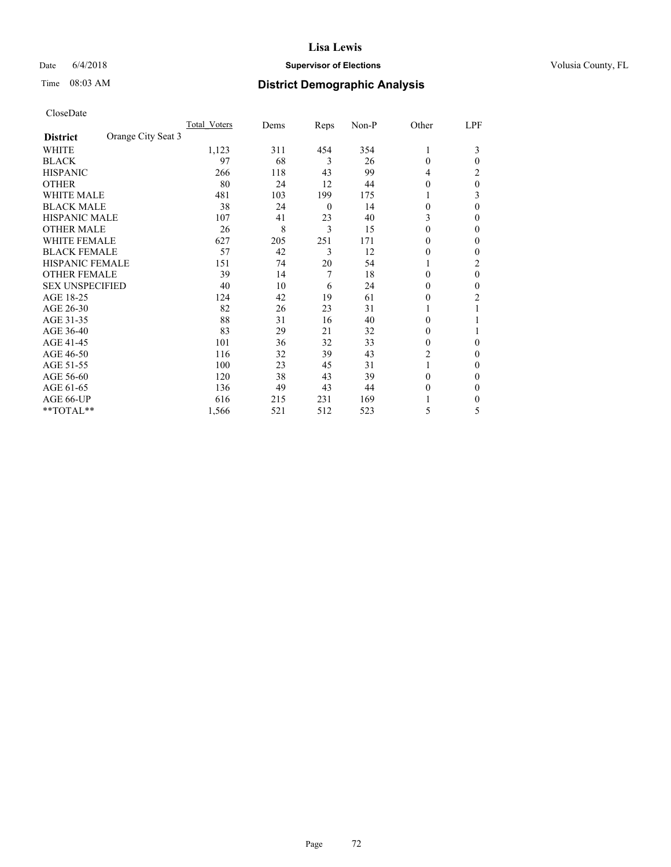## Date 6/4/2018 **Supervisor of Elections Supervisor of Elections** Volusia County, FL

# Time 08:03 AM **District Demographic Analysis**

|                                       | Total Voters | Dems | Reps     | Non-P | Other    | LPF |
|---------------------------------------|--------------|------|----------|-------|----------|-----|
| Orange City Seat 3<br><b>District</b> |              |      |          |       |          |     |
| WHITE                                 | 1,123        | 311  | 454      | 354   | 1        | 3   |
| <b>BLACK</b>                          | 97           | 68   | 3        | 26    | $\Omega$ | 0   |
| <b>HISPANIC</b>                       | 266          | 118  | 43       | 99    | 4        | 2   |
| <b>OTHER</b>                          | 80           | 24   | 12       | 44    | $\Omega$ | 0   |
| <b>WHITE MALE</b>                     | 481          | 103  | 199      | 175   |          | 3   |
| <b>BLACK MALE</b>                     | 38           | 24   | $\theta$ | 14    | $\Omega$ | 0   |
| HISPANIC MALE                         | 107          | 41   | 23       | 40    | 3        | 0   |
| <b>OTHER MALE</b>                     | 26           | 8    | 3        | 15    | 0        | 0   |
| WHITE FEMALE                          | 627          | 205  | 251      | 171   | 0        | 0   |
| <b>BLACK FEMALE</b>                   | 57           | 42   | 3        | 12    | $\Omega$ | 0   |
| <b>HISPANIC FEMALE</b>                | 151          | 74   | 20       | 54    |          | 2   |
| <b>OTHER FEMALE</b>                   | 39           | 14   | 7        | 18    | 0        | 0   |
| <b>SEX UNSPECIFIED</b>                | 40           | 10   | 6        | 24    | $\Omega$ | 0   |
| AGE 18-25                             | 124          | 42   | 19       | 61    | $\Omega$ | 2   |
| AGE 26-30                             | 82           | 26   | 23       | 31    |          |     |
| AGE 31-35                             | 88           | 31   | 16       | 40    | 0        |     |
| AGE 36-40                             | 83           | 29   | 21       | 32    | $\Omega$ |     |
| AGE 41-45                             | 101          | 36   | 32       | 33    | $\Omega$ | 0   |
| AGE 46-50                             | 116          | 32   | 39       | 43    | 2        | 0   |
| AGE 51-55                             | 100          | 23   | 45       | 31    |          | 0   |
| AGE 56-60                             | 120          | 38   | 43       | 39    | $\Omega$ | 0   |
| AGE 61-65                             | 136          | 49   | 43       | 44    | $\Omega$ | 0   |
| AGE 66-UP                             | 616          | 215  | 231      | 169   |          | 0   |
| **TOTAL**                             | 1,566        | 521  | 512      | 523   | 5        | 5   |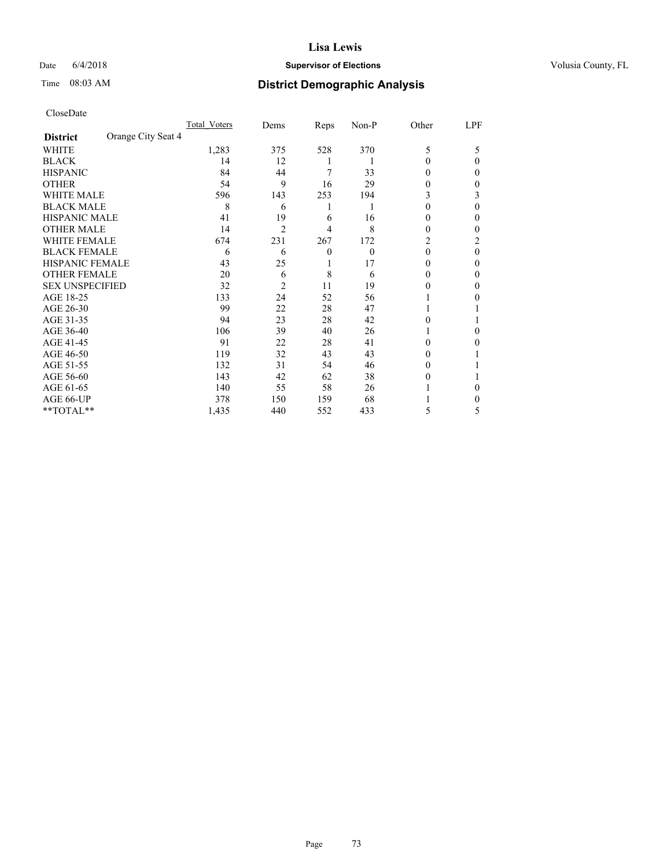### Date  $6/4/2018$  **Supervisor of Elections Supervisor of Elections** Volusia County, FL

## Time 08:03 AM **District Demographic Analysis**

|                                       | Total Voters | Dems           | Reps     | Non-P    | Other    | LPF      |
|---------------------------------------|--------------|----------------|----------|----------|----------|----------|
| Orange City Seat 4<br><b>District</b> |              |                |          |          |          |          |
| WHITE                                 | 1,283        | 375            | 528      | 370      | 5        | 5        |
| <b>BLACK</b>                          | 14           | 12             | 1        |          | $\Omega$ | 0        |
| <b>HISPANIC</b>                       | 84           | 44             | 7        | 33       | 0        | 0        |
| <b>OTHER</b>                          | 54           | 9              | 16       | 29       | 0        | 0        |
| WHITE MALE                            | 596          | 143            | 253      | 194      | 3        | 3        |
| <b>BLACK MALE</b>                     | 8            | 6              | 1        | 1        | $\Omega$ | 0        |
| <b>HISPANIC MALE</b>                  | 41           | 19             | 6        | 16       | $_{0}$   | 0        |
| <b>OTHER MALE</b>                     | 14           | $\overline{2}$ | 4        | 8        | $\theta$ | 0        |
| WHITE FEMALE                          | 674          | 231            | 267      | 172      | 2        | 2        |
| <b>BLACK FEMALE</b>                   | 6            | 6              | $\theta$ | $\theta$ | $\theta$ | $\Omega$ |
| <b>HISPANIC FEMALE</b>                | 43           | 25             | 1        | 17       | 0        | 0        |
| <b>OTHER FEMALE</b>                   | 20           | 6              | 8        | 6        | $\Omega$ | 0        |
| <b>SEX UNSPECIFIED</b>                | 32           | 2              | 11       | 19       | 0        | 0        |
| AGE 18-25                             | 133          | 24             | 52       | 56       |          | 0        |
| AGE 26-30                             | 99           | 22             | 28       | 47       |          |          |
| AGE 31-35                             | 94           | 23             | 28       | 42       | 0        |          |
| AGE 36-40                             | 106          | 39             | 40       | 26       |          | 0        |
| AGE 41-45                             | 91           | 22             | 28       | 41       | $\Omega$ | 0        |
| AGE 46-50                             | 119          | 32             | 43       | 43       | $\Omega$ |          |
| AGE 51-55                             | 132          | 31             | 54       | 46       | 0        |          |
| AGE 56-60                             | 143          | 42             | 62       | 38       | $\theta$ |          |
| AGE 61-65                             | 140          | 55             | 58       | 26       |          | 0        |
| AGE 66-UP                             | 378          | 150            | 159      | 68       |          | 0        |
| **TOTAL**                             | 1,435        | 440            | 552      | 433      | 5        | 5        |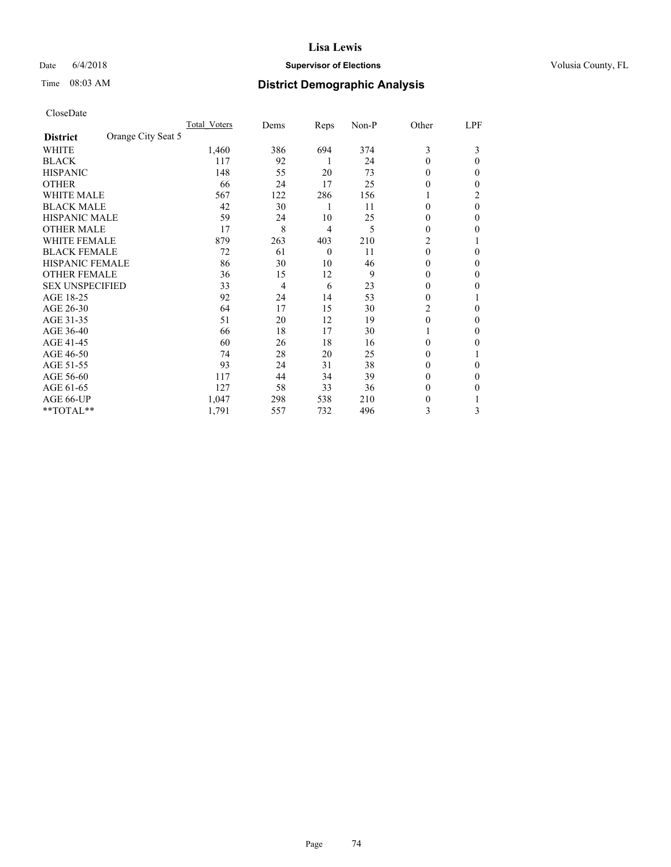## Date 6/4/2018 **Supervisor of Elections Supervisor of Elections** Volusia County, FL

# Time 08:03 AM **District Demographic Analysis**

|                                       | Total Voters | Dems | Reps     | Non-P | Other    | LPF    |
|---------------------------------------|--------------|------|----------|-------|----------|--------|
| Orange City Seat 5<br><b>District</b> |              |      |          |       |          |        |
| WHITE                                 | 1,460        | 386  | 694      | 374   | 3        | 3      |
| <b>BLACK</b>                          | 117          | 92   | 1        | 24    | $\Omega$ | 0      |
| <b>HISPANIC</b>                       | 148          | 55   | 20       | 73    | 0        | $_{0}$ |
| <b>OTHER</b>                          | 66           | 24   | 17       | 25    | 0        | 0      |
| <b>WHITE MALE</b>                     | 567          | 122  | 286      | 156   |          | 2      |
| <b>BLACK MALE</b>                     | 42           | 30   | 1        | 11    | $\theta$ | 0      |
| <b>HISPANIC MALE</b>                  | 59           | 24   | 10       | 25    | 0        | 0      |
| <b>OTHER MALE</b>                     | 17           | 8    | 4        | 5     | $\theta$ | 0      |
| <b>WHITE FEMALE</b>                   | 879          | 263  | 403      | 210   | 2        |        |
| <b>BLACK FEMALE</b>                   | 72           | 61   | $\theta$ | 11    | $\theta$ | 0      |
| <b>HISPANIC FEMALE</b>                | 86           | 30   | 10       | 46    | $\Omega$ | $_{0}$ |
| <b>OTHER FEMALE</b>                   | 36           | 15   | 12       | 9     | $\theta$ | $_{0}$ |
| <b>SEX UNSPECIFIED</b>                | 33           | 4    | 6        | 23    | 0        | 0      |
| AGE 18-25                             | 92           | 24   | 14       | 53    | 0        |        |
| AGE 26-30                             | 64           | 17   | 15       | 30    | 2        | 0      |
| AGE 31-35                             | 51           | 20   | 12       | 19    | 0        | 0      |
| AGE 36-40                             | 66           | 18   | 17       | 30    | 1        | 0      |
| AGE 41-45                             | 60           | 26   | 18       | 16    | 0        | 0      |
| AGE 46-50                             | 74           | 28   | 20       | 25    | $\theta$ |        |
| AGE 51-55                             | 93           | 24   | 31       | 38    | $\theta$ | 0      |
| AGE 56-60                             | 117          | 44   | 34       | 39    | $\theta$ | $_{0}$ |
| AGE 61-65                             | 127          | 58   | 33       | 36    | $\theta$ | 0      |
| AGE 66-UP                             | 1,047        | 298  | 538      | 210   | 0        |        |
| **TOTAL**                             | 1,791        | 557  | 732      | 496   | 3        | 3      |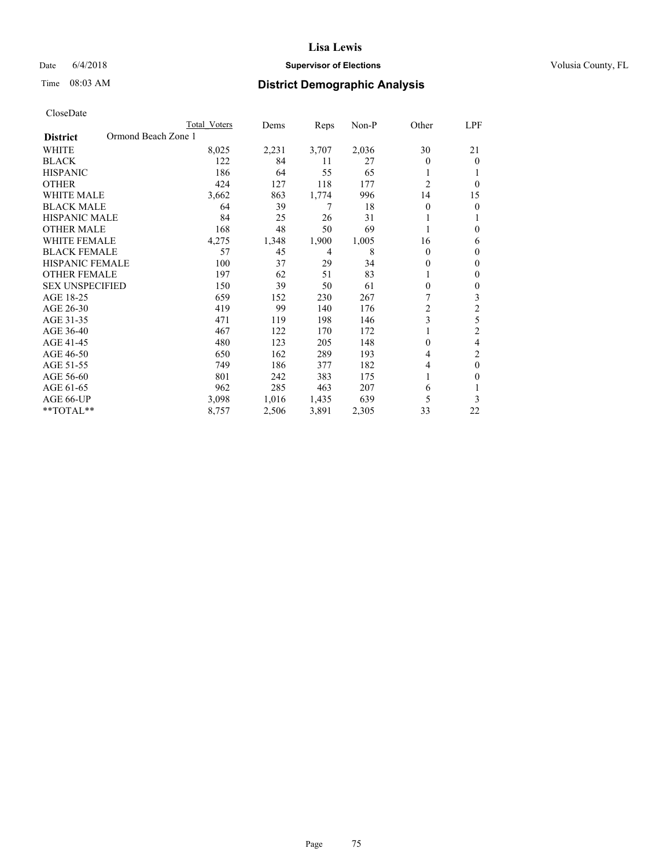## Date 6/4/2018 **Supervisor of Elections Supervisor of Elections** Volusia County, FL

# Time 08:03 AM **District Demographic Analysis**

|                                        | Total Voters | Dems  | Reps  | Non-P | Other          | LPF            |
|----------------------------------------|--------------|-------|-------|-------|----------------|----------------|
| Ormond Beach Zone 1<br><b>District</b> |              |       |       |       |                |                |
| WHITE                                  | 8,025        | 2,231 | 3,707 | 2,036 | 30             | 21             |
| <b>BLACK</b>                           | 122          | 84    | 11    | 27    | 0              | $\theta$       |
| <b>HISPANIC</b>                        | 186          | 64    | 55    | 65    | 1              | 1              |
| <b>OTHER</b>                           | 424          | 127   | 118   | 177   | $\overline{2}$ | $\theta$       |
| WHITE MALE                             | 3,662        | 863   | 1,774 | 996   | 14             | 15             |
| <b>BLACK MALE</b>                      | 64           | 39    | 7     | 18    | 0              | $\theta$       |
| HISPANIC MALE                          | 84           | 25    | 26    | 31    |                | 1              |
| <b>OTHER MALE</b>                      | 168          | 48    | 50    | 69    | 1              | 0              |
| WHITE FEMALE                           | 4,275        | 1,348 | 1,900 | 1,005 | 16             | 6              |
| <b>BLACK FEMALE</b>                    | 57           | 45    | 4     | 8     | 0              | $\mathbf{0}$   |
| <b>HISPANIC FEMALE</b>                 | 100          | 37    | 29    | 34    | 0              | 0              |
| <b>OTHER FEMALE</b>                    | 197          | 62    | 51    | 83    |                | $\theta$       |
| <b>SEX UNSPECIFIED</b>                 | 150          | 39    | 50    | 61    | $\mathbf{0}$   | $\theta$       |
| AGE 18-25                              | 659          | 152   | 230   | 267   | 7              | 3              |
| AGE 26-30                              | 419          | 99    | 140   | 176   | 2              | $\mathfrak{2}$ |
| AGE 31-35                              | 471          | 119   | 198   | 146   | 3              | 5              |
| AGE 36-40                              | 467          | 122   | 170   | 172   |                | $\mathfrak{2}$ |
| AGE 41-45                              | 480          | 123   | 205   | 148   | 0              | 4              |
| AGE 46-50                              | 650          | 162   | 289   | 193   | 4              | 2              |
| AGE 51-55                              | 749          | 186   | 377   | 182   | 4              | $\theta$       |
| AGE 56-60                              | 801          | 242   | 383   | 175   |                | 0              |
| AGE 61-65                              | 962          | 285   | 463   | 207   | 6              | 1              |
| AGE 66-UP                              | 3,098        | 1,016 | 1,435 | 639   | 5              | 3              |
| **TOTAL**                              | 8,757        | 2,506 | 3,891 | 2,305 | 33             | 22             |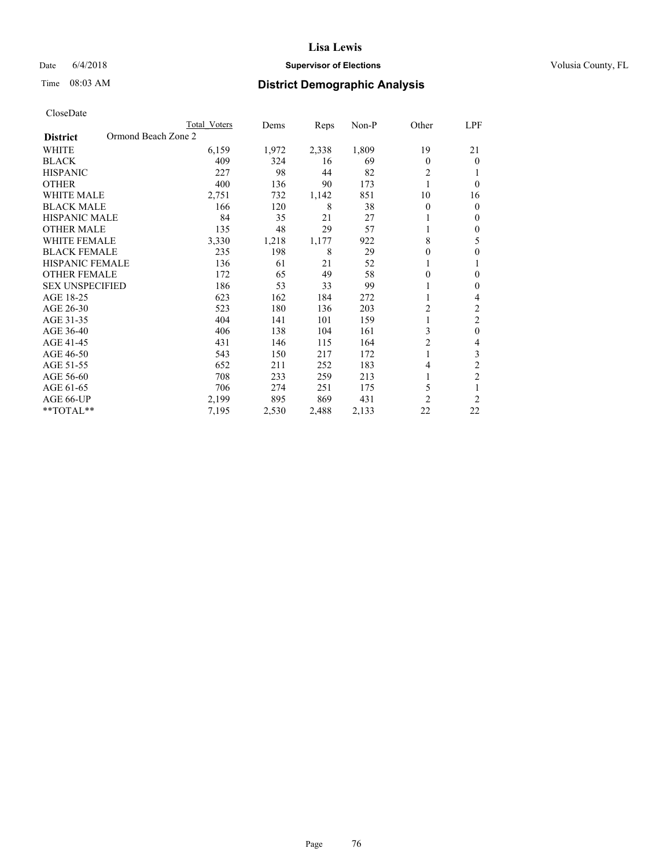## Date 6/4/2018 **Supervisor of Elections Supervisor of Elections** Volusia County, FL

# Time 08:03 AM **District Demographic Analysis**

|                                        | Total Voters | Dems  | Reps  | Non-P | Other          | LPF            |
|----------------------------------------|--------------|-------|-------|-------|----------------|----------------|
| Ormond Beach Zone 2<br><b>District</b> |              |       |       |       |                |                |
| WHITE                                  | 6,159        | 1,972 | 2,338 | 1,809 | 19             | 21             |
| <b>BLACK</b>                           | 409          | 324   | 16    | 69    | 0              | $\theta$       |
| <b>HISPANIC</b>                        | 227          | 98    | 44    | 82    | 2              | 1              |
| <b>OTHER</b>                           | 400          | 136   | 90    | 173   | 1              | $\theta$       |
| <b>WHITE MALE</b>                      | 2,751        | 732   | 1,142 | 851   | 10             | 16             |
| <b>BLACK MALE</b>                      | 166          | 120   | 8     | 38    | 0              | $\mathbf{0}$   |
| <b>HISPANIC MALE</b>                   | 84           | 35    | 21    | 27    | 1              | $\mathbf{0}$   |
| <b>OTHER MALE</b>                      | 135          | 48    | 29    | 57    | 1              | $\mathbf{0}$   |
| <b>WHITE FEMALE</b>                    | 3,330        | 1,218 | 1,177 | 922   | 8              | 5              |
| <b>BLACK FEMALE</b>                    | 235          | 198   | 8     | 29    | 0              | $\mathbf{0}$   |
| <b>HISPANIC FEMALE</b>                 | 136          | 61    | 21    | 52    |                | 1              |
| <b>OTHER FEMALE</b>                    | 172          | 65    | 49    | 58    | 0              | $\theta$       |
| <b>SEX UNSPECIFIED</b>                 | 186          | 53    | 33    | 99    |                | $\mathbf{0}$   |
| AGE 18-25                              | 623          | 162   | 184   | 272   |                | 4              |
| AGE 26-30                              | 523          | 180   | 136   | 203   | 2              | $\overline{c}$ |
| AGE 31-35                              | 404          | 141   | 101   | 159   | 1              | $\overline{2}$ |
| AGE 36-40                              | 406          | 138   | 104   | 161   | 3              | $\mathbf{0}$   |
| AGE 41-45                              | 431          | 146   | 115   | 164   | $\overline{c}$ | 4              |
| AGE 46-50                              | 543          | 150   | 217   | 172   | 1              | 3              |
| AGE 51-55                              | 652          | 211   | 252   | 183   | 4              | $\overline{2}$ |
| AGE 56-60                              | 708          | 233   | 259   | 213   |                | $\overline{c}$ |
| AGE 61-65                              | 706          | 274   | 251   | 175   | 5              | 1              |
| AGE 66-UP                              | 2,199        | 895   | 869   | 431   | $\overline{2}$ | $\overline{2}$ |
| **TOTAL**                              | 7,195        | 2,530 | 2,488 | 2,133 | 22             | 22             |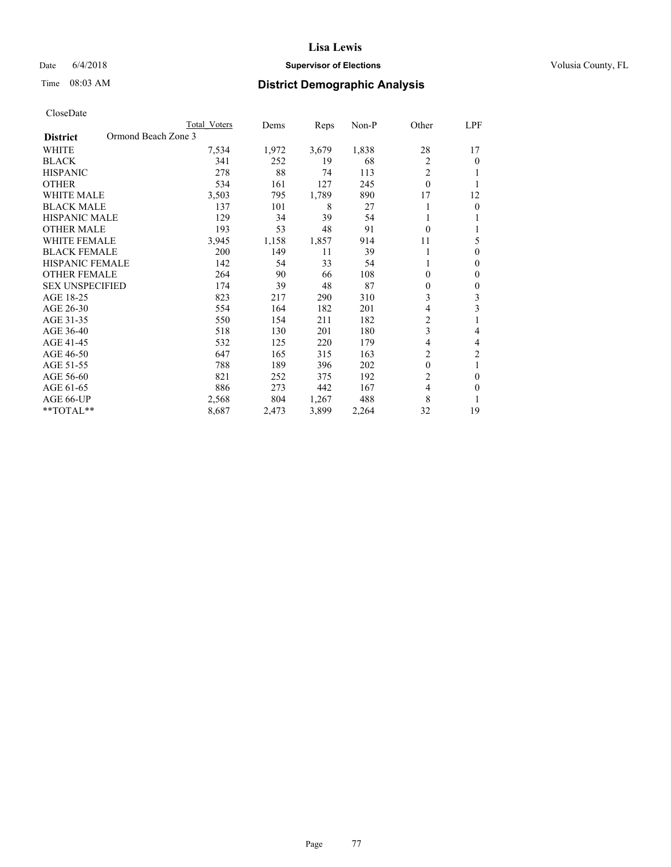## Date 6/4/2018 **Supervisor of Elections Supervisor of Elections** Volusia County, FL

# Time 08:03 AM **District Demographic Analysis**

|                                        | Total Voters | Dems  | Reps  | $Non-P$ | Other          | LPF            |
|----------------------------------------|--------------|-------|-------|---------|----------------|----------------|
| Ormond Beach Zone 3<br><b>District</b> |              |       |       |         |                |                |
| <b>WHITE</b>                           | 7,534        | 1,972 | 3,679 | 1,838   | 28             | 17             |
| <b>BLACK</b>                           | 341          | 252   | 19    | 68      | 2              | $\theta$       |
| <b>HISPANIC</b>                        | 278          | 88    | 74    | 113     | $\overline{2}$ |                |
| <b>OTHER</b>                           | 534          | 161   | 127   | 245     | $\theta$       |                |
| <b>WHITE MALE</b>                      | 3,503        | 795   | 1,789 | 890     | 17             | 12             |
| <b>BLACK MALE</b>                      | 137          | 101   | 8     | 27      |                | $\mathbf{0}$   |
| HISPANIC MALE                          | 129          | 34    | 39    | 54      |                |                |
| <b>OTHER MALE</b>                      | 193          | 53    | 48    | 91      | $\theta$       |                |
| <b>WHITE FEMALE</b>                    | 3,945        | 1,158 | 1,857 | 914     | 11             | 5              |
| <b>BLACK FEMALE</b>                    | 200          | 149   | 11    | 39      |                | $\theta$       |
| <b>HISPANIC FEMALE</b>                 | 142          | 54    | 33    | 54      | 1              | $\mathbf{0}$   |
| <b>OTHER FEMALE</b>                    | 264          | 90    | 66    | 108     | 0              | $\mathbf{0}$   |
| <b>SEX UNSPECIFIED</b>                 | 174          | 39    | 48    | 87      | 0              | $\theta$       |
| AGE 18-25                              | 823          | 217   | 290   | 310     | 3              | 3              |
| AGE 26-30                              | 554          | 164   | 182   | 201     | 4              | 3              |
| AGE 31-35                              | 550          | 154   | 211   | 182     | 2              | 1              |
| AGE 36-40                              | 518          | 130   | 201   | 180     | 3              | 4              |
| AGE 41-45                              | 532          | 125   | 220   | 179     | 4              | 4              |
| AGE 46-50                              | 647          | 165   | 315   | 163     | 2              | $\overline{c}$ |
| AGE 51-55                              | 788          | 189   | 396   | 202     | $\theta$       | 1              |
| AGE 56-60                              | 821          | 252   | 375   | 192     | 2              | $\theta$       |
| AGE 61-65                              | 886          | 273   | 442   | 167     | $\overline{4}$ | $\theta$       |
| AGE 66-UP                              | 2,568        | 804   | 1,267 | 488     | 8              | 1              |
| $*$ TOTAL $*$                          | 8,687        | 2,473 | 3,899 | 2,264   | 32             | 19             |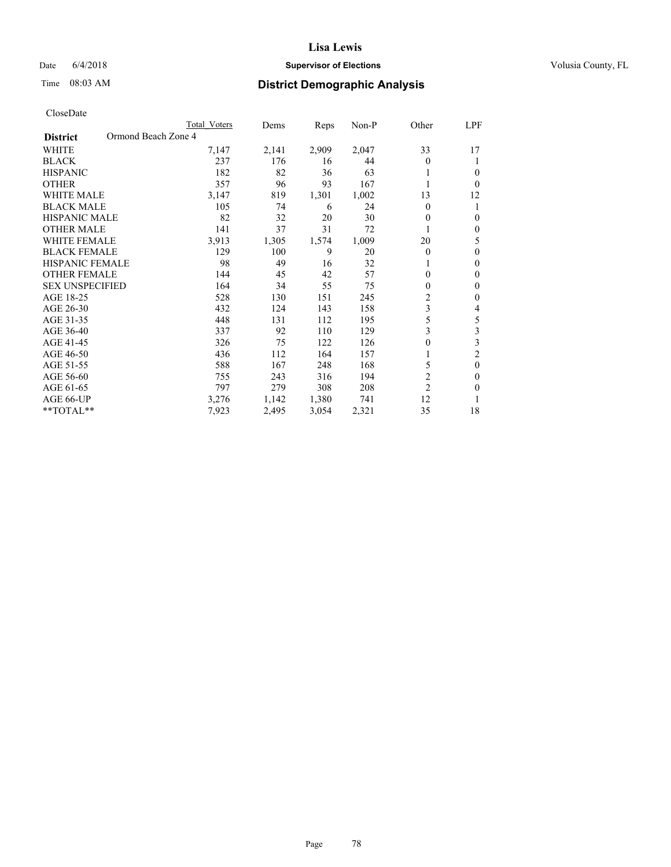## Date 6/4/2018 **Supervisor of Elections Supervisor of Elections** Volusia County, FL

# Time 08:03 AM **District Demographic Analysis**

| Total Voters | Dems                | Reps  | Non-P | Other          | LPF            |
|--------------|---------------------|-------|-------|----------------|----------------|
|              |                     |       |       |                |                |
| 7,147        | 2,141               | 2,909 | 2,047 | 33             | 17             |
| 237          | 176                 | 16    | 44    | $\Omega$       | 1              |
| 182          | 82                  | 36    | 63    |                | 0              |
| 357          | 96                  | 93    | 167   | 1              | 0              |
| 3,147        | 819                 | 1,301 | 1,002 | 13             | 12             |
| 105          | 74                  | 6     | 24    | $\Omega$       | 1              |
| 82           | 32                  | 20    | 30    | 0              | 0              |
| 141          | 37                  | 31    | 72    |                | 0              |
| 3,913        | 1,305               | 1,574 | 1,009 | 20             | 5              |
| 129          | 100                 | 9     | 20    | $\theta$       | 0              |
| 98           | 49                  | 16    | 32    | 1              | 0              |
| 144          | 45                  | 42    | 57    | 0              | 0              |
| 164          | 34                  | 55    | 75    | 0              | 0              |
| 528          | 130                 | 151   | 245   | 2              | 0              |
| 432          | 124                 | 143   | 158   | 3              | 4              |
| 448          | 131                 | 112   | 195   | 5              | 5              |
| 337          | 92                  | 110   | 129   | 3              | 3              |
| 326          | 75                  | 122   | 126   | 0              | 3              |
| 436          | 112                 | 164   | 157   |                | $\overline{2}$ |
| 588          | 167                 | 248   | 168   | 5              | $\theta$       |
| 755          | 243                 | 316   | 194   | 2              | 0              |
| 797          | 279                 | 308   | 208   | $\overline{2}$ | 0              |
| 3,276        | 1,142               | 1,380 | 741   | 12             |                |
| 7,923        | 2,495               | 3,054 | 2,321 | 35             | 18             |
|              | Ormond Beach Zone 4 |       |       |                |                |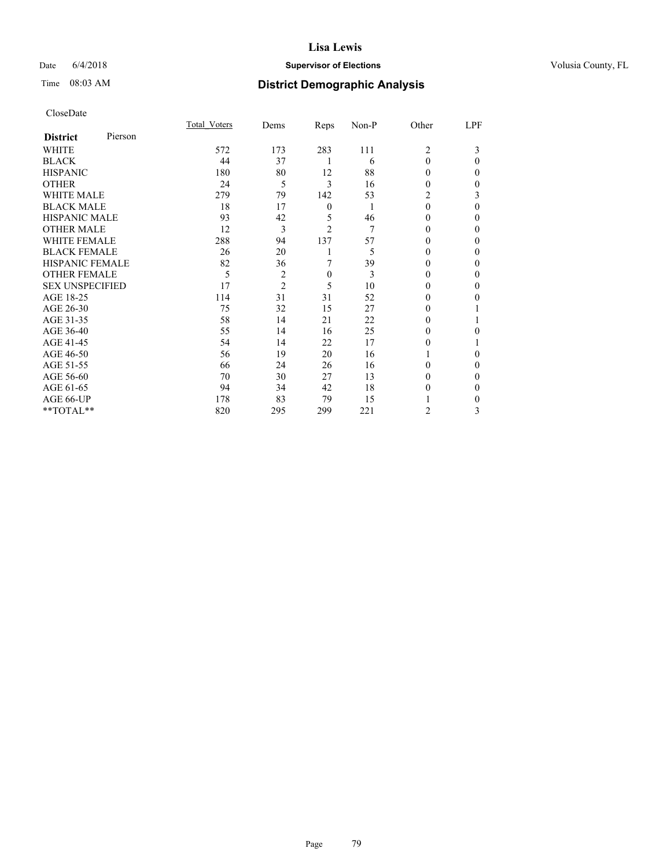## Date 6/4/2018 **Supervisor of Elections Supervisor of Elections** Volusia County, FL

# Time 08:03 AM **District Demographic Analysis**

| CloseDate |
|-----------|
|-----------|

|                        |         | Total Voters | Dems           | Reps             | Non-P | Other          | LPF      |
|------------------------|---------|--------------|----------------|------------------|-------|----------------|----------|
| <b>District</b>        | Pierson |              |                |                  |       |                |          |
| WHITE                  |         | 572          | 173            | 283              | 111   | $\overline{2}$ | 3        |
| <b>BLACK</b>           |         | 44           | 37             |                  | 6     | $\theta$       | $\Omega$ |
| <b>HISPANIC</b>        |         | 180          | 80             | 12               | 88    | 0              | 0        |
| <b>OTHER</b>           |         | 24           | 5              | 3                | 16    | 0              | 0        |
| <b>WHITE MALE</b>      |         | 279          | 79             | 142              | 53    | 2              | 3        |
| <b>BLACK MALE</b>      |         | 18           | 17             | $\boldsymbol{0}$ | 1     | $\theta$       | 0        |
| <b>HISPANIC MALE</b>   |         | 93           | 42             | 5                | 46    | 0              | 0        |
| <b>OTHER MALE</b>      |         | 12           | 3              | $\overline{c}$   | 7     | 0              | 0        |
| <b>WHITE FEMALE</b>    |         | 288          | 94             | 137              | 57    |                | 0        |
| <b>BLACK FEMALE</b>    |         | 26           | 20             |                  | 5     | 0              | 0        |
| <b>HISPANIC FEMALE</b> |         | 82           | 36             | 7                | 39    | $_{0}$         | 0        |
| <b>OTHER FEMALE</b>    |         | 5            | $\overline{2}$ | $\boldsymbol{0}$ | 3     | 0              | 0        |
| <b>SEX UNSPECIFIED</b> |         | 17           | $\overline{2}$ | 5                | 10    | 0              | 0        |
| AGE 18-25              |         | 114          | 31             | 31               | 52    | 0              | 0        |
| AGE 26-30              |         | 75           | 32             | 15               | 27    | 0              |          |
| AGE 31-35              |         | 58           | 14             | 21               | 22    |                |          |
| AGE 36-40              |         | 55           | 14             | 16               | 25    | 0              | 0        |
| AGE 41-45              |         | 54           | 14             | 22               | 17    |                |          |
| AGE 46-50              |         | 56           | 19             | 20               | 16    |                | 0        |
| AGE 51-55              |         | 66           | 24             | 26               | 16    | 0              | 0        |
| AGE 56-60              |         | 70           | 30             | 27               | 13    | 0              | 0        |
| AGE 61-65              |         | 94           | 34             | 42               | 18    | 0              | 0        |
| AGE 66-UP              |         | 178          | 83             | 79               | 15    |                | 0        |
| **TOTAL**              |         | 820          | 295            | 299              | 221   | 2              | 3        |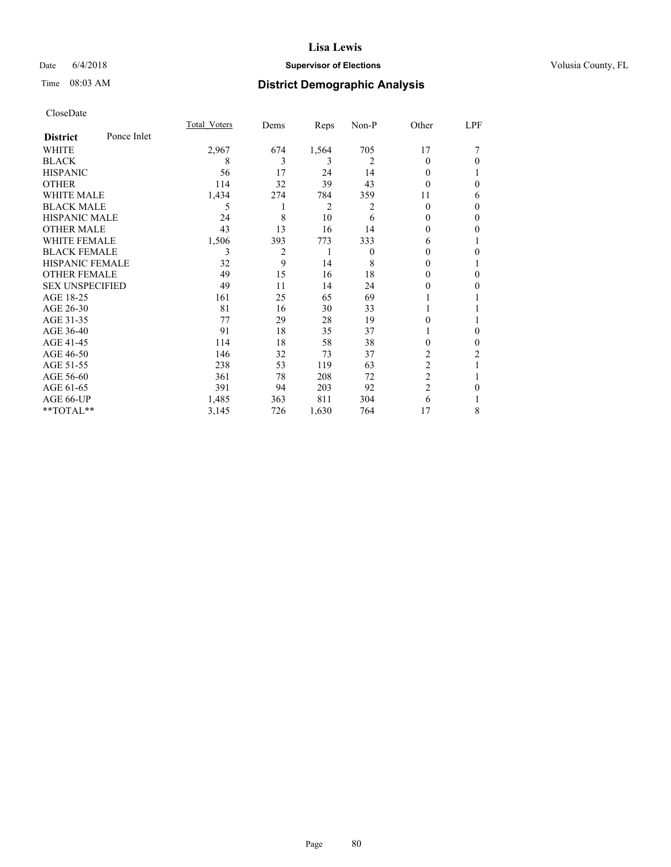### Date  $6/4/2018$  **Supervisor of Elections Supervisor of Elections** Volusia County, FL

## Time 08:03 AM **District Demographic Analysis**

|                        |             | Total Voters | Dems | Reps  | Non-P          | Other          | LPF      |
|------------------------|-------------|--------------|------|-------|----------------|----------------|----------|
| <b>District</b>        | Ponce Inlet |              |      |       |                |                |          |
| WHITE                  |             | 2,967        | 674  | 1,564 | 705            | 17             |          |
| <b>BLACK</b>           |             | 8            | 3    | 3     | $\overline{2}$ | 0              | 0        |
| <b>HISPANIC</b>        |             | 56           | 17   | 24    | 14             | 0              |          |
| <b>OTHER</b>           |             | 114          | 32   | 39    | 43             | 0              | 0        |
| WHITE MALE             |             | 1,434        | 274  | 784   | 359            | 11             | 6        |
| <b>BLACK MALE</b>      |             | 5            |      | 2     | 2              | $\theta$       | 0        |
| <b>HISPANIC MALE</b>   |             | 24           | 8    | 10    | 6              | 0              | $\Omega$ |
| <b>OTHER MALE</b>      |             | 43           | 13   | 16    | 14             | 0              | 0        |
| <b>WHITE FEMALE</b>    |             | 1,506        | 393  | 773   | 333            | 6              | 1        |
| <b>BLACK FEMALE</b>    |             | 3            | 2    | 1     | $\theta$       | 0              | 0        |
| <b>HISPANIC FEMALE</b> |             | 32           | 9    | 14    | 8              | 0              |          |
| <b>OTHER FEMALE</b>    |             | 49           | 15   | 16    | 18             | 0              | 0        |
| <b>SEX UNSPECIFIED</b> |             | 49           | 11   | 14    | 24             | 0              | 0        |
| AGE 18-25              |             | 161          | 25   | 65    | 69             |                |          |
| AGE 26-30              |             | 81           | 16   | 30    | 33             |                |          |
| AGE 31-35              |             | 77           | 29   | 28    | 19             | 0              |          |
| AGE 36-40              |             | 91           | 18   | 35    | 37             |                | 0        |
| AGE 41-45              |             | 114          | 18   | 58    | 38             | 0              | 0        |
| AGE 46-50              |             | 146          | 32   | 73    | 37             | $\overline{2}$ | 2        |
| AGE 51-55              |             | 238          | 53   | 119   | 63             | 2              |          |
| AGE 56-60              |             | 361          | 78   | 208   | 72             | $\overline{2}$ |          |
| AGE 61-65              |             | 391          | 94   | 203   | 92             | $\overline{2}$ | 0        |
| AGE 66-UP              |             | 1,485        | 363  | 811   | 304            | 6              |          |
| **TOTAL**              |             | 3,145        | 726  | 1,630 | 764            | 17             | 8        |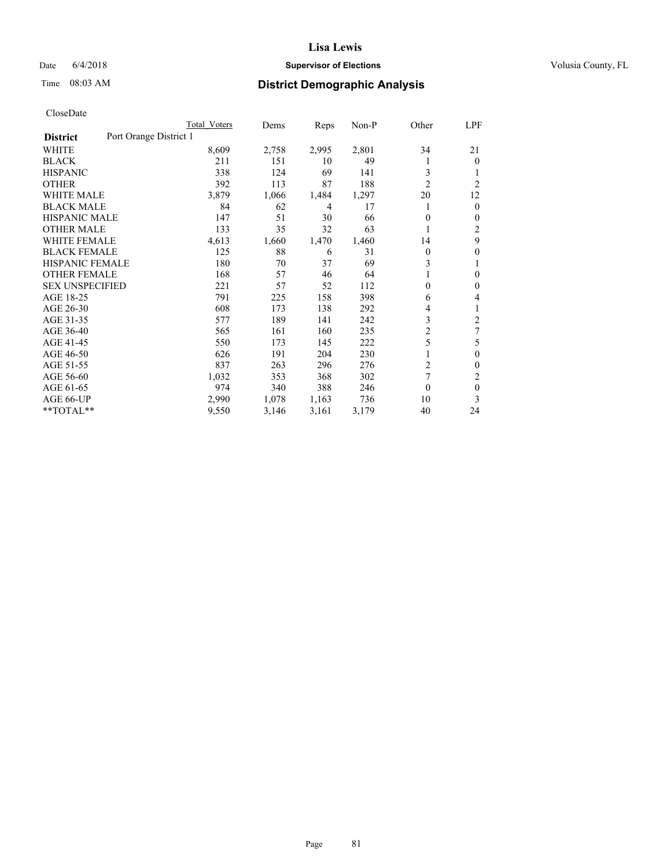### Date  $6/4/2018$  **Supervisor of Elections Supervisor of Elections** Volusia County, FL

# Time 08:03 AM **District Demographic Analysis**

|                        |                        | Total Voters | Dems  | Reps  | Non-P | Other                   | LPF            |
|------------------------|------------------------|--------------|-------|-------|-------|-------------------------|----------------|
| <b>District</b>        | Port Orange District 1 |              |       |       |       |                         |                |
| WHITE                  |                        | 8,609        | 2,758 | 2,995 | 2,801 | 34                      | 21             |
| <b>BLACK</b>           |                        | 211          | 151   | 10    | 49    |                         | $\mathbf{0}$   |
| <b>HISPANIC</b>        |                        | 338          | 124   | 69    | 141   | 3                       | 1              |
| <b>OTHER</b>           |                        | 392          | 113   | 87    | 188   | $\overline{2}$          | $\overline{2}$ |
| <b>WHITE MALE</b>      |                        | 3,879        | 1,066 | 1,484 | 1,297 | 20                      | 12             |
| <b>BLACK MALE</b>      |                        | 84           | 62    | 4     | 17    |                         | $\mathbf{0}$   |
| <b>HISPANIC MALE</b>   |                        | 147          | 51    | 30    | 66    | 0                       | $\mathbf{0}$   |
| <b>OTHER MALE</b>      |                        | 133          | 35    | 32    | 63    | 1                       | 2              |
| WHITE FEMALE           |                        | 4,613        | 1,660 | 1,470 | 1,460 | 14                      | 9              |
| <b>BLACK FEMALE</b>    |                        | 125          | 88    | 6     | 31    | 0                       | $\theta$       |
| <b>HISPANIC FEMALE</b> |                        | 180          | 70    | 37    | 69    | 3                       | 1              |
| <b>OTHER FEMALE</b>    |                        | 168          | 57    | 46    | 64    |                         | 0              |
| <b>SEX UNSPECIFIED</b> |                        | 221          | 57    | 52    | 112   | 0                       | $\theta$       |
| AGE 18-25              |                        | 791          | 225   | 158   | 398   | 6                       | 4              |
| AGE 26-30              |                        | 608          | 173   | 138   | 292   | 4                       | 1              |
| AGE 31-35              |                        | 577          | 189   | 141   | 242   | 3                       | $\overline{2}$ |
| AGE 36-40              |                        | 565          | 161   | 160   | 235   | $\overline{\mathbf{c}}$ | 7              |
| AGE 41-45              |                        | 550          | 173   | 145   | 222   | 5                       | 5              |
| AGE 46-50              |                        | 626          | 191   | 204   | 230   |                         | $\theta$       |
| AGE 51-55              |                        | 837          | 263   | 296   | 276   | 2                       | $\Omega$       |
| AGE 56-60              |                        | 1,032        | 353   | 368   | 302   | 7                       | 2              |
| AGE 61-65              |                        | 974          | 340   | 388   | 246   | $\theta$                | $\theta$       |
| AGE 66-UP              |                        | 2,990        | 1,078 | 1,163 | 736   | 10                      | 3              |
| **TOTAL**              |                        | 9,550        | 3,146 | 3,161 | 3,179 | 40                      | 24             |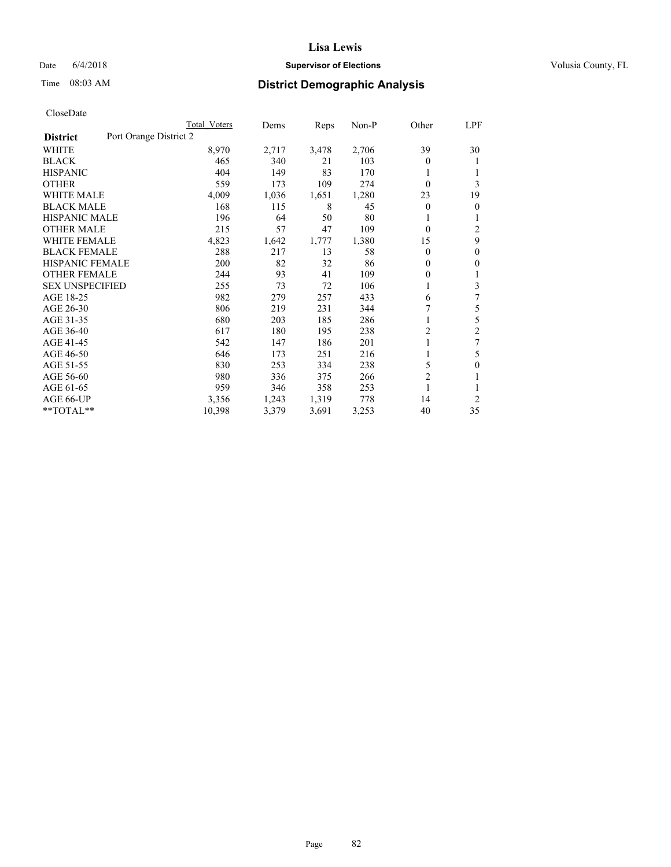## Date 6/4/2018 **Supervisor of Elections Supervisor of Elections** Volusia County, FL

# Time 08:03 AM **District Demographic Analysis**

|                        |                        | Total Voters | Dems  | Reps  | Non-P | Other          | LPF            |
|------------------------|------------------------|--------------|-------|-------|-------|----------------|----------------|
| <b>District</b>        | Port Orange District 2 |              |       |       |       |                |                |
| WHITE                  |                        | 8,970        | 2,717 | 3,478 | 2,706 | 39             | 30             |
| <b>BLACK</b>           |                        | 465          | 340   | 21    | 103   | 0              |                |
| <b>HISPANIC</b>        |                        | 404          | 149   | 83    | 170   | 1              |                |
| <b>OTHER</b>           |                        | 559          | 173   | 109   | 274   | $\theta$       | 3              |
| WHITE MALE             |                        | 4,009        | 1,036 | 1,651 | 1,280 | 23             | 19             |
| <b>BLACK MALE</b>      |                        | 168          | 115   | 8     | 45    | $\overline{0}$ | $\theta$       |
| <b>HISPANIC MALE</b>   |                        | 196          | 64    | 50    | 80    |                |                |
| <b>OTHER MALE</b>      |                        | 215          | 57    | 47    | 109   | 0              | 2              |
| WHITE FEMALE           |                        | 4,823        | 1,642 | 1,777 | 1,380 | 15             | 9              |
| <b>BLACK FEMALE</b>    |                        | 288          | 217   | 13    | 58    | $\Omega$       | $\mathbf{0}$   |
| <b>HISPANIC FEMALE</b> |                        | 200          | 82    | 32    | 86    | $\Omega$       | $\Omega$       |
| <b>OTHER FEMALE</b>    |                        | 244          | 93    | 41    | 109   | $\Omega$       |                |
| <b>SEX UNSPECIFIED</b> |                        | 255          | 73    | 72    | 106   | 1              | 3              |
| AGE 18-25              |                        | 982          | 279   | 257   | 433   | 6              | 7              |
| AGE 26-30              |                        | 806          | 219   | 231   | 344   | 7              | 5              |
| AGE 31-35              |                        | 680          | 203   | 185   | 286   |                | 5              |
| AGE 36-40              |                        | 617          | 180   | 195   | 238   | 2              | $\overline{c}$ |
| AGE 41-45              |                        | 542          | 147   | 186   | 201   |                | 7              |
| AGE 46-50              |                        | 646          | 173   | 251   | 216   | 1              | 5              |
| AGE 51-55              |                        | 830          | 253   | 334   | 238   | 5              | 0              |
| AGE 56-60              |                        | 980          | 336   | 375   | 266   | $\overline{c}$ |                |
| AGE 61-65              |                        | 959          | 346   | 358   | 253   | 1              |                |
| AGE 66-UP              |                        | 3,356        | 1,243 | 1,319 | 778   | 14             | 2              |
| $*$ TOTAL $*$          |                        | 10,398       | 3,379 | 3,691 | 3,253 | 40             | 35             |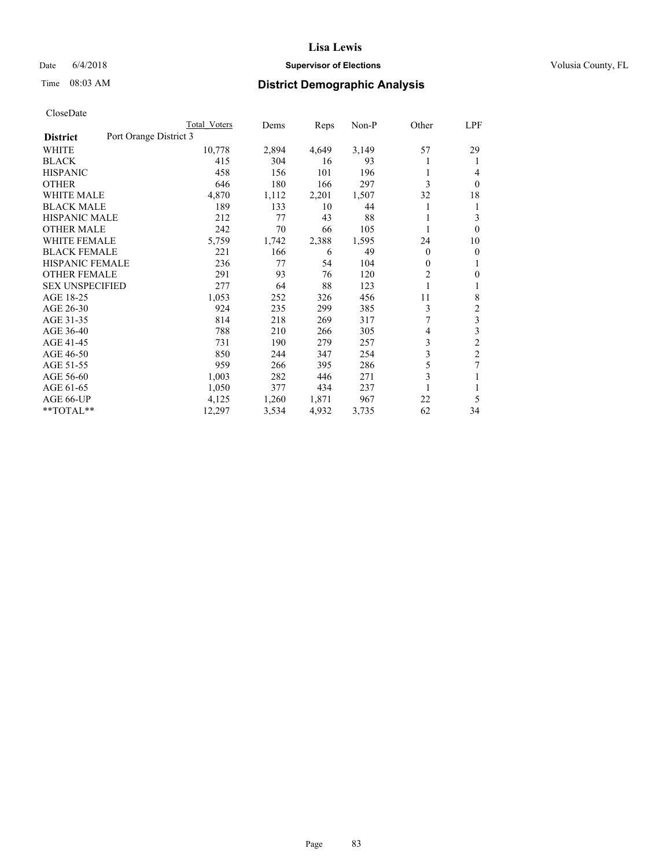## Date 6/4/2018 **Supervisor of Elections Supervisor of Elections** Volusia County, FL

# Time 08:03 AM **District Demographic Analysis**

|                        |                        | Total Voters | Dems  | Reps  | $Non-P$ | Other        | <u>LPF</u>              |
|------------------------|------------------------|--------------|-------|-------|---------|--------------|-------------------------|
| <b>District</b>        | Port Orange District 3 |              |       |       |         |              |                         |
| WHITE                  |                        | 10,778       | 2,894 | 4,649 | 3,149   | 57           | 29                      |
| <b>BLACK</b>           |                        | 415          | 304   | 16    | 93      |              | 1                       |
| <b>HISPANIC</b>        |                        | 458          | 156   | 101   | 196     |              | 4                       |
| <b>OTHER</b>           |                        | 646          | 180   | 166   | 297     | 3            | $\theta$                |
| <b>WHITE MALE</b>      |                        | 4,870        | 1,112 | 2,201 | 1,507   | 32           | 18                      |
| <b>BLACK MALE</b>      |                        | 189          | 133   | 10    | 44      | 1            | 1                       |
| <b>HISPANIC MALE</b>   |                        | 212          | 77    | 43    | 88      |              | 3                       |
| <b>OTHER MALE</b>      |                        | 242          | 70    | 66    | 105     | 1            | $\theta$                |
| <b>WHITE FEMALE</b>    |                        | 5,759        | 1,742 | 2,388 | 1,595   | 24           | 10                      |
| <b>BLACK FEMALE</b>    |                        | 221          | 166   | 6     | 49      | 0            | $\mathbf{0}$            |
| <b>HISPANIC FEMALE</b> |                        | 236          | 77    | 54    | 104     | $\mathbf{0}$ | 1                       |
| <b>OTHER FEMALE</b>    |                        | 291          | 93    | 76    | 120     | 2            | $\Omega$                |
| <b>SEX UNSPECIFIED</b> |                        | 277          | 64    | 88    | 123     |              | 1                       |
| AGE 18-25              |                        | 1,053        | 252   | 326   | 456     | 11           | 8                       |
| AGE 26-30              |                        | 924          | 235   | 299   | 385     | 3            | $\overline{2}$          |
| AGE 31-35              |                        | 814          | 218   | 269   | 317     | 7            | $\mathfrak{Z}$          |
| AGE 36-40              |                        | 788          | 210   | 266   | 305     | 4            | $\overline{\mathbf{3}}$ |
| AGE 41-45              |                        | 731          | 190   | 279   | 257     | 3            | $\overline{c}$          |
| AGE 46-50              |                        | 850          | 244   | 347   | 254     | 3            | $\overline{c}$          |
| AGE 51-55              |                        | 959          | 266   | 395   | 286     | 5            | 7                       |
| AGE 56-60              |                        | 1,003        | 282   | 446   | 271     | 3            | 1                       |
| AGE 61-65              |                        | 1,050        | 377   | 434   | 237     |              | 1                       |
| AGE 66-UP              |                        | 4,125        | 1,260 | 1,871 | 967     | 22           | 5                       |
| **TOTAL**              |                        | 12,297       | 3,534 | 4,932 | 3,735   | 62           | 34                      |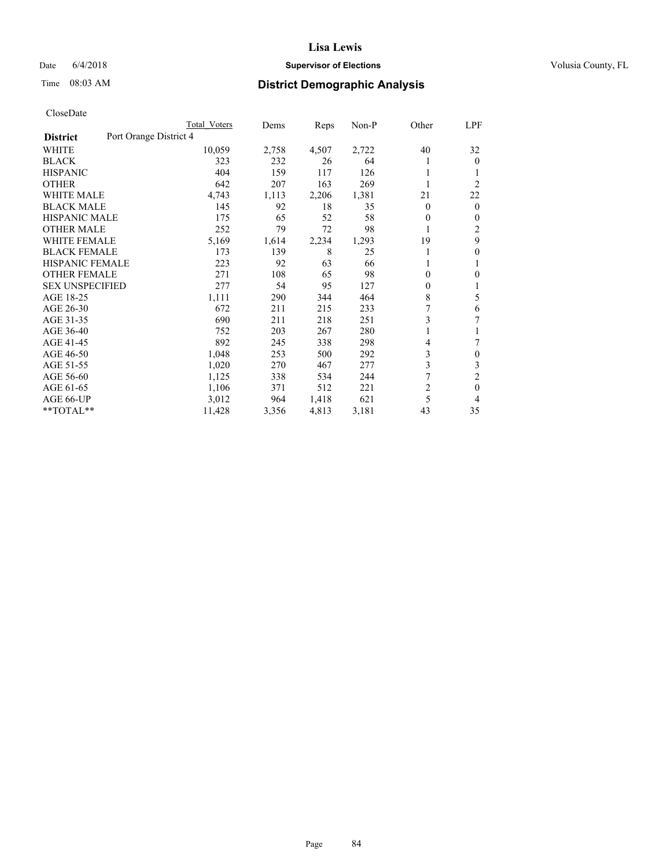## Date 6/4/2018 **Supervisor of Elections Supervisor of Elections** Volusia County, FL

# Time 08:03 AM **District Demographic Analysis**

|                        |                        | Total Voters | Dems  | Reps  | Non-P | Other          | LPF            |
|------------------------|------------------------|--------------|-------|-------|-------|----------------|----------------|
| <b>District</b>        | Port Orange District 4 |              |       |       |       |                |                |
| WHITE                  |                        | 10,059       | 2,758 | 4,507 | 2,722 | 40             | 32             |
| <b>BLACK</b>           |                        | 323          | 232   | 26    | 64    |                | $\mathbf{0}$   |
| <b>HISPANIC</b>        |                        | 404          | 159   | 117   | 126   | 1              |                |
| <b>OTHER</b>           |                        | 642          | 207   | 163   | 269   |                | $\overline{2}$ |
| <b>WHITE MALE</b>      |                        | 4,743        | 1,113 | 2,206 | 1,381 | 21             | 22             |
| <b>BLACK MALE</b>      |                        | 145          | 92    | 18    | 35    | 0              | $\mathbf{0}$   |
| <b>HISPANIC MALE</b>   |                        | 175          | 65    | 52    | 58    | 0              | $\mathbf{0}$   |
| <b>OTHER MALE</b>      |                        | 252          | 79    | 72    | 98    | 1              | 2              |
| <b>WHITE FEMALE</b>    |                        | 5,169        | 1,614 | 2,234 | 1,293 | 19             | 9              |
| <b>BLACK FEMALE</b>    |                        | 173          | 139   | 8     | 25    |                | 0              |
| <b>HISPANIC FEMALE</b> |                        | 223          | 92    | 63    | 66    |                | 1              |
| <b>OTHER FEMALE</b>    |                        | 271          | 108   | 65    | 98    | 0              | 0              |
| <b>SEX UNSPECIFIED</b> |                        | 277          | 54    | 95    | 127   | 0              | 1              |
| AGE 18-25              |                        | 1,111        | 290   | 344   | 464   | 8              | 5              |
| AGE 26-30              |                        | 672          | 211   | 215   | 233   | 7              | 6              |
| AGE 31-35              |                        | 690          | 211   | 218   | 251   | 3              | 7              |
| AGE 36-40              |                        | 752          | 203   | 267   | 280   |                |                |
| AGE 41-45              |                        | 892          | 245   | 338   | 298   | 4              |                |
| AGE 46-50              |                        | 1,048        | 253   | 500   | 292   | 3              | $\mathbf{0}$   |
| AGE 51-55              |                        | 1,020        | 270   | 467   | 277   | 3              | 3              |
| AGE 56-60              |                        | 1,125        | 338   | 534   | 244   | 7              | $\overline{2}$ |
| AGE 61-65              |                        | 1,106        | 371   | 512   | 221   | $\overline{2}$ | $\theta$       |
| AGE 66-UP              |                        | 3,012        | 964   | 1,418 | 621   | 5              | 4              |
| $*$ TOTAL $*$          |                        | 11,428       | 3,356 | 4,813 | 3,181 | 43             | 35             |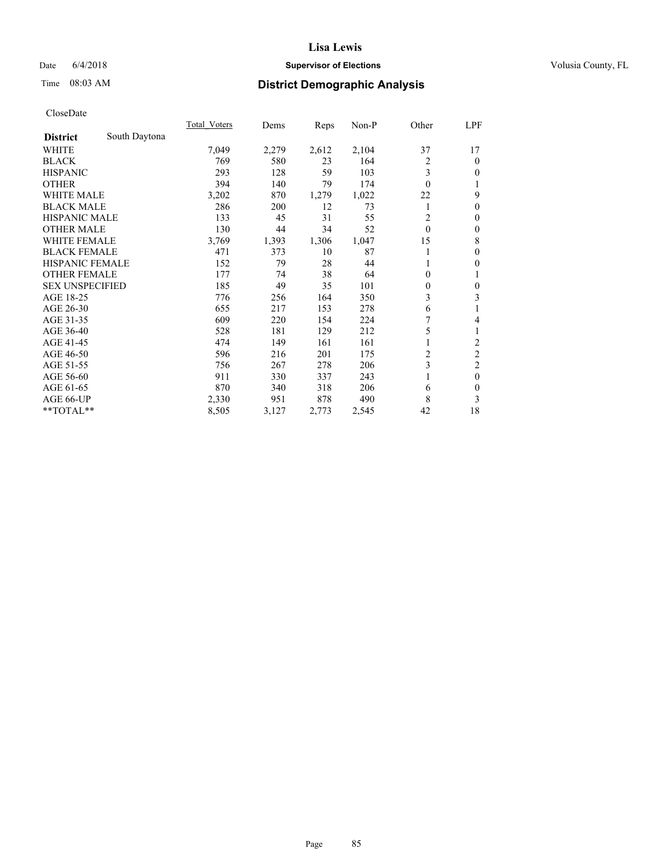## Date 6/4/2018 **Supervisor of Elections Supervisor of Elections** Volusia County, FL

## Time 08:03 AM **District Demographic Analysis**

|                        |               | Total Voters | Dems  | Reps  | Non-P | Other    | LPF                     |
|------------------------|---------------|--------------|-------|-------|-------|----------|-------------------------|
| <b>District</b>        | South Daytona |              |       |       |       |          |                         |
| WHITE                  |               | 7,049        | 2,279 | 2,612 | 2,104 | 37       | 17                      |
| <b>BLACK</b>           |               | 769          | 580   | 23    | 164   | 2        | $\mathbf{0}$            |
| <b>HISPANIC</b>        |               | 293          | 128   | 59    | 103   | 3        | $\mathbf{0}$            |
| <b>OTHER</b>           |               | 394          | 140   | 79    | 174   | $\theta$ | 1                       |
| WHITE MALE             |               | 3,202        | 870   | 1,279 | 1,022 | 22       | 9                       |
| <b>BLACK MALE</b>      |               | 286          | 200   | 12    | 73    |          | $\theta$                |
| <b>HISPANIC MALE</b>   |               | 133          | 45    | 31    | 55    | 2        | $\mathbf{0}$            |
| <b>OTHER MALE</b>      |               | 130          | 44    | 34    | 52    | $\theta$ | $\boldsymbol{0}$        |
| <b>WHITE FEMALE</b>    |               | 3,769        | 1,393 | 1,306 | 1,047 | 15       | 8                       |
| <b>BLACK FEMALE</b>    |               | 471          | 373   | 10    | 87    |          | $\mathbf{0}$            |
| <b>HISPANIC FEMALE</b> |               | 152          | 79    | 28    | 44    |          | $\theta$                |
| <b>OTHER FEMALE</b>    |               | 177          | 74    | 38    | 64    | $\Omega$ | 1                       |
| <b>SEX UNSPECIFIED</b> |               | 185          | 49    | 35    | 101   | $\theta$ | $\mathbf{0}$            |
| AGE 18-25              |               | 776          | 256   | 164   | 350   | 3        | 3                       |
| AGE 26-30              |               | 655          | 217   | 153   | 278   | 6        | 1                       |
| AGE 31-35              |               | 609          | 220   | 154   | 224   | 7        | 4                       |
| AGE 36-40              |               | 528          | 181   | 129   | 212   | 5        | 1                       |
| AGE 41-45              |               | 474          | 149   | 161   | 161   |          | $\overline{\mathbf{c}}$ |
| AGE 46-50              |               | 596          | 216   | 201   | 175   | 2        | $\overline{c}$          |
| AGE 51-55              |               | 756          | 267   | 278   | 206   | 3        | $\overline{c}$          |
| AGE 56-60              |               | 911          | 330   | 337   | 243   |          | $\mathbf{0}$            |
| AGE 61-65              |               | 870          | 340   | 318   | 206   | 6        | $\theta$                |
| AGE 66-UP              |               | 2,330        | 951   | 878   | 490   | 8        | 3                       |
| **TOTAL**              |               | 8,505        | 3,127 | 2,773 | 2,545 | 42       | 18                      |